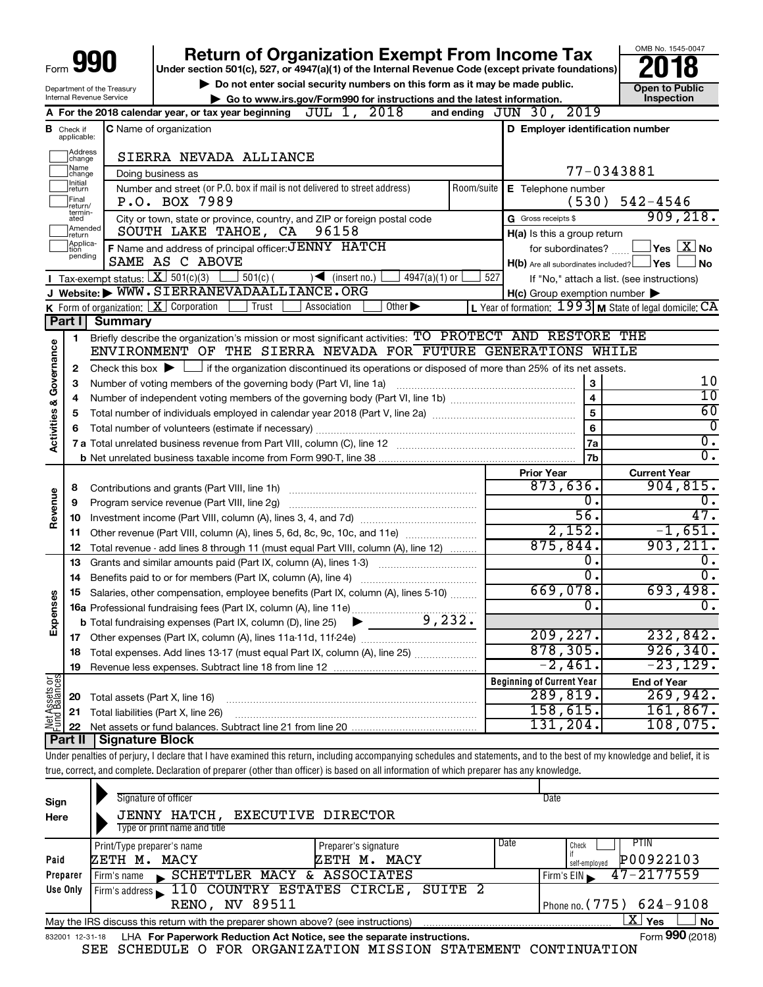| Form $\bigcup$ | 990 |  |
|----------------|-----|--|
|                |     |  |

# **Return of Organization Exempt From Income Tax**<br>r section 501(c), 527, or 4947(a)(1) of the Internal Revenue Code (except private foundations)<br>**2018**

**Under section 501(c), 527, or 4947(a)(1) of the Internal Revenue Code (except private foundations)**

Department of the Treasury Internal Revenue Service

▶ Do not enter social security numbers on this form as it may be made public. <br>**● Go to www.irs.gov/Form990 for instructions and the latest information.** Inspection **| Go to www.irs.gov/Form990 for instructions and the latest information. Inspection**

OMB No. 1545-0047

|                              |                              | 2018<br>JUL 1,<br>A For the 2018 calendar year, or tax year beginning                                                                                          | and ending     | JUN 30, 2019                                              |                                            |
|------------------------------|------------------------------|----------------------------------------------------------------------------------------------------------------------------------------------------------------|----------------|-----------------------------------------------------------|--------------------------------------------|
| В                            |                              | <b>C</b> Name of organization                                                                                                                                  |                | D Employer identification number                          |                                            |
|                              | Check if<br>applicable:      |                                                                                                                                                                |                |                                                           |                                            |
|                              | Address<br> change           | SIERRA NEVADA ALLIANCE                                                                                                                                         |                |                                                           |                                            |
|                              | Name<br> change              |                                                                                                                                                                | 77-0343881     |                                                           |                                            |
|                              | Initial<br> return           | Number and street (or P.O. box if mail is not delivered to street address)                                                                                     | Room/suite     | E Telephone number                                        |                                            |
|                              | Final<br>return/             | P.O. BOX 7989                                                                                                                                                  |                | (530)                                                     | $542 - 4546$                               |
|                              | termin-<br>ated              | City or town, state or province, country, and ZIP or foreign postal code                                                                                       |                | G Gross receipts \$                                       | 909, 218.                                  |
|                              | Amended<br>Ireturn           | SOUTH LAKE TAHOE, CA<br>96158                                                                                                                                  |                | H(a) Is this a group return                               |                                            |
|                              | Applica-<br>Ition<br>pending | F Name and address of principal officer: JENNY HATCH                                                                                                           |                | for subordinates?                                         | $\sqrt{}$ Yes $\sqrt{X}$ No                |
|                              |                              | SAME AS C ABOVE                                                                                                                                                |                | $H(b)$ Are all subordinates included? $\Box$ Yes          | No                                         |
|                              |                              | <b>I</b> Tax-exempt status: $X \ 501(c)(3)$ 501(c)(<br>$\sqrt{\frac{1}{1}}$ (insert no.)<br>$4947(a)(1)$ or                                                    | 527            |                                                           | If "No," attach a list. (see instructions) |
|                              |                              | J Website: WWW.SIERRANEVADAALLIANCE.ORG                                                                                                                        |                | $H(c)$ Group exemption number $\blacktriangleright$       |                                            |
|                              |                              | Other $\blacktriangleright$<br><b>K</b> Form of organization: $\boxed{\mathbf{X}}$ Corporation<br>Trust<br>Association                                         |                | L Year of formation: $1993$ M State of legal domicile: CA |                                            |
|                              | Part I                       | <b>Summary</b>                                                                                                                                                 |                |                                                           |                                            |
|                              | 1                            | Briefly describe the organization's mission or most significant activities: TO PROTECT AND RESTORE THE                                                         |                |                                                           |                                            |
|                              |                              | ENVIRONMENT OF THE SIERRA NEVADA FOR FUTURE GENERATIONS WHILE                                                                                                  |                |                                                           |                                            |
| Activities & Governance      | $\mathbf{2}$                 | Check this box $\blacktriangleright$ $\Box$ if the organization discontinued its operations or disposed of more than 25% of its net assets.                    |                |                                                           |                                            |
|                              | 3                            | Number of voting members of the governing body (Part VI, line 1a)                                                                                              |                | 3                                                         | 10                                         |
|                              | 4                            |                                                                                                                                                                |                | $\overline{\mathbf{4}}$                                   | 10                                         |
|                              | 5                            |                                                                                                                                                                | $\overline{5}$ | 60                                                        |                                            |
|                              | 6                            |                                                                                                                                                                |                | 6                                                         | 0                                          |
|                              |                              |                                                                                                                                                                |                | 7a                                                        | О.<br>σ.                                   |
|                              |                              |                                                                                                                                                                |                | 7 <sub>b</sub>                                            |                                            |
|                              |                              |                                                                                                                                                                |                | <b>Prior Year</b><br>873,636.                             | <b>Current Year</b><br>904, 815.           |
| Revenue                      | 8                            | Contributions and grants (Part VIII, line 1h)                                                                                                                  |                | Ο.                                                        | 0.                                         |
|                              | 9                            | Program service revenue (Part VIII, line 2g)                                                                                                                   |                | $\overline{56}$ .                                         | 47.                                        |
|                              |                              |                                                                                                                                                                |                | 2,152.                                                    | $-1,651.$                                  |
|                              | 11<br>12                     | Other revenue (Part VIII, column (A), lines 5, 6d, 8c, 9c, 10c, and 11e)<br>Total revenue - add lines 8 through 11 (must equal Part VIII, column (A), line 12) |                | 875,844.                                                  | 903, 211.                                  |
|                              | 13                           | Grants and similar amounts paid (Part IX, column (A), lines 1-3)                                                                                               |                | Ο.                                                        | О.                                         |
|                              | 14                           |                                                                                                                                                                |                | $\overline{0}$ .                                          | σ.                                         |
|                              | 15                           | Salaries, other compensation, employee benefits (Part IX, column (A), lines 5-10)                                                                              |                | 669,078.                                                  | 693,498.                                   |
| Expenses                     |                              |                                                                                                                                                                |                | Ο.                                                        | 0.                                         |
|                              |                              |                                                                                                                                                                |                |                                                           |                                            |
|                              |                              |                                                                                                                                                                |                | 209, 227.                                                 | 232,842.                                   |
|                              |                              | 18 Total expenses. Add lines 13-17 (must equal Part IX, column (A), line 25)                                                                                   |                | 878, 305.                                                 | 926, 340.                                  |
|                              | 19                           |                                                                                                                                                                |                | $-2,461.$                                                 | $-23, 129.$                                |
| $rac{\text{or}}{\text{ces}}$ |                              |                                                                                                                                                                |                | <b>Beginning of Current Year</b>                          | <b>End of Year</b>                         |
| Assets<br>Balanc             | 20                           | Total assets (Part X, line 16)                                                                                                                                 |                | 289,819.                                                  | 269,942.                                   |
|                              | 21                           | Total liabilities (Part X, line 26)                                                                                                                            |                | 158, 615.                                                 | 161,867.                                   |
|                              | 22                           |                                                                                                                                                                |                | 131,204.                                                  | 108,075.                                   |
|                              |                              | <b>Part II   Signature Block</b>                                                                                                                               |                |                                                           |                                            |
|                              |                              |                                                                                                                                                                |                |                                                           |                                            |

Under penalties of perjury, I declare that I have examined this return, including accompanying schedules and statements, and to the best of my knowledge and belief, it is true, correct, and complete. Declaration of preparer (other than officer) is based on all information of which preparer has any knowledge.

| Sign<br>Here | Signature of officer<br>JENNY HATCH, EXECUTIVE DIRECTOR<br>Type or print name and title                      |                                      |      | Date                                        |  |  |  |  |  |
|--------------|--------------------------------------------------------------------------------------------------------------|--------------------------------------|------|---------------------------------------------|--|--|--|--|--|
| Paid         | Print/Type preparer's name<br>ZETH M. MACY                                                                   | Preparer's signature<br>ZETH M. MACY | Date | PTIN<br>Check<br>P00922103<br>self-employed |  |  |  |  |  |
| Preparer     | SCHETTLER MACY & ASSOCIATES<br>Firm's name                                                                   |                                      |      | $47 - 2177559$<br>Firm's $EIN$              |  |  |  |  |  |
| Use Only     | Firm's address 110 COUNTRY ESTATES CIRCLE, SUITE 2                                                           |                                      |      |                                             |  |  |  |  |  |
|              | <b>RENO, NV 89511</b>                                                                                        |                                      |      | Phone no. $(775)$ 624-9108                  |  |  |  |  |  |
|              | X.<br><b>No</b><br>Yes<br>May the IRS discuss this return with the preparer shown above? (see instructions)  |                                      |      |                                             |  |  |  |  |  |
|              | Form 990 (2018)<br>LHA For Paperwork Reduction Act Notice, see the separate instructions.<br>832001 12-31-18 |                                      |      |                                             |  |  |  |  |  |

SEE SCHEDULE O FOR ORGANIZATION MISSION STATEMENT CONTINUATION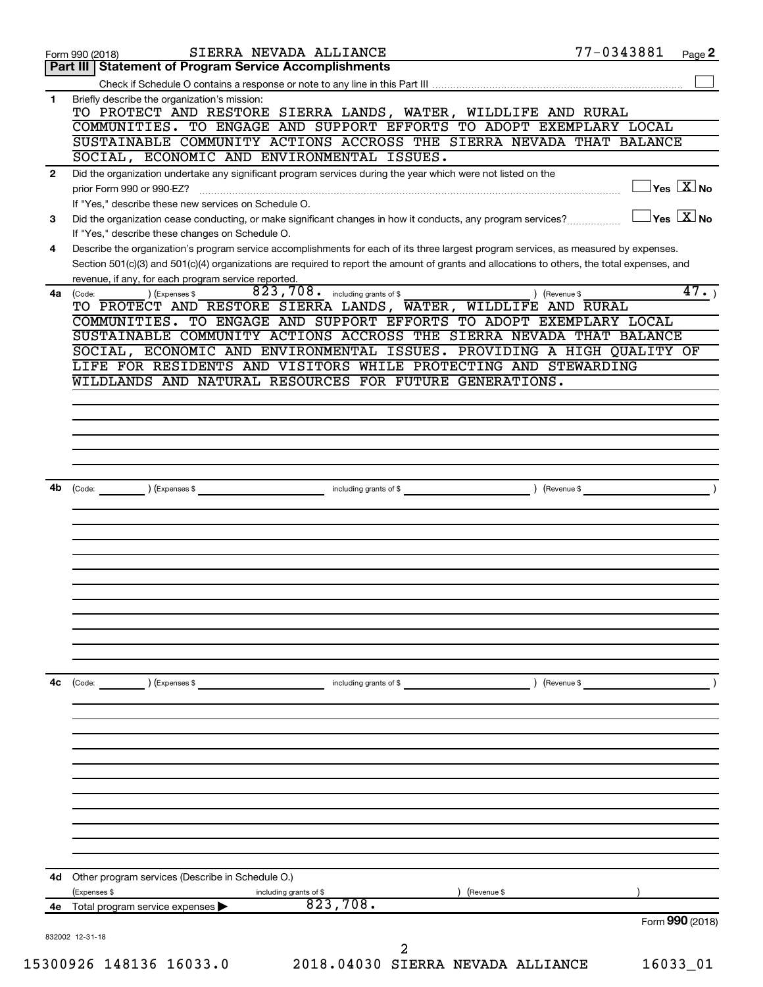|              | SIERRA NEVADA ALLIANCE<br>Form 990 (2018)                                                                                                    | 77-0343881 | Page 2                              |
|--------------|----------------------------------------------------------------------------------------------------------------------------------------------|------------|-------------------------------------|
|              | Part III   Statement of Program Service Accomplishments                                                                                      |            |                                     |
|              |                                                                                                                                              |            |                                     |
| 1            | Briefly describe the organization's mission:                                                                                                 |            |                                     |
|              | TO PROTECT AND RESTORE SIERRA LANDS, WATER, WILDLIFE AND RURAL                                                                               |            |                                     |
|              | COMMUNITIES. TO ENGAGE AND SUPPORT EFFORTS TO ADOPT EXEMPLARY LOCAL<br>SUSTAINABLE COMMUNITY ACTIONS ACCROSS THE SIERRA NEVADA THAT BALANCE  |            |                                     |
|              | SOCIAL, ECONOMIC AND ENVIRONMENTAL ISSUES.                                                                                                   |            |                                     |
| $\mathbf{2}$ | Did the organization undertake any significant program services during the year which were not listed on the                                 |            |                                     |
|              | prior Form 990 or 990-EZ?                                                                                                                    |            | $\exists$ Yes $\boxed{\text{X}}$ No |
|              | If "Yes," describe these new services on Schedule O.                                                                                         |            |                                     |
| 3            | Did the organization cease conducting, or make significant changes in how it conducts, any program services?                                 |            | $Yes$ $X$ No                        |
|              | If "Yes," describe these changes on Schedule O.                                                                                              |            |                                     |
| 4            | Describe the organization's program service accomplishments for each of its three largest program services, as measured by expenses.         |            |                                     |
|              | Section 501(c)(3) and 501(c)(4) organizations are required to report the amount of grants and allocations to others, the total expenses, and |            |                                     |
|              | revenue, if any, for each program service reported.                                                                                          |            |                                     |
|              | 823, 708 . including grants of \$<br>) (Expenses \$<br>) (Revenue \$<br>4a (Code:                                                            |            | 47.                                 |
|              | TO PROTECT AND RESTORE SIERRA LANDS, WATER, WILDLIFE AND RURAL                                                                               |            |                                     |
|              | COMMUNITIES. TO ENGAGE AND SUPPORT EFFORTS TO ADOPT EXEMPLARY LOCAL<br>SUSTAINABLE COMMUNITY ACTIONS ACCROSS THE SIERRA NEVADA THAT BALANCE  |            |                                     |
|              | SOCIAL, ECONOMIC AND ENVIRONMENTAL ISSUES. PROVIDING A HIGH QUALITY OF                                                                       |            |                                     |
|              | LIFE FOR RESIDENTS AND VISITORS WHILE PROTECTING AND STEWARDING                                                                              |            |                                     |
|              | WILDLANDS AND NATURAL RESOURCES FOR FUTURE GENERATIONS.                                                                                      |            |                                     |
|              |                                                                                                                                              |            |                                     |
|              |                                                                                                                                              |            |                                     |
|              |                                                                                                                                              |            |                                     |
|              |                                                                                                                                              |            |                                     |
|              |                                                                                                                                              |            |                                     |
|              |                                                                                                                                              |            |                                     |
| 4b           | including grants of \$<br>) (Revenue \$<br>(Expenses \$<br>(Code:                                                                            |            |                                     |
|              |                                                                                                                                              |            |                                     |
|              |                                                                                                                                              |            |                                     |
|              |                                                                                                                                              |            |                                     |
|              |                                                                                                                                              |            |                                     |
|              |                                                                                                                                              |            |                                     |
|              |                                                                                                                                              |            |                                     |
|              |                                                                                                                                              |            |                                     |
|              |                                                                                                                                              |            |                                     |
|              |                                                                                                                                              |            |                                     |
|              |                                                                                                                                              |            |                                     |
|              |                                                                                                                                              |            |                                     |
| 4с           | ) (Expenses \$<br>including grants of \$<br>) (Revenue \$<br>$\left(\text{Code:}\right)$                                                     |            |                                     |
|              |                                                                                                                                              |            |                                     |
|              |                                                                                                                                              |            |                                     |
|              |                                                                                                                                              |            |                                     |
|              |                                                                                                                                              |            |                                     |
|              |                                                                                                                                              |            |                                     |
|              |                                                                                                                                              |            |                                     |
|              |                                                                                                                                              |            |                                     |
|              |                                                                                                                                              |            |                                     |
|              |                                                                                                                                              |            |                                     |
|              |                                                                                                                                              |            |                                     |
|              |                                                                                                                                              |            |                                     |
| 4d           | Other program services (Describe in Schedule O.)                                                                                             |            |                                     |
|              | (Expenses \$<br>including grants of \$<br>(Revenue \$<br>823,708.                                                                            |            |                                     |
| 4е           | Total program service expenses                                                                                                               |            | Form 990 (2018)                     |
|              |                                                                                                                                              |            |                                     |
|              | 832002 12-31-18<br>2                                                                                                                         |            |                                     |
|              | 15300926 148136 16033.0<br>2018.04030 SIERRA NEVADA ALLIANCE                                                                                 |            | 16033_01                            |
|              |                                                                                                                                              |            |                                     |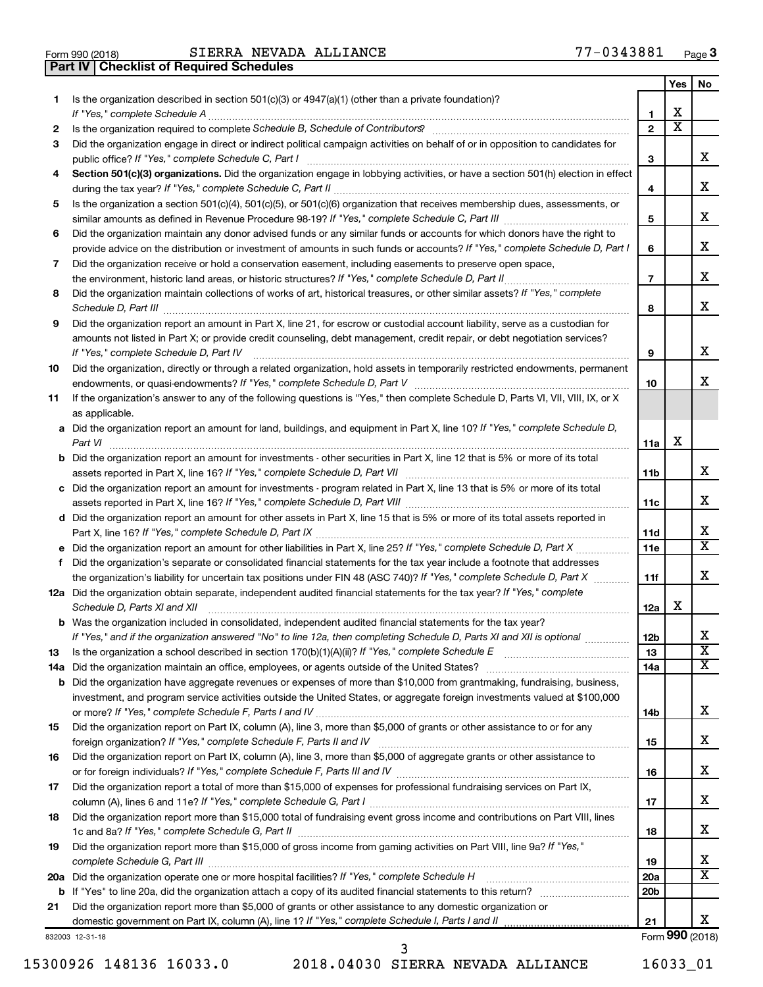| Form 990 (2018) |  |  |
|-----------------|--|--|

**Part IV Checklist of Required Schedules**

|         |                                                                                                                                                                                                                                                       |                        | Yes                     | No                           |
|---------|-------------------------------------------------------------------------------------------------------------------------------------------------------------------------------------------------------------------------------------------------------|------------------------|-------------------------|------------------------------|
| 1.      | Is the organization described in section 501(c)(3) or 4947(a)(1) (other than a private foundation)?<br>If "Yes," complete Schedule A                                                                                                                  | 1                      | х                       |                              |
| 2       | Is the organization required to complete Schedule B, Schedule of Contributors? [11] The organization required to complete Schedule B, Schedule of Contributors?                                                                                       | $\overline{2}$         | $\overline{\textbf{x}}$ |                              |
| 3       | Did the organization engage in direct or indirect political campaign activities on behalf of or in opposition to candidates for                                                                                                                       | 3                      |                         | x                            |
| 4       | Section 501(c)(3) organizations. Did the organization engage in lobbying activities, or have a section 501(h) election in effect                                                                                                                      |                        |                         |                              |
|         |                                                                                                                                                                                                                                                       | 4                      |                         | х                            |
| 5       | Is the organization a section 501(c)(4), 501(c)(5), or 501(c)(6) organization that receives membership dues, assessments, or                                                                                                                          |                        |                         |                              |
|         |                                                                                                                                                                                                                                                       | 5                      |                         | х                            |
| 6       | Did the organization maintain any donor advised funds or any similar funds or accounts for which donors have the right to                                                                                                                             |                        |                         | х                            |
|         | provide advice on the distribution or investment of amounts in such funds or accounts? If "Yes," complete Schedule D, Part I                                                                                                                          | 6                      |                         |                              |
| 7       | Did the organization receive or hold a conservation easement, including easements to preserve open space,                                                                                                                                             | $\overline{7}$         |                         | x                            |
| 8       | Did the organization maintain collections of works of art, historical treasures, or other similar assets? If "Yes," complete                                                                                                                          |                        |                         |                              |
|         | Schedule D, Part III <b>William Commission Commission Commission</b> Commission Commission Commission                                                                                                                                                 | 8                      |                         | x                            |
| 9       | Did the organization report an amount in Part X, line 21, for escrow or custodial account liability, serve as a custodian for                                                                                                                         |                        |                         |                              |
|         | amounts not listed in Part X; or provide credit counseling, debt management, credit repair, or debt negotiation services?<br>If "Yes," complete Schedule D, Part IV                                                                                   | 9                      |                         | х                            |
| 10      | Did the organization, directly or through a related organization, hold assets in temporarily restricted endowments, permanent                                                                                                                         |                        |                         |                              |
|         |                                                                                                                                                                                                                                                       | 10                     |                         | x                            |
| 11      | If the organization's answer to any of the following questions is "Yes," then complete Schedule D, Parts VI, VII, VIII, IX, or X<br>as applicable.                                                                                                    |                        |                         |                              |
|         | a Did the organization report an amount for land, buildings, and equipment in Part X, line 10? If "Yes," complete Schedule D,                                                                                                                         |                        |                         |                              |
|         |                                                                                                                                                                                                                                                       | 11a                    | X                       |                              |
|         | <b>b</b> Did the organization report an amount for investments - other securities in Part X, line 12 that is 5% or more of its total                                                                                                                  | 11b                    |                         | x                            |
|         | c Did the organization report an amount for investments - program related in Part X, line 13 that is 5% or more of its total                                                                                                                          | 11c                    |                         | x                            |
|         | d Did the organization report an amount for other assets in Part X, line 15 that is 5% or more of its total assets reported in                                                                                                                        |                        |                         |                              |
|         |                                                                                                                                                                                                                                                       | 11d                    |                         | х                            |
|         |                                                                                                                                                                                                                                                       | 11 <sub>e</sub>        |                         | $\overline{\texttt{x}}$      |
|         | f Did the organization's separate or consolidated financial statements for the tax year include a footnote that addresses                                                                                                                             |                        |                         | x                            |
|         | the organization's liability for uncertain tax positions under FIN 48 (ASC 740)? If "Yes," complete Schedule D, Part X<br>12a Did the organization obtain separate, independent audited financial statements for the tax year? If "Yes," complete     | 11f                    |                         |                              |
|         | Schedule D, Parts XI and XII                                                                                                                                                                                                                          | 12a                    | х                       |                              |
|         | <b>b</b> Was the organization included in consolidated, independent audited financial statements for the tax year?                                                                                                                                    |                        |                         |                              |
|         | If "Yes." and if the organization answered "No" to line 12a, then completing Schedule D. Parts XI and XII is optional                                                                                                                                 | 12 <sub>b</sub>        |                         | х<br>$\overline{\textbf{x}}$ |
| 13      |                                                                                                                                                                                                                                                       | 13                     |                         | x                            |
| 14a     |                                                                                                                                                                                                                                                       | 14a                    |                         |                              |
| b       | Did the organization have aggregate revenues or expenses of more than \$10,000 from grantmaking, fundraising, business,<br>investment, and program service activities outside the United States, or aggregate foreign investments valued at \$100,000 |                        |                         |                              |
|         |                                                                                                                                                                                                                                                       | 14b                    |                         | х                            |
| 15      | Did the organization report on Part IX, column (A), line 3, more than \$5,000 of grants or other assistance to or for any                                                                                                                             |                        |                         |                              |
|         |                                                                                                                                                                                                                                                       | 15                     |                         | х                            |
| 16      | Did the organization report on Part IX, column (A), line 3, more than \$5,000 of aggregate grants or other assistance to                                                                                                                              |                        |                         |                              |
| 17      | Did the organization report a total of more than \$15,000 of expenses for professional fundraising services on Part IX,                                                                                                                               | 16                     |                         | х                            |
|         |                                                                                                                                                                                                                                                       | 17                     |                         | х                            |
| 18      | Did the organization report more than \$15,000 total of fundraising event gross income and contributions on Part VIII, lines                                                                                                                          | 18                     |                         | х                            |
| 19      | Did the organization report more than \$15,000 of gross income from gaming activities on Part VIII, line 9a? If "Yes,"                                                                                                                                |                        |                         |                              |
|         |                                                                                                                                                                                                                                                       | 19                     |                         | х<br>х                       |
| 20a     | Did the organization operate one or more hospital facilities? If "Yes," complete Schedule H [1] [1] [1] Did the organization operate one or more hospital facilities? If "Yes," complete Schedule H                                                   | 20a<br>20 <sub>b</sub> |                         |                              |
| b<br>21 | Did the organization report more than \$5,000 of grants or other assistance to any domestic organization or                                                                                                                                           |                        |                         |                              |
|         |                                                                                                                                                                                                                                                       | 21                     |                         | x                            |
|         | 832003 12-31-18                                                                                                                                                                                                                                       |                        |                         | Form 990 (2018)              |

15300926 148136 16033.0 2018.04030 SIERRA NEVADA ALLIANCE 16033\_01

3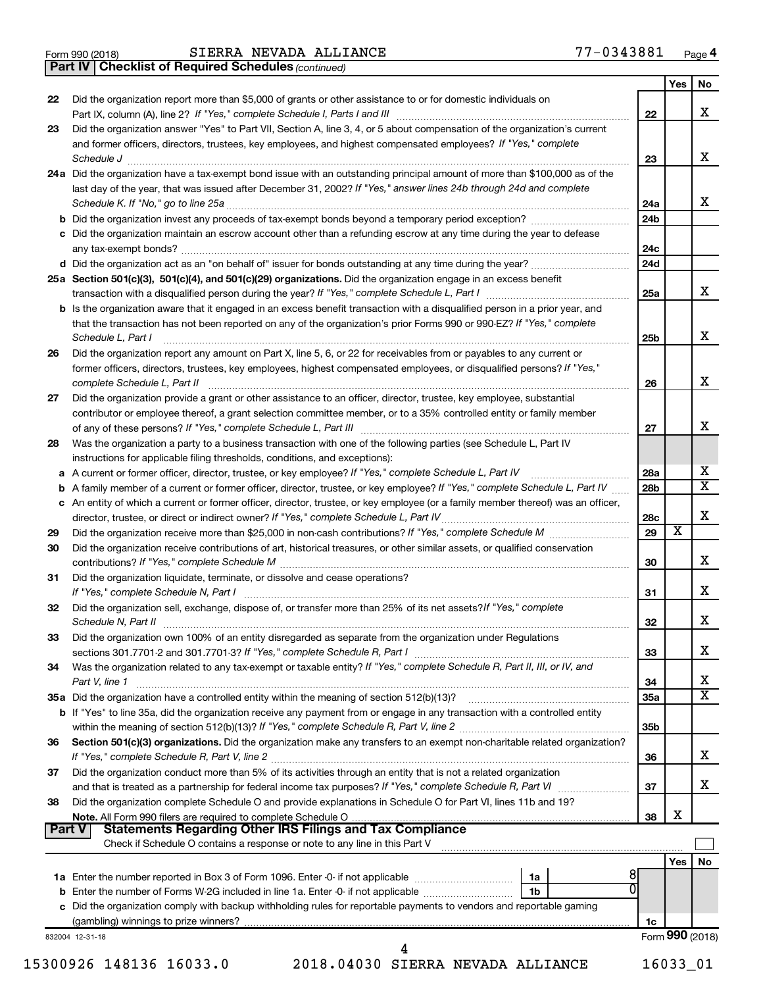*(continued)* **Part IV Checklist of Required Schedules**

| 22<br>23<br>26<br>27<br>28<br>29<br>30<br>31<br>32<br>33 | Did the organization report more than \$5,000 of grants or other assistance to or for domestic individuals on<br>Did the organization answer "Yes" to Part VII, Section A, line 3, 4, or 5 about compensation of the organization's current<br>and former officers, directors, trustees, key employees, and highest compensated employees? If "Yes," complete<br>Schedule J <b>Execute J Execute Contract Contract Contract Contract Contract Contract Contract Contract Contract Contract Contract Contract Contract Contract Contract Contract Contract Contract Contract Contract Contract C</b><br>24a Did the organization have a tax-exempt bond issue with an outstanding principal amount of more than \$100,000 as of the<br>last day of the year, that was issued after December 31, 2002? If "Yes," answer lines 24b through 24d and complete<br><b>b</b> Did the organization invest any proceeds of tax-exempt bonds beyond a temporary period exception?<br>c Did the organization maintain an escrow account other than a refunding escrow at any time during the year to defease<br>25a Section 501(c)(3), 501(c)(4), and 501(c)(29) organizations. Did the organization engage in an excess benefit<br><b>b</b> Is the organization aware that it engaged in an excess benefit transaction with a disqualified person in a prior year, and<br>that the transaction has not been reported on any of the organization's prior Forms 990 or 990-EZ? If "Yes," complete<br>Schedule L, Part I<br>Did the organization report any amount on Part X, line 5, 6, or 22 for receivables from or payables to any current or<br>former officers, directors, trustees, key employees, highest compensated employees, or disqualified persons? If "Yes,"<br>Did the organization provide a grant or other assistance to an officer, director, trustee, key employee, substantial<br>contributor or employee thereof, a grant selection committee member, or to a 35% controlled entity or family member<br>Was the organization a party to a business transaction with one of the following parties (see Schedule L, Part IV<br>instructions for applicable filing thresholds, conditions, and exceptions): | 22<br>23<br>24a<br>24b<br>24c<br>24d<br>25a<br>25b<br>26<br>27 |                 |
|----------------------------------------------------------|------------------------------------------------------------------------------------------------------------------------------------------------------------------------------------------------------------------------------------------------------------------------------------------------------------------------------------------------------------------------------------------------------------------------------------------------------------------------------------------------------------------------------------------------------------------------------------------------------------------------------------------------------------------------------------------------------------------------------------------------------------------------------------------------------------------------------------------------------------------------------------------------------------------------------------------------------------------------------------------------------------------------------------------------------------------------------------------------------------------------------------------------------------------------------------------------------------------------------------------------------------------------------------------------------------------------------------------------------------------------------------------------------------------------------------------------------------------------------------------------------------------------------------------------------------------------------------------------------------------------------------------------------------------------------------------------------------------------------------------------------------------------------------------------------------------------------------------------------------------------------------------------------------------------------------------------------------------------------------------------------------------------------------------------------------------------------------------------------------------------------------------------------------------------------------------------------------------|----------------------------------------------------------------|-----------------|
|                                                          |                                                                                                                                                                                                                                                                                                                                                                                                                                                                                                                                                                                                                                                                                                                                                                                                                                                                                                                                                                                                                                                                                                                                                                                                                                                                                                                                                                                                                                                                                                                                                                                                                                                                                                                                                                                                                                                                                                                                                                                                                                                                                                                                                                                                                  |                                                                |                 |
|                                                          |                                                                                                                                                                                                                                                                                                                                                                                                                                                                                                                                                                                                                                                                                                                                                                                                                                                                                                                                                                                                                                                                                                                                                                                                                                                                                                                                                                                                                                                                                                                                                                                                                                                                                                                                                                                                                                                                                                                                                                                                                                                                                                                                                                                                                  |                                                                |                 |
|                                                          |                                                                                                                                                                                                                                                                                                                                                                                                                                                                                                                                                                                                                                                                                                                                                                                                                                                                                                                                                                                                                                                                                                                                                                                                                                                                                                                                                                                                                                                                                                                                                                                                                                                                                                                                                                                                                                                                                                                                                                                                                                                                                                                                                                                                                  |                                                                |                 |
|                                                          |                                                                                                                                                                                                                                                                                                                                                                                                                                                                                                                                                                                                                                                                                                                                                                                                                                                                                                                                                                                                                                                                                                                                                                                                                                                                                                                                                                                                                                                                                                                                                                                                                                                                                                                                                                                                                                                                                                                                                                                                                                                                                                                                                                                                                  |                                                                |                 |
|                                                          |                                                                                                                                                                                                                                                                                                                                                                                                                                                                                                                                                                                                                                                                                                                                                                                                                                                                                                                                                                                                                                                                                                                                                                                                                                                                                                                                                                                                                                                                                                                                                                                                                                                                                                                                                                                                                                                                                                                                                                                                                                                                                                                                                                                                                  |                                                                |                 |
|                                                          |                                                                                                                                                                                                                                                                                                                                                                                                                                                                                                                                                                                                                                                                                                                                                                                                                                                                                                                                                                                                                                                                                                                                                                                                                                                                                                                                                                                                                                                                                                                                                                                                                                                                                                                                                                                                                                                                                                                                                                                                                                                                                                                                                                                                                  |                                                                |                 |
|                                                          |                                                                                                                                                                                                                                                                                                                                                                                                                                                                                                                                                                                                                                                                                                                                                                                                                                                                                                                                                                                                                                                                                                                                                                                                                                                                                                                                                                                                                                                                                                                                                                                                                                                                                                                                                                                                                                                                                                                                                                                                                                                                                                                                                                                                                  |                                                                |                 |
|                                                          |                                                                                                                                                                                                                                                                                                                                                                                                                                                                                                                                                                                                                                                                                                                                                                                                                                                                                                                                                                                                                                                                                                                                                                                                                                                                                                                                                                                                                                                                                                                                                                                                                                                                                                                                                                                                                                                                                                                                                                                                                                                                                                                                                                                                                  |                                                                |                 |
|                                                          |                                                                                                                                                                                                                                                                                                                                                                                                                                                                                                                                                                                                                                                                                                                                                                                                                                                                                                                                                                                                                                                                                                                                                                                                                                                                                                                                                                                                                                                                                                                                                                                                                                                                                                                                                                                                                                                                                                                                                                                                                                                                                                                                                                                                                  |                                                                |                 |
|                                                          |                                                                                                                                                                                                                                                                                                                                                                                                                                                                                                                                                                                                                                                                                                                                                                                                                                                                                                                                                                                                                                                                                                                                                                                                                                                                                                                                                                                                                                                                                                                                                                                                                                                                                                                                                                                                                                                                                                                                                                                                                                                                                                                                                                                                                  |                                                                |                 |
|                                                          |                                                                                                                                                                                                                                                                                                                                                                                                                                                                                                                                                                                                                                                                                                                                                                                                                                                                                                                                                                                                                                                                                                                                                                                                                                                                                                                                                                                                                                                                                                                                                                                                                                                                                                                                                                                                                                                                                                                                                                                                                                                                                                                                                                                                                  |                                                                |                 |
|                                                          |                                                                                                                                                                                                                                                                                                                                                                                                                                                                                                                                                                                                                                                                                                                                                                                                                                                                                                                                                                                                                                                                                                                                                                                                                                                                                                                                                                                                                                                                                                                                                                                                                                                                                                                                                                                                                                                                                                                                                                                                                                                                                                                                                                                                                  |                                                                |                 |
|                                                          |                                                                                                                                                                                                                                                                                                                                                                                                                                                                                                                                                                                                                                                                                                                                                                                                                                                                                                                                                                                                                                                                                                                                                                                                                                                                                                                                                                                                                                                                                                                                                                                                                                                                                                                                                                                                                                                                                                                                                                                                                                                                                                                                                                                                                  |                                                                |                 |
|                                                          |                                                                                                                                                                                                                                                                                                                                                                                                                                                                                                                                                                                                                                                                                                                                                                                                                                                                                                                                                                                                                                                                                                                                                                                                                                                                                                                                                                                                                                                                                                                                                                                                                                                                                                                                                                                                                                                                                                                                                                                                                                                                                                                                                                                                                  |                                                                |                 |
|                                                          |                                                                                                                                                                                                                                                                                                                                                                                                                                                                                                                                                                                                                                                                                                                                                                                                                                                                                                                                                                                                                                                                                                                                                                                                                                                                                                                                                                                                                                                                                                                                                                                                                                                                                                                                                                                                                                                                                                                                                                                                                                                                                                                                                                                                                  |                                                                |                 |
|                                                          |                                                                                                                                                                                                                                                                                                                                                                                                                                                                                                                                                                                                                                                                                                                                                                                                                                                                                                                                                                                                                                                                                                                                                                                                                                                                                                                                                                                                                                                                                                                                                                                                                                                                                                                                                                                                                                                                                                                                                                                                                                                                                                                                                                                                                  |                                                                |                 |
|                                                          |                                                                                                                                                                                                                                                                                                                                                                                                                                                                                                                                                                                                                                                                                                                                                                                                                                                                                                                                                                                                                                                                                                                                                                                                                                                                                                                                                                                                                                                                                                                                                                                                                                                                                                                                                                                                                                                                                                                                                                                                                                                                                                                                                                                                                  |                                                                |                 |
|                                                          |                                                                                                                                                                                                                                                                                                                                                                                                                                                                                                                                                                                                                                                                                                                                                                                                                                                                                                                                                                                                                                                                                                                                                                                                                                                                                                                                                                                                                                                                                                                                                                                                                                                                                                                                                                                                                                                                                                                                                                                                                                                                                                                                                                                                                  |                                                                |                 |
|                                                          |                                                                                                                                                                                                                                                                                                                                                                                                                                                                                                                                                                                                                                                                                                                                                                                                                                                                                                                                                                                                                                                                                                                                                                                                                                                                                                                                                                                                                                                                                                                                                                                                                                                                                                                                                                                                                                                                                                                                                                                                                                                                                                                                                                                                                  |                                                                |                 |
|                                                          | a A current or former officer, director, trustee, or key employee? If "Yes," complete Schedule L, Part IV                                                                                                                                                                                                                                                                                                                                                                                                                                                                                                                                                                                                                                                                                                                                                                                                                                                                                                                                                                                                                                                                                                                                                                                                                                                                                                                                                                                                                                                                                                                                                                                                                                                                                                                                                                                                                                                                                                                                                                                                                                                                                                        | 28a                                                            |                 |
|                                                          | <b>b</b> A family member of a current or former officer, director, trustee, or key employee? If "Yes," complete Schedule L, Part IV                                                                                                                                                                                                                                                                                                                                                                                                                                                                                                                                                                                                                                                                                                                                                                                                                                                                                                                                                                                                                                                                                                                                                                                                                                                                                                                                                                                                                                                                                                                                                                                                                                                                                                                                                                                                                                                                                                                                                                                                                                                                              | 28 <sub>b</sub>                                                |                 |
|                                                          | c An entity of which a current or former officer, director, trustee, or key employee (or a family member thereof) was an officer,                                                                                                                                                                                                                                                                                                                                                                                                                                                                                                                                                                                                                                                                                                                                                                                                                                                                                                                                                                                                                                                                                                                                                                                                                                                                                                                                                                                                                                                                                                                                                                                                                                                                                                                                                                                                                                                                                                                                                                                                                                                                                | 28c                                                            |                 |
|                                                          |                                                                                                                                                                                                                                                                                                                                                                                                                                                                                                                                                                                                                                                                                                                                                                                                                                                                                                                                                                                                                                                                                                                                                                                                                                                                                                                                                                                                                                                                                                                                                                                                                                                                                                                                                                                                                                                                                                                                                                                                                                                                                                                                                                                                                  | 29                                                             | X               |
|                                                          | Did the organization receive contributions of art, historical treasures, or other similar assets, or qualified conservation                                                                                                                                                                                                                                                                                                                                                                                                                                                                                                                                                                                                                                                                                                                                                                                                                                                                                                                                                                                                                                                                                                                                                                                                                                                                                                                                                                                                                                                                                                                                                                                                                                                                                                                                                                                                                                                                                                                                                                                                                                                                                      | 30                                                             |                 |
|                                                          | Did the organization liquidate, terminate, or dissolve and cease operations?                                                                                                                                                                                                                                                                                                                                                                                                                                                                                                                                                                                                                                                                                                                                                                                                                                                                                                                                                                                                                                                                                                                                                                                                                                                                                                                                                                                                                                                                                                                                                                                                                                                                                                                                                                                                                                                                                                                                                                                                                                                                                                                                     | 31                                                             |                 |
|                                                          | Did the organization sell, exchange, dispose of, or transfer more than 25% of its net assets? If "Yes," complete                                                                                                                                                                                                                                                                                                                                                                                                                                                                                                                                                                                                                                                                                                                                                                                                                                                                                                                                                                                                                                                                                                                                                                                                                                                                                                                                                                                                                                                                                                                                                                                                                                                                                                                                                                                                                                                                                                                                                                                                                                                                                                 | 32                                                             |                 |
|                                                          | Did the organization own 100% of an entity disregarded as separate from the organization under Regulations                                                                                                                                                                                                                                                                                                                                                                                                                                                                                                                                                                                                                                                                                                                                                                                                                                                                                                                                                                                                                                                                                                                                                                                                                                                                                                                                                                                                                                                                                                                                                                                                                                                                                                                                                                                                                                                                                                                                                                                                                                                                                                       |                                                                |                 |
|                                                          |                                                                                                                                                                                                                                                                                                                                                                                                                                                                                                                                                                                                                                                                                                                                                                                                                                                                                                                                                                                                                                                                                                                                                                                                                                                                                                                                                                                                                                                                                                                                                                                                                                                                                                                                                                                                                                                                                                                                                                                                                                                                                                                                                                                                                  | 33                                                             |                 |
| 34                                                       | Was the organization related to any tax-exempt or taxable entity? If "Yes," complete Schedule R, Part II, III, or IV, and                                                                                                                                                                                                                                                                                                                                                                                                                                                                                                                                                                                                                                                                                                                                                                                                                                                                                                                                                                                                                                                                                                                                                                                                                                                                                                                                                                                                                                                                                                                                                                                                                                                                                                                                                                                                                                                                                                                                                                                                                                                                                        |                                                                |                 |
|                                                          | Part V, line 1                                                                                                                                                                                                                                                                                                                                                                                                                                                                                                                                                                                                                                                                                                                                                                                                                                                                                                                                                                                                                                                                                                                                                                                                                                                                                                                                                                                                                                                                                                                                                                                                                                                                                                                                                                                                                                                                                                                                                                                                                                                                                                                                                                                                   | 34                                                             |                 |
|                                                          | 35a Did the organization have a controlled entity within the meaning of section 512(b)(13)?                                                                                                                                                                                                                                                                                                                                                                                                                                                                                                                                                                                                                                                                                                                                                                                                                                                                                                                                                                                                                                                                                                                                                                                                                                                                                                                                                                                                                                                                                                                                                                                                                                                                                                                                                                                                                                                                                                                                                                                                                                                                                                                      | 35a                                                            |                 |
|                                                          | b If "Yes" to line 35a, did the organization receive any payment from or engage in any transaction with a controlled entity                                                                                                                                                                                                                                                                                                                                                                                                                                                                                                                                                                                                                                                                                                                                                                                                                                                                                                                                                                                                                                                                                                                                                                                                                                                                                                                                                                                                                                                                                                                                                                                                                                                                                                                                                                                                                                                                                                                                                                                                                                                                                      |                                                                |                 |
|                                                          |                                                                                                                                                                                                                                                                                                                                                                                                                                                                                                                                                                                                                                                                                                                                                                                                                                                                                                                                                                                                                                                                                                                                                                                                                                                                                                                                                                                                                                                                                                                                                                                                                                                                                                                                                                                                                                                                                                                                                                                                                                                                                                                                                                                                                  | 35 <sub>b</sub>                                                |                 |
| 36                                                       | Section 501(c)(3) organizations. Did the organization make any transfers to an exempt non-charitable related organization?                                                                                                                                                                                                                                                                                                                                                                                                                                                                                                                                                                                                                                                                                                                                                                                                                                                                                                                                                                                                                                                                                                                                                                                                                                                                                                                                                                                                                                                                                                                                                                                                                                                                                                                                                                                                                                                                                                                                                                                                                                                                                       | 36                                                             |                 |
| 37                                                       | Did the organization conduct more than 5% of its activities through an entity that is not a related organization                                                                                                                                                                                                                                                                                                                                                                                                                                                                                                                                                                                                                                                                                                                                                                                                                                                                                                                                                                                                                                                                                                                                                                                                                                                                                                                                                                                                                                                                                                                                                                                                                                                                                                                                                                                                                                                                                                                                                                                                                                                                                                 | 37                                                             |                 |
| 38                                                       | Did the organization complete Schedule O and provide explanations in Schedule O for Part VI, lines 11b and 19?                                                                                                                                                                                                                                                                                                                                                                                                                                                                                                                                                                                                                                                                                                                                                                                                                                                                                                                                                                                                                                                                                                                                                                                                                                                                                                                                                                                                                                                                                                                                                                                                                                                                                                                                                                                                                                                                                                                                                                                                                                                                                                   | 38                                                             | х               |
| <b>Part V</b>                                            | Check if Schedule O contains a response or note to any line in this Part V                                                                                                                                                                                                                                                                                                                                                                                                                                                                                                                                                                                                                                                                                                                                                                                                                                                                                                                                                                                                                                                                                                                                                                                                                                                                                                                                                                                                                                                                                                                                                                                                                                                                                                                                                                                                                                                                                                                                                                                                                                                                                                                                       |                                                                |                 |
|                                                          |                                                                                                                                                                                                                                                                                                                                                                                                                                                                                                                                                                                                                                                                                                                                                                                                                                                                                                                                                                                                                                                                                                                                                                                                                                                                                                                                                                                                                                                                                                                                                                                                                                                                                                                                                                                                                                                                                                                                                                                                                                                                                                                                                                                                                  |                                                                | Yes             |
|                                                          | 1a                                                                                                                                                                                                                                                                                                                                                                                                                                                                                                                                                                                                                                                                                                                                                                                                                                                                                                                                                                                                                                                                                                                                                                                                                                                                                                                                                                                                                                                                                                                                                                                                                                                                                                                                                                                                                                                                                                                                                                                                                                                                                                                                                                                                               | 81                                                             |                 |
|                                                          |                                                                                                                                                                                                                                                                                                                                                                                                                                                                                                                                                                                                                                                                                                                                                                                                                                                                                                                                                                                                                                                                                                                                                                                                                                                                                                                                                                                                                                                                                                                                                                                                                                                                                                                                                                                                                                                                                                                                                                                                                                                                                                                                                                                                                  | 0                                                              |                 |
|                                                          |                                                                                                                                                                                                                                                                                                                                                                                                                                                                                                                                                                                                                                                                                                                                                                                                                                                                                                                                                                                                                                                                                                                                                                                                                                                                                                                                                                                                                                                                                                                                                                                                                                                                                                                                                                                                                                                                                                                                                                                                                                                                                                                                                                                                                  |                                                                |                 |
|                                                          |                                                                                                                                                                                                                                                                                                                                                                                                                                                                                                                                                                                                                                                                                                                                                                                                                                                                                                                                                                                                                                                                                                                                                                                                                                                                                                                                                                                                                                                                                                                                                                                                                                                                                                                                                                                                                                                                                                                                                                                                                                                                                                                                                                                                                  | 1c                                                             |                 |
| 832004 12-31-18                                          | c Did the organization comply with backup withholding rules for reportable payments to vendors and reportable gaming                                                                                                                                                                                                                                                                                                                                                                                                                                                                                                                                                                                                                                                                                                                                                                                                                                                                                                                                                                                                                                                                                                                                                                                                                                                                                                                                                                                                                                                                                                                                                                                                                                                                                                                                                                                                                                                                                                                                                                                                                                                                                             |                                                                | Form 990 (2018) |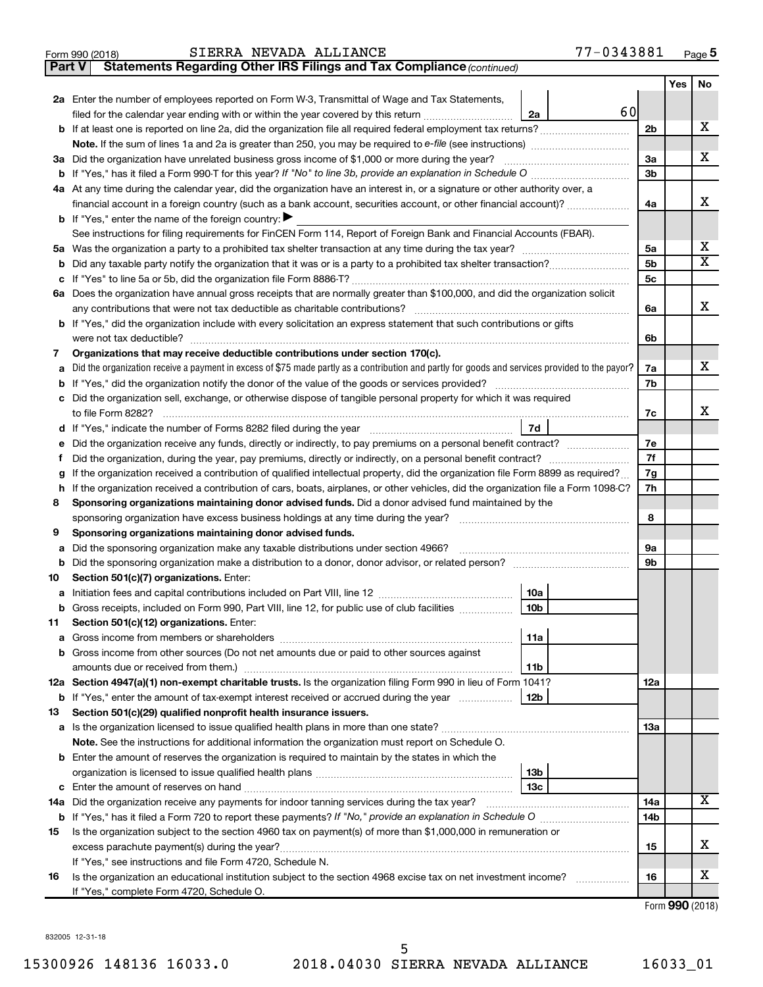|  | SIERRA NEVADA ALLIANC |
|--|-----------------------|

**Part V Statements Regarding Other IRS Filings and Tax Compliance**

*(continued)*

|         |                                                                                                                                                                                         |            | Yes | No |
|---------|-----------------------------------------------------------------------------------------------------------------------------------------------------------------------------------------|------------|-----|----|
|         | 2a Enter the number of employees reported on Form W-3, Transmittal of Wage and Tax Statements,                                                                                          |            |     |    |
|         | 60<br>filed for the calendar year ending with or within the year covered by this return <i>[[[[[[[[[[[[[[]]]]</i> ]]<br>2a                                                              |            |     |    |
| b       | If at least one is reported on line 2a, did the organization file all required federal employment tax returns?                                                                          | 2b         |     | х  |
|         | Note. If the sum of lines 1a and 2a is greater than 250, you may be required to e-file (see instructions) <i>marroummann</i>                                                            |            |     |    |
| За      | Did the organization have unrelated business gross income of \$1,000 or more during the year?                                                                                           | За         |     | х  |
|         | If "Yes," has it filed a Form 990 T for this year? If "No" to line 3b, provide an explanation in Schedule O manumum                                                                     | 3b         |     |    |
|         | 4a At any time during the calendar year, did the organization have an interest in, or a signature or other authority over, a                                                            |            |     |    |
|         | financial account in a foreign country (such as a bank account, securities account, or other financial account)?                                                                        | 4a         |     | х  |
|         | <b>b</b> If "Yes," enter the name of the foreign country: $\blacktriangleright$                                                                                                         |            |     |    |
|         | See instructions for filing requirements for FinCEN Form 114, Report of Foreign Bank and Financial Accounts (FBAR).                                                                     |            |     | х  |
| 5а      |                                                                                                                                                                                         | 5a<br>5b   |     | х  |
| b<br>с  |                                                                                                                                                                                         | 5c         |     |    |
|         | 6a Does the organization have annual gross receipts that are normally greater than \$100,000, and did the organization solicit                                                          |            |     |    |
|         | any contributions that were not tax deductible as charitable contributions?                                                                                                             | 6a         |     | х  |
|         | If "Yes," did the organization include with every solicitation an express statement that such contributions or gifts                                                                    |            |     |    |
|         |                                                                                                                                                                                         | 6b         |     |    |
| 7       | Organizations that may receive deductible contributions under section 170(c).                                                                                                           |            |     |    |
| a       | Did the organization receive a payment in excess of \$75 made partly as a contribution and partly for goods and services provided to the payor?                                         | 7a         |     | х  |
| b       |                                                                                                                                                                                         | 7b         |     |    |
| с       | Did the organization sell, exchange, or otherwise dispose of tangible personal property for which it was required                                                                       |            |     |    |
|         |                                                                                                                                                                                         | 7c         |     | x  |
| d       | 7d                                                                                                                                                                                      |            |     |    |
| е       |                                                                                                                                                                                         | 7e         |     |    |
| f       | Did the organization, during the year, pay premiums, directly or indirectly, on a personal benefit contract?                                                                            | 7f         |     |    |
| g       | If the organization received a contribution of qualified intellectual property, did the organization file Form 8899 as required?                                                        | 7g         |     |    |
| h       | If the organization received a contribution of cars, boats, airplanes, or other vehicles, did the organization file a Form 1098-C?                                                      | 7h         |     |    |
| 8       | Sponsoring organizations maintaining donor advised funds. Did a donor advised fund maintained by the                                                                                    |            |     |    |
|         | sponsoring organization have excess business holdings at any time during the year? [11111111111111111111111111                                                                          | 8          |     |    |
| 9       | Sponsoring organizations maintaining donor advised funds.                                                                                                                               |            |     |    |
| a       | Did the sponsoring organization make any taxable distributions under section 4966?<br>Did the sponsoring organization make a distribution to a donor, donor advisor, or related person? | 9а<br>9b   |     |    |
| b<br>10 | Section 501(c)(7) organizations. Enter:                                                                                                                                                 |            |     |    |
| а       | 10a                                                                                                                                                                                     |            |     |    |
| b       | 10 <sub>b</sub><br>Gross receipts, included on Form 990, Part VIII, line 12, for public use of club facilities                                                                          |            |     |    |
| 11      | Section 501(c)(12) organizations. Enter:                                                                                                                                                |            |     |    |
|         | 11a                                                                                                                                                                                     |            |     |    |
|         | Gross income from other sources (Do not net amounts due or paid to other sources against                                                                                                |            |     |    |
|         | 11b                                                                                                                                                                                     |            |     |    |
|         | 12a Section 4947(a)(1) non-exempt charitable trusts. Is the organization filing Form 990 in lieu of Form 1041?                                                                          | 12a        |     |    |
|         | <b>b</b> If "Yes," enter the amount of tax-exempt interest received or accrued during the year<br>12b                                                                                   |            |     |    |
| 13      | Section 501(c)(29) qualified nonprofit health insurance issuers.                                                                                                                        |            |     |    |
|         |                                                                                                                                                                                         | 13a        |     |    |
|         | Note. See the instructions for additional information the organization must report on Schedule O.                                                                                       |            |     |    |
| b       | Enter the amount of reserves the organization is required to maintain by the states in which the                                                                                        |            |     |    |
|         | 13 <sub>b</sub>                                                                                                                                                                         |            |     |    |
| с       | 13c                                                                                                                                                                                     |            |     | x  |
|         | 14a Did the organization receive any payments for indoor tanning services during the tax year?                                                                                          | 14a<br>14b |     |    |
| 15      | Is the organization subject to the section 4960 tax on payment(s) of more than \$1,000,000 in remuneration or                                                                           |            |     |    |
|         |                                                                                                                                                                                         | 15         |     | x  |
|         | If "Yes," see instructions and file Form 4720, Schedule N.                                                                                                                              |            |     |    |
| 16      | Is the organization an educational institution subject to the section 4968 excise tax on net investment income?                                                                         | 16         |     | x  |
|         | If "Yes," complete Form 4720, Schedule O.                                                                                                                                               |            |     |    |

Form (2018) **990**

832005 12-31-18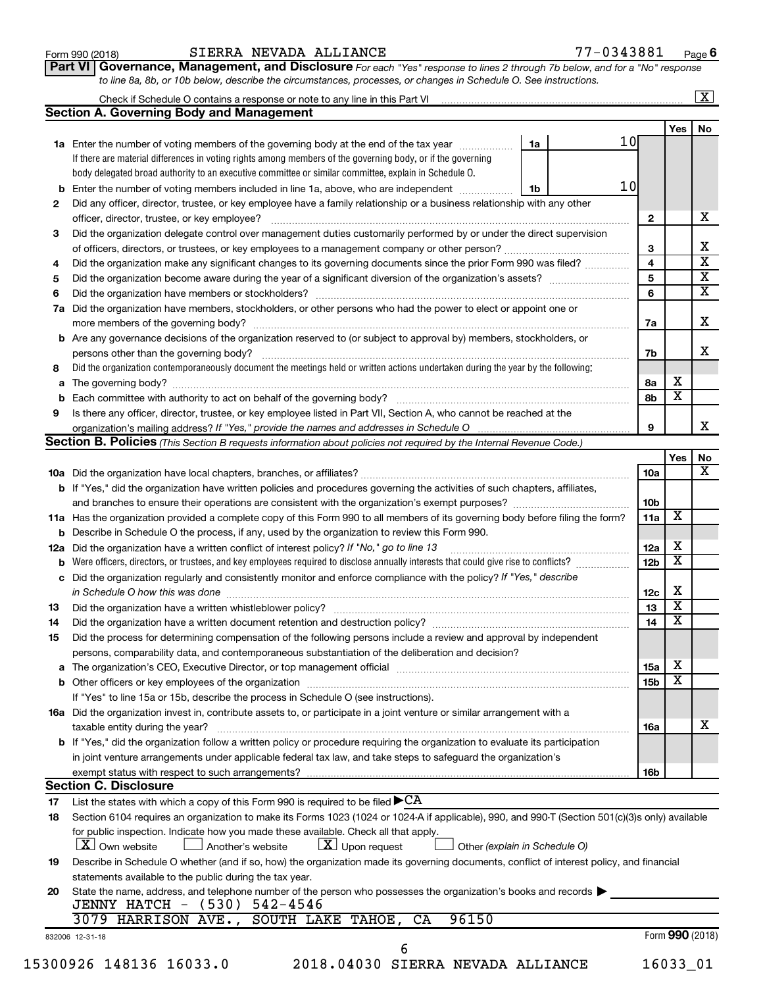| Form 990 (2018) |  |  |
|-----------------|--|--|
|-----------------|--|--|

### Form 990 (2018) Page SIERRA NEVADA ALLIANCE 77-0343881

**Part VI** Governance, Management, and Disclosure For each "Yes" response to lines 2 through 7b below, and for a "No" response *to line 8a, 8b, or 10b below, describe the circumstances, processes, or changes in Schedule O. See instructions.*

|    |                                                                                                                                                                          |    |    |                 |                         | $\mathbf{X}$ |
|----|--------------------------------------------------------------------------------------------------------------------------------------------------------------------------|----|----|-----------------|-------------------------|--------------|
|    | <b>Section A. Governing Body and Management</b>                                                                                                                          |    |    |                 |                         |              |
|    |                                                                                                                                                                          |    |    |                 | Yes                     | No           |
|    | 1a Enter the number of voting members of the governing body at the end of the tax year                                                                                   | 1a | 10 |                 |                         |              |
|    | If there are material differences in voting rights among members of the governing body, or if the governing                                                              |    |    |                 |                         |              |
|    | body delegated broad authority to an executive committee or similar committee, explain in Schedule O.                                                                    |    |    |                 |                         |              |
|    | <b>b</b> Enter the number of voting members included in line 1a, above, who are independent <i>manumum</i>                                                               | 1b | 10 |                 |                         |              |
| 2  | Did any officer, director, trustee, or key employee have a family relationship or a business relationship with any other                                                 |    |    |                 |                         |              |
|    |                                                                                                                                                                          |    |    | 2               |                         |              |
| 3  | Did the organization delegate control over management duties customarily performed by or under the direct supervision                                                    |    |    |                 |                         |              |
|    |                                                                                                                                                                          |    |    | 3               |                         |              |
| 4  | Did the organization make any significant changes to its governing documents since the prior Form 990 was filed?                                                         |    |    | 4               |                         |              |
| 5  |                                                                                                                                                                          |    |    | 5               |                         |              |
| 6  |                                                                                                                                                                          |    |    | 6               |                         |              |
| 7a | Did the organization have members, stockholders, or other persons who had the power to elect or appoint one or                                                           |    |    |                 |                         |              |
|    |                                                                                                                                                                          |    |    | 7a              |                         |              |
|    | <b>b</b> Are any governance decisions of the organization reserved to (or subject to approval by) members, stockholders, or                                              |    |    |                 |                         |              |
|    |                                                                                                                                                                          |    |    | 7b              |                         |              |
| 8  | Did the organization contemporaneously document the meetings held or written actions undertaken during the year by the following:                                        |    |    |                 |                         |              |
|    |                                                                                                                                                                          |    |    |                 | х                       |              |
|    |                                                                                                                                                                          |    |    | 8а              | $\overline{\textbf{x}}$ |              |
|    |                                                                                                                                                                          |    |    | 8b              |                         |              |
| 9  | Is there any officer, director, trustee, or key employee listed in Part VII, Section A, who cannot be reached at the                                                     |    |    |                 |                         |              |
|    |                                                                                                                                                                          |    |    | 9               |                         |              |
|    | <b>Section B. Policies</b> (This Section B requests information about policies not required by the Internal Revenue Code.)                                               |    |    |                 |                         |              |
|    |                                                                                                                                                                          |    |    |                 | Yes                     |              |
|    |                                                                                                                                                                          |    |    | 10a             |                         |              |
|    | b If "Yes," did the organization have written policies and procedures governing the activities of such chapters, affiliates,                                             |    |    |                 |                         |              |
|    |                                                                                                                                                                          |    |    | 10b             |                         |              |
|    | 11a Has the organization provided a complete copy of this Form 990 to all members of its governing body before filing the form?                                          |    |    | 11a             | X                       |              |
|    | <b>b</b> Describe in Schedule O the process, if any, used by the organization to review this Form 990.                                                                   |    |    |                 |                         |              |
|    | 12a Did the organization have a written conflict of interest policy? If "No," go to line 13                                                                              |    |    | 12a             | х                       |              |
|    | <b>b</b> Were officers, directors, or trustees, and key employees required to disclose annually interests that could give rise to conflicts?                             |    |    | 12 <sub>b</sub> | х                       |              |
|    | c Did the organization regularly and consistently monitor and enforce compliance with the policy? If "Yes," describe                                                     |    |    |                 |                         |              |
|    | in Schedule O how this was done <i>manufacture contract to the set of the set of the set of the set of the set of t</i>                                                  |    |    | 12c             | X                       |              |
| 13 |                                                                                                                                                                          |    |    | 13              | $\overline{\textbf{x}}$ |              |
| 14 |                                                                                                                                                                          |    |    | 14              | $\overline{\mathbf{X}}$ |              |
| 15 | Did the process for determining compensation of the following persons include a review and approval by independent                                                       |    |    |                 |                         |              |
|    | persons, comparability data, and contemporaneous substantiation of the deliberation and decision?                                                                        |    |    |                 |                         |              |
|    |                                                                                                                                                                          |    |    | 15a             | х                       |              |
|    |                                                                                                                                                                          |    |    | 15 <sub>b</sub> | $\overline{\textbf{x}}$ |              |
|    | If "Yes" to line 15a or 15b, describe the process in Schedule O (see instructions).                                                                                      |    |    |                 |                         |              |
|    | 16a Did the organization invest in, contribute assets to, or participate in a joint venture or similar arrangement with a                                                |    |    |                 |                         |              |
|    |                                                                                                                                                                          |    |    |                 |                         |              |
|    | taxable entity during the year?<br><b>b</b> If "Yes," did the organization follow a written policy or procedure requiring the organization to evaluate its participation |    |    | 16a             |                         |              |
|    |                                                                                                                                                                          |    |    |                 |                         |              |
|    | in joint venture arrangements under applicable federal tax law, and take steps to safeguard the organization's                                                           |    |    |                 |                         |              |
|    | exempt status with respect to such arrangements?                                                                                                                         |    |    | 16b             |                         |              |
|    | <b>Section C. Disclosure</b>                                                                                                                                             |    |    |                 |                         |              |
| 17 | List the states with which a copy of this Form 990 is required to be filed $\blacktriangleright$ CA                                                                      |    |    |                 |                         |              |
| 18 | Section 6104 requires an organization to make its Forms 1023 (1024 or 1024 A if applicable), 990, and 990 T (Section 501(c)(3)s only) available                          |    |    |                 |                         |              |
|    | for public inspection. Indicate how you made these available. Check all that apply.                                                                                      |    |    |                 |                         |              |
|    | $\lfloor x \rfloor$ Upon request<br><b>X</b> Own website<br>Another's website<br>Other (explain in Schedule O)                                                           |    |    |                 |                         |              |
| 19 | Describe in Schedule O whether (and if so, how) the organization made its governing documents, conflict of interest policy, and financial                                |    |    |                 |                         |              |
|    | statements available to the public during the tax year.                                                                                                                  |    |    |                 |                         |              |
| 20 | State the name, address, and telephone number of the person who possesses the organization's books and records                                                           |    |    |                 |                         |              |
|    | JENNY HATCH - (530) 542-4546                                                                                                                                             |    |    |                 |                         |              |
|    | 96150<br>3079 HARRISON AVE.,<br>SOUTH LAKE TAHOE,<br>CA                                                                                                                  |    |    |                 |                         |              |
|    | 832006 12-31-18                                                                                                                                                          |    |    |                 | Form 990 (2018)         |              |
|    | 6                                                                                                                                                                        |    |    |                 |                         |              |
|    | 15300926 148136 16033.0<br>2018.04030 SIERRA NEVADA ALLIANCE                                                                                                             |    |    |                 | 16033_01                |              |
|    |                                                                                                                                                                          |    |    |                 |                         |              |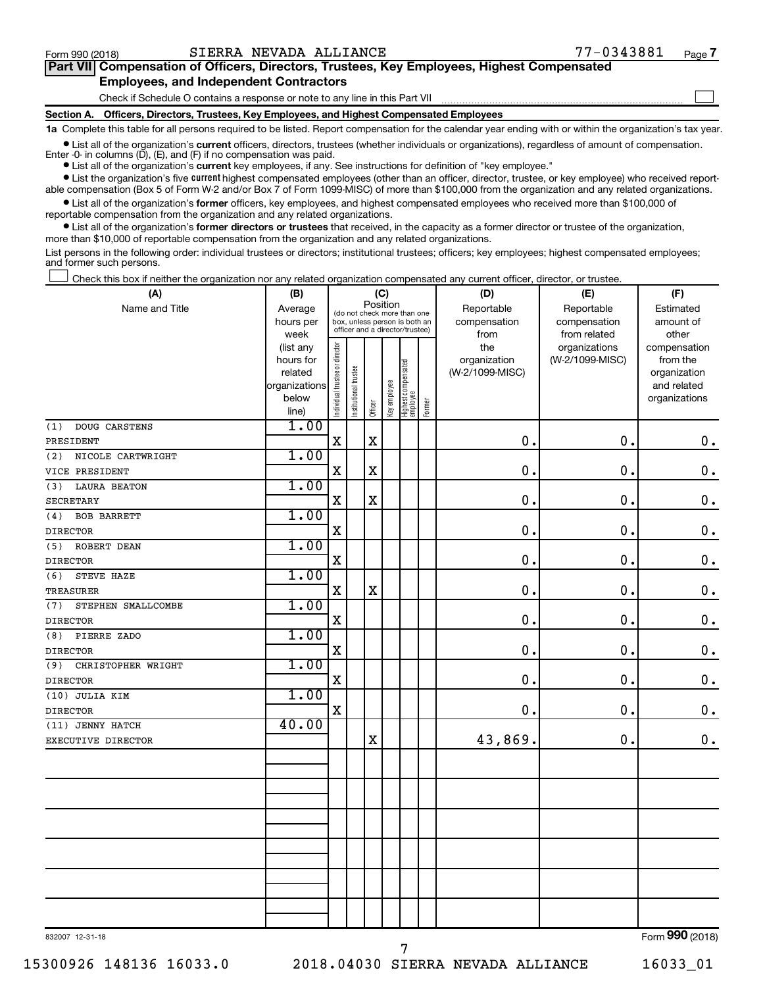$\Box$ 

| Part VII Compensation of Officers, Directors, Trustees, Key Employees, Highest Compensated |  |  |  |
|--------------------------------------------------------------------------------------------|--|--|--|
| <b>Employees, and Independent Contractors</b>                                              |  |  |  |

Check if Schedule O contains a response or note to any line in this Part VII

**Section A. Officers, Directors, Trustees, Key Employees, and Highest Compensated Employees**

**1a**  Complete this table for all persons required to be listed. Report compensation for the calendar year ending with or within the organization's tax year.

**•** List all of the organization's current officers, directors, trustees (whether individuals or organizations), regardless of amount of compensation. Enter -0- in columns  $(D)$ ,  $(E)$ , and  $(F)$  if no compensation was paid.

**•** List all of the organization's **current** key employees, if any. See instructions for definition of "key employee."

**•** List the organization's five current highest compensated employees (other than an officer, director, trustee, or key employee) who received reportable compensation (Box 5 of Form W-2 and/or Box 7 of Form 1099-MISC) of more than \$100,000 from the organization and any related organizations.

**•** List all of the organization's former officers, key employees, and highest compensated employees who received more than \$100,000 of reportable compensation from the organization and any related organizations.

**•** List all of the organization's former directors or trustees that received, in the capacity as a former director or trustee of the organization, more than \$10,000 of reportable compensation from the organization and any related organizations.

List persons in the following order: individual trustees or directors; institutional trustees; officers; key employees; highest compensated employees; and former such persons.

Check this box if neither the organization nor any related organization compensated any current officer, director, or trustee.  $\Box$ 

| (A)                                   | (B)                                                                          |                                |                                                                                                 |                         | (C)          |                                 |        | (D)                                            | (E)                                              | (F)                                                                               |
|---------------------------------------|------------------------------------------------------------------------------|--------------------------------|-------------------------------------------------------------------------------------------------|-------------------------|--------------|---------------------------------|--------|------------------------------------------------|--------------------------------------------------|-----------------------------------------------------------------------------------|
| Name and Title                        | Average<br>hours per                                                         |                                | (do not check more than one<br>box, unless person is both an<br>officer and a director/trustee) | Position                |              |                                 |        | Reportable<br>compensation                     | Reportable<br>compensation                       | Estimated<br>amount of                                                            |
|                                       | week<br>(list any<br>hours for<br>related<br>organizations<br>below<br>line) | Individual trustee or director | nstitutional trustee                                                                            | Officer                 | Key employee | Highest compensated<br>employee | Former | from<br>the<br>organization<br>(W-2/1099-MISC) | from related<br>organizations<br>(W-2/1099-MISC) | other<br>compensation<br>from the<br>organization<br>and related<br>organizations |
| (1)<br>DOUG CARSTENS                  | 1.00                                                                         |                                |                                                                                                 |                         |              |                                 |        |                                                |                                                  |                                                                                   |
| PRESIDENT                             |                                                                              | $\mathbf X$                    |                                                                                                 | $\mathbf X$             |              |                                 |        | 0.                                             | 0.                                               | $\mathbf 0$ .                                                                     |
| (2)<br>NICOLE CARTWRIGHT              | 1.00                                                                         |                                |                                                                                                 |                         |              |                                 |        |                                                |                                                  |                                                                                   |
| VICE PRESIDENT                        |                                                                              | X                              |                                                                                                 | $\overline{\text{X}}$   |              |                                 |        | 0.                                             | $\mathbf 0$ .                                    | $\mathbf 0$ .                                                                     |
| <b>LAURA BEATON</b><br>(3)            | 1.00                                                                         |                                |                                                                                                 |                         |              |                                 |        |                                                |                                                  |                                                                                   |
| <b>SECRETARY</b>                      | 1.00                                                                         | X                              |                                                                                                 | $\mathbf X$             |              |                                 |        | $\mathbf 0$                                    | 0.                                               | $\mathbf 0$ .                                                                     |
| (4)<br><b>BOB BARRETT</b>             |                                                                              |                                |                                                                                                 |                         |              |                                 |        | $\mathbf 0$                                    | $\mathbf 0$ .                                    |                                                                                   |
| <b>DIRECTOR</b>                       | 1.00                                                                         | X                              |                                                                                                 |                         |              |                                 |        |                                                |                                                  | $\mathbf 0$ .                                                                     |
| (5)<br>ROBERT DEAN<br><b>DIRECTOR</b> |                                                                              | $\mathbf X$                    |                                                                                                 |                         |              |                                 |        | $\mathbf 0$                                    | $\mathbf 0$ .                                    | $\mathbf 0$ .                                                                     |
| STEVE HAZE<br>(6)                     | 1.00                                                                         |                                |                                                                                                 |                         |              |                                 |        |                                                |                                                  |                                                                                   |
| <b>TREASURER</b>                      |                                                                              | X                              |                                                                                                 | $\overline{\mathbf{X}}$ |              |                                 |        | $\mathbf 0$ .                                  | $\mathbf 0$ .                                    | $\mathbf 0$ .                                                                     |
| STEPHEN SMALLCOMBE<br>(7)             | 1.00                                                                         |                                |                                                                                                 |                         |              |                                 |        |                                                |                                                  |                                                                                   |
| <b>DIRECTOR</b>                       |                                                                              | X                              |                                                                                                 |                         |              |                                 |        | $\mathbf 0$ .                                  | $\mathbf 0$                                      | $\mathbf 0$ .                                                                     |
| (8)<br>PIERRE ZADO                    | 1.00                                                                         |                                |                                                                                                 |                         |              |                                 |        |                                                |                                                  |                                                                                   |
| <b>DIRECTOR</b>                       |                                                                              | X                              |                                                                                                 |                         |              |                                 |        | $\mathbf 0$                                    | $\mathbf 0$ .                                    | 0.                                                                                |
| (9)<br>CHRISTOPHER WRIGHT             | 1.00                                                                         |                                |                                                                                                 |                         |              |                                 |        |                                                |                                                  |                                                                                   |
| <b>DIRECTOR</b>                       |                                                                              | X                              |                                                                                                 |                         |              |                                 |        | $\mathbf 0$ .                                  | $\mathbf 0$ .                                    | $\mathbf 0$ .                                                                     |
| (10) JULIA KIM                        | 1.00                                                                         |                                |                                                                                                 |                         |              |                                 |        |                                                |                                                  |                                                                                   |
| <b>DIRECTOR</b>                       |                                                                              | X                              |                                                                                                 |                         |              |                                 |        | $0$ .                                          | 0.                                               | $0$ .                                                                             |
| (11) JENNY HATCH                      | 40.00                                                                        |                                |                                                                                                 |                         |              |                                 |        |                                                |                                                  |                                                                                   |
| EXECUTIVE DIRECTOR                    |                                                                              |                                |                                                                                                 | $\mathbf X$             |              |                                 |        | 43,869.                                        | 0.                                               | $0$ .                                                                             |
|                                       |                                                                              |                                |                                                                                                 |                         |              |                                 |        |                                                |                                                  |                                                                                   |
|                                       |                                                                              |                                |                                                                                                 |                         |              |                                 |        |                                                |                                                  |                                                                                   |
|                                       |                                                                              |                                |                                                                                                 |                         |              |                                 |        |                                                |                                                  |                                                                                   |
|                                       |                                                                              |                                |                                                                                                 |                         |              |                                 |        |                                                |                                                  |                                                                                   |
|                                       |                                                                              |                                |                                                                                                 |                         |              |                                 |        |                                                |                                                  |                                                                                   |
|                                       |                                                                              |                                |                                                                                                 |                         |              |                                 |        |                                                |                                                  |                                                                                   |
|                                       |                                                                              |                                |                                                                                                 |                         |              |                                 |        |                                                |                                                  |                                                                                   |
| 832007 12-31-18                       |                                                                              |                                |                                                                                                 |                         |              |                                 |        |                                                |                                                  | Form 990 (2018)                                                                   |

832007 12-31-18

15300926 148136 16033.0 2018.04030 SIERRA NEVADA ALLIANCE 16033\_01

7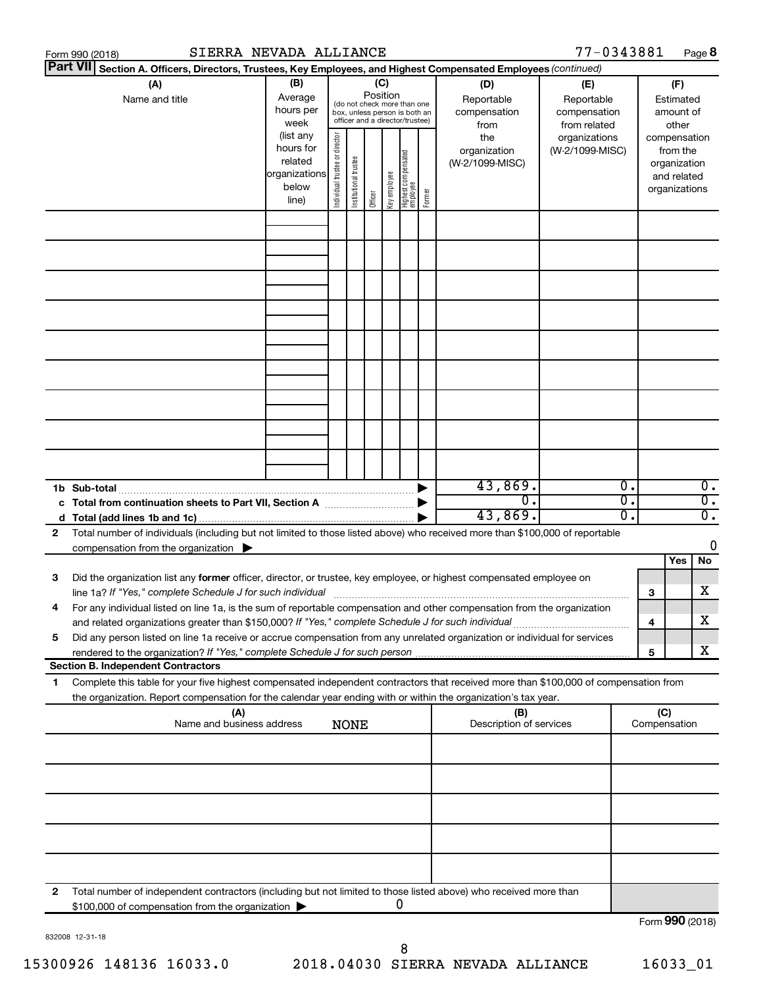|    | SIERRA NEVADA ALLIANCE<br>Form 990 (2018)                                                                                                                                                                                       |                                                                      |                                |                       |          |              |                                                                                                 |        |                                           | 77-0343881                                        |              |                                        |                                                                          | Page 8           |
|----|---------------------------------------------------------------------------------------------------------------------------------------------------------------------------------------------------------------------------------|----------------------------------------------------------------------|--------------------------------|-----------------------|----------|--------------|-------------------------------------------------------------------------------------------------|--------|-------------------------------------------|---------------------------------------------------|--------------|----------------------------------------|--------------------------------------------------------------------------|------------------|
|    | <b>Part VII</b><br>Section A. Officers, Directors, Trustees, Key Employees, and Highest Compensated Employees (continued)                                                                                                       |                                                                      |                                |                       |          |              |                                                                                                 |        |                                           |                                                   |              |                                        |                                                                          |                  |
|    | (A)<br>Name and title                                                                                                                                                                                                           | (B)<br>Average<br>hours per<br>week                                  |                                |                       | Position | (C)          | (do not check more than one<br>box, unless person is both an<br>officer and a director/trustee) |        | (D)<br>Reportable<br>compensation<br>from | (E)<br>Reportable<br>compensation<br>from related |              | (F)<br>Estimated<br>amount of<br>other |                                                                          |                  |
|    |                                                                                                                                                                                                                                 | (list any<br>hours for<br>related<br>organizations<br>below<br>line) | Individual trustee or director | Institutional trustee | Officer  | Key employee | Highest compensated<br>  employee                                                               | Former | the<br>organization<br>(W-2/1099-MISC)    | organizations<br>(W-2/1099-MISC)                  |              |                                        | compensation<br>from the<br>organization<br>and related<br>organizations |                  |
|    |                                                                                                                                                                                                                                 |                                                                      |                                |                       |          |              |                                                                                                 |        |                                           |                                                   |              |                                        |                                                                          |                  |
|    |                                                                                                                                                                                                                                 |                                                                      |                                |                       |          |              |                                                                                                 |        |                                           |                                                   |              |                                        |                                                                          |                  |
|    |                                                                                                                                                                                                                                 |                                                                      |                                |                       |          |              |                                                                                                 |        |                                           |                                                   |              |                                        |                                                                          |                  |
|    |                                                                                                                                                                                                                                 |                                                                      |                                |                       |          |              |                                                                                                 |        |                                           |                                                   |              |                                        |                                                                          |                  |
|    |                                                                                                                                                                                                                                 |                                                                      |                                |                       |          |              |                                                                                                 |        |                                           |                                                   |              |                                        |                                                                          |                  |
|    |                                                                                                                                                                                                                                 |                                                                      |                                |                       |          |              |                                                                                                 |        |                                           |                                                   |              |                                        |                                                                          |                  |
|    |                                                                                                                                                                                                                                 |                                                                      |                                |                       |          |              |                                                                                                 |        | 43,869.                                   |                                                   | 0.           |                                        |                                                                          | $\overline{0}$ . |
|    | 1b Sub-total<br>c Total from continuation sheets to Part VII, Section A manufactured by                                                                                                                                         |                                                                      |                                |                       |          |              |                                                                                                 |        | $\overline{0}$ .                          |                                                   | σ.           |                                        |                                                                          | $\overline{0}$ . |
|    |                                                                                                                                                                                                                                 |                                                                      |                                |                       |          |              |                                                                                                 |        | 43,869.                                   |                                                   | о.           |                                        |                                                                          | $\overline{0}$ . |
| 2  | Total number of individuals (including but not limited to those listed above) who received more than \$100,000 of reportable<br>compensation from the organization $\blacktriangleright$                                        |                                                                      |                                |                       |          |              |                                                                                                 |        |                                           |                                                   |              |                                        |                                                                          | 0                |
| 3  | Did the organization list any former officer, director, or trustee, key employee, or highest compensated employee on                                                                                                            |                                                                      |                                |                       |          |              |                                                                                                 |        |                                           |                                                   |              |                                        | Yes                                                                      | No<br>х          |
|    | For any individual listed on line 1a, is the sum of reportable compensation and other compensation from the organization<br>and related organizations greater than \$150,000? If "Yes," complete Schedule J for such individual |                                                                      |                                |                       |          |              |                                                                                                 |        |                                           |                                                   |              | 3<br>4                                 |                                                                          | х                |
| 5  | Did any person listed on line 1a receive or accrue compensation from any unrelated organization or individual for services                                                                                                      |                                                                      |                                |                       |          |              |                                                                                                 |        |                                           |                                                   |              | 5                                      |                                                                          | х                |
| 1. | <b>Section B. Independent Contractors</b><br>Complete this table for your five highest compensated independent contractors that received more than \$100,000 of compensation from                                               |                                                                      |                                |                       |          |              |                                                                                                 |        |                                           |                                                   |              |                                        |                                                                          |                  |
|    | the organization. Report compensation for the calendar year ending with or within the organization's tax year.                                                                                                                  |                                                                      |                                |                       |          |              |                                                                                                 |        |                                           |                                                   |              |                                        |                                                                          |                  |
|    | (A)<br>(B)<br>Name and business address<br>Description of services<br><b>NONE</b>                                                                                                                                               |                                                                      |                                |                       |          |              |                                                                                                 |        |                                           | (C)                                               | Compensation |                                        |                                                                          |                  |
|    |                                                                                                                                                                                                                                 |                                                                      |                                |                       |          |              |                                                                                                 |        |                                           |                                                   |              |                                        |                                                                          |                  |
|    |                                                                                                                                                                                                                                 |                                                                      |                                |                       |          |              |                                                                                                 |        |                                           |                                                   |              |                                        |                                                                          |                  |
|    |                                                                                                                                                                                                                                 |                                                                      |                                |                       |          |              |                                                                                                 |        |                                           |                                                   |              |                                        |                                                                          |                  |
|    |                                                                                                                                                                                                                                 |                                                                      |                                |                       |          |              |                                                                                                 |        |                                           |                                                   |              |                                        |                                                                          |                  |
| 2  | Total number of independent contractors (including but not limited to those listed above) who received more than<br>\$100,000 of compensation from the organization                                                             |                                                                      |                                |                       |          |              | 0                                                                                               |        |                                           |                                                   |              |                                        |                                                                          |                  |
|    |                                                                                                                                                                                                                                 |                                                                      |                                |                       |          |              |                                                                                                 |        |                                           |                                                   |              |                                        | $F_{\text{O}}$ 990 (2018)                                                |                  |

832008 12-31-18

Form (2018) **990**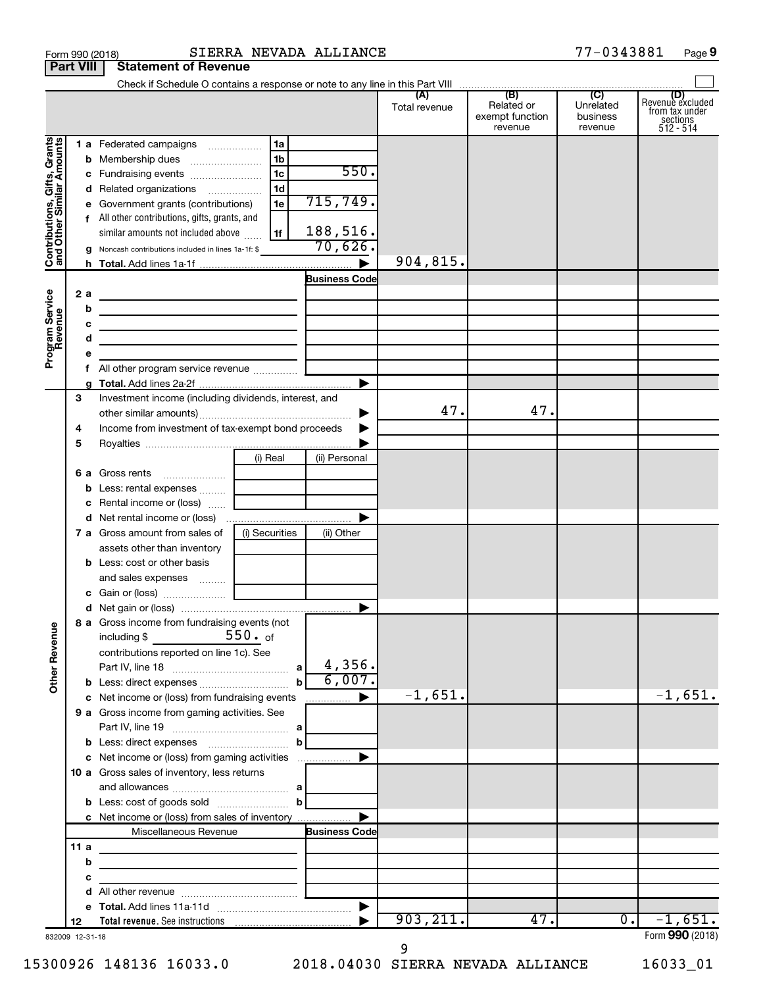|                                                                                         | <b>Part VIII</b>                  | <b>Statement of Revenue</b>                                                                                                                                                                                                                                                                                                                                                                                                                                                                                                                                                                  |                                                                                                                       |                                                                         |                      |                                                 |                                                    |                                                                    |
|-----------------------------------------------------------------------------------------|-----------------------------------|----------------------------------------------------------------------------------------------------------------------------------------------------------------------------------------------------------------------------------------------------------------------------------------------------------------------------------------------------------------------------------------------------------------------------------------------------------------------------------------------------------------------------------------------------------------------------------------------|-----------------------------------------------------------------------------------------------------------------------|-------------------------------------------------------------------------|----------------------|-------------------------------------------------|----------------------------------------------------|--------------------------------------------------------------------|
|                                                                                         |                                   |                                                                                                                                                                                                                                                                                                                                                                                                                                                                                                                                                                                              |                                                                                                                       |                                                                         |                      |                                                 |                                                    |                                                                    |
|                                                                                         |                                   |                                                                                                                                                                                                                                                                                                                                                                                                                                                                                                                                                                                              |                                                                                                                       |                                                                         | (A)<br>Total revenue | (B)<br>Related or<br>exempt function<br>revenue | $\overline{C}$<br>Unrelated<br>business<br>revenue | (D)<br>Revenue excluded<br>trom tax under<br>sections<br>512 - 514 |
| Gifts, Grants<br>Contributions, Gift<br>and Other Similar<br>Program Service<br>Revenue | 2 a<br>b<br>c<br>d<br>е<br>f<br>a | 1 a Federated campaigns<br><b>b</b> Membership dues<br>c Fundraising events<br>d Related organizations<br>e Government grants (contributions)<br>f All other contributions, gifts, grants, and<br>similar amounts not included above<br>g Noncash contributions included in lines 1a-1f: \$<br>the control of the control of the control of the control of the control of<br>the control of the control of the control of the control of the control of the control of<br>the control of the control of the control of the control of the control of<br>All other program service revenue  [ | 1a<br>1b<br>1 <sub>c</sub><br>1 <sub>d</sub><br>1e<br>1f                                                              | 550.<br>715,749 <b>.</b><br>188,516.<br>70,626.<br><b>Business Code</b> | 904,815.             |                                                 |                                                    |                                                                    |
|                                                                                         | З<br>4<br>5                       | Investment income (including dividends, interest, and<br>Income from investment of tax-exempt bond proceeds                                                                                                                                                                                                                                                                                                                                                                                                                                                                                  |                                                                                                                       | ▶                                                                       | 47.                  | 47.                                             |                                                    |                                                                    |
|                                                                                         | b<br>c                            | <b>6 a</b> Gross rents<br>Less: rental expenses<br>Rental income or (loss)<br><b>d</b> Net rental income or (loss)<br><b>7 a</b> Gross amount from sales of                                                                                                                                                                                                                                                                                                                                                                                                                                  | (i) Real<br>(i) Securities                                                                                            | (ii) Personal<br>(ii) Other                                             |                      |                                                 |                                                    |                                                                    |
|                                                                                         |                                   | assets other than inventory<br><b>b</b> Less: cost or other basis<br>and sales expenses                                                                                                                                                                                                                                                                                                                                                                                                                                                                                                      |                                                                                                                       | $\blacktriangleright$                                                   |                      |                                                 |                                                    |                                                                    |
| <b>Other Revenue</b>                                                                    |                                   | 8 a Gross income from fundraising events (not<br>$\frac{550}{100}$ . of<br>including $$$<br>contributions reported on line 1c). See<br>c Net income or (loss) from fundraising events                                                                                                                                                                                                                                                                                                                                                                                                        |                                                                                                                       | 4,356.<br>6,007.<br>▶                                                   | $-1,651.$            |                                                 |                                                    | $-1,651.$                                                          |
|                                                                                         |                                   | 9 a Gross income from gaming activities. See                                                                                                                                                                                                                                                                                                                                                                                                                                                                                                                                                 |                                                                                                                       |                                                                         |                      |                                                 |                                                    |                                                                    |
|                                                                                         |                                   | c Net income or (loss) from gaming activities<br>10 a Gross sales of inventory, less returns<br>c Net income or (loss) from sales of inventory                                                                                                                                                                                                                                                                                                                                                                                                                                               |                                                                                                                       | ▶                                                                       |                      |                                                 |                                                    |                                                                    |
|                                                                                         |                                   | Miscellaneous Revenue                                                                                                                                                                                                                                                                                                                                                                                                                                                                                                                                                                        |                                                                                                                       | <b>Business Code</b>                                                    |                      |                                                 |                                                    |                                                                    |
|                                                                                         | 11a<br>b<br>с<br>d                |                                                                                                                                                                                                                                                                                                                                                                                                                                                                                                                                                                                              | <u> 1989 - John Stein, mars and de Brandenburg and de Brandenburg and de Brandenburg and de Brandenburg and de Br</u> |                                                                         |                      |                                                 |                                                    |                                                                    |
|                                                                                         |                                   |                                                                                                                                                                                                                                                                                                                                                                                                                                                                                                                                                                                              |                                                                                                                       |                                                                         |                      |                                                 |                                                    |                                                                    |
|                                                                                         | 12<br>832009 12-31-18             |                                                                                                                                                                                                                                                                                                                                                                                                                                                                                                                                                                                              |                                                                                                                       |                                                                         | 903, 211.            | 47.                                             | $\overline{0}$ .                                   | $-1,651.$<br>Form 990 (2018)                                       |

9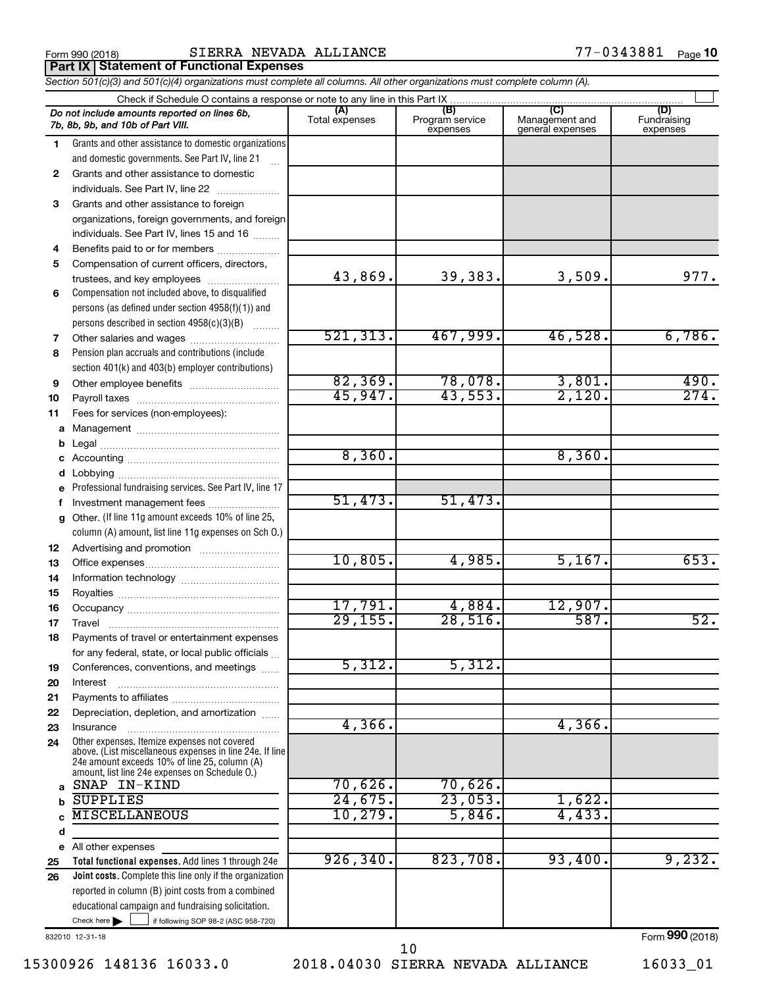Form 990 (2018) SIERRA NEVADA ALLIANCE 77-0343881 <sub>Page</sub> **Part IX Statement of Functional Expenses**

*Section 501(c)(3) and 501(c)(4) organizations must complete all columns. All other organizations must complete column (A).*

|              | Do not include amounts reported on lines 6b,<br>7b, 8b, 9b, and 10b of Part VIII.                                                                           | (A)<br>Total expenses | (B)<br>Program service<br>expenses | (C)<br>Management and<br>general expenses | (D)<br>Fundraising<br>expenses |
|--------------|-------------------------------------------------------------------------------------------------------------------------------------------------------------|-----------------------|------------------------------------|-------------------------------------------|--------------------------------|
| 1.           | Grants and other assistance to domestic organizations                                                                                                       |                       |                                    |                                           |                                |
|              | and domestic governments. See Part IV, line 21                                                                                                              |                       |                                    |                                           |                                |
| $\mathbf{2}$ | Grants and other assistance to domestic                                                                                                                     |                       |                                    |                                           |                                |
|              | individuals. See Part IV, line 22                                                                                                                           |                       |                                    |                                           |                                |
| 3            | Grants and other assistance to foreign                                                                                                                      |                       |                                    |                                           |                                |
|              | organizations, foreign governments, and foreign                                                                                                             |                       |                                    |                                           |                                |
|              | individuals. See Part IV, lines 15 and 16                                                                                                                   |                       |                                    |                                           |                                |
| 4            | Benefits paid to or for members                                                                                                                             |                       |                                    |                                           |                                |
| 5            | Compensation of current officers, directors,                                                                                                                |                       |                                    |                                           |                                |
|              | trustees, and key employees                                                                                                                                 | 43,869.               | 39,383.                            | 3,509.                                    | 977.                           |
| 6            | Compensation not included above, to disqualified                                                                                                            |                       |                                    |                                           |                                |
|              | persons (as defined under section $4958(f)(1)$ ) and                                                                                                        |                       |                                    |                                           |                                |
|              | persons described in section 4958(c)(3)(B)                                                                                                                  |                       |                                    |                                           |                                |
| 7            |                                                                                                                                                             | 521, 313.             | 467,999.                           | 46,528.                                   | 6,786.                         |
| 8            | Pension plan accruals and contributions (include                                                                                                            |                       |                                    |                                           |                                |
|              | section 401(k) and 403(b) employer contributions)                                                                                                           |                       |                                    |                                           |                                |
| 9            | Other employee benefits                                                                                                                                     | 82, 369.              | 78,078.                            | 3,801.                                    | 490.                           |
| 10           |                                                                                                                                                             | 45,947.               | 43,553.                            | 2,120.                                    | 274.                           |
| 11           | Fees for services (non-employees):                                                                                                                          |                       |                                    |                                           |                                |
| a            |                                                                                                                                                             |                       |                                    |                                           |                                |
| b            |                                                                                                                                                             | 8,360.                |                                    | 8,360.                                    |                                |
| c            |                                                                                                                                                             |                       |                                    |                                           |                                |
| d            |                                                                                                                                                             |                       |                                    |                                           |                                |
|              | Professional fundraising services. See Part IV, line 17                                                                                                     | 51,473.               | 51,473.                            |                                           |                                |
| f            | Investment management fees                                                                                                                                  |                       |                                    |                                           |                                |
| g            | Other. (If line 11g amount exceeds 10% of line 25,<br>column (A) amount, list line 11g expenses on Sch O.)                                                  |                       |                                    |                                           |                                |
| 12           |                                                                                                                                                             |                       |                                    |                                           |                                |
| 13           |                                                                                                                                                             | 10,805.               | 4,985.                             | 5,167.                                    | 653.                           |
| 14           |                                                                                                                                                             |                       |                                    |                                           |                                |
| 15           |                                                                                                                                                             | 17,791.               | 4,884.                             | 12,907.                                   |                                |
| 16           |                                                                                                                                                             | 29, 155.              | 28,516.                            | 587.                                      | 52.                            |
| 17           |                                                                                                                                                             |                       |                                    |                                           |                                |
| 18           | Payments of travel or entertainment expenses                                                                                                                |                       |                                    |                                           |                                |
|              | for any federal, state, or local public officials                                                                                                           | 5,312.                | 5,312.                             |                                           |                                |
| 19           | Conferences, conventions, and meetings                                                                                                                      |                       |                                    |                                           |                                |
| 20           | Interest                                                                                                                                                    |                       |                                    |                                           |                                |
| 21           | Depreciation, depletion, and amortization                                                                                                                   |                       |                                    |                                           |                                |
| 22<br>23     | Insurance                                                                                                                                                   | 4,366.                |                                    | 4, 366.                                   |                                |
| 24           | Other expenses. Itemize expenses not covered                                                                                                                |                       |                                    |                                           |                                |
|              | above. (List miscellaneous expenses in line 24e. If line<br>24e amount exceeds 10% of line 25, column (A)<br>amount, list line 24e expenses on Schedule O.) |                       |                                    |                                           |                                |
| a            | SNAP IN-KIND                                                                                                                                                | 70,626.               | 70,626.                            |                                           |                                |
| b            | <b>SUPPLIES</b>                                                                                                                                             | 24,675.               | 23,053.                            | 1,622.                                    |                                |
|              | <b>MISCELLANEOUS</b>                                                                                                                                        | 10, 279.              | 5,846.                             | 4,433.                                    |                                |
| d            |                                                                                                                                                             |                       |                                    |                                           |                                |
|              | e All other expenses                                                                                                                                        |                       |                                    |                                           |                                |
| 25           | Total functional expenses. Add lines 1 through 24e                                                                                                          | 926, 340.             | 823,708.                           | 93,400.                                   | 9,232.                         |
| 26           | <b>Joint costs.</b> Complete this line only if the organization                                                                                             |                       |                                    |                                           |                                |
|              | reported in column (B) joint costs from a combined                                                                                                          |                       |                                    |                                           |                                |
|              | educational campaign and fundraising solicitation.                                                                                                          |                       |                                    |                                           |                                |
|              | Check here $\blacktriangleright$<br>if following SOP 98-2 (ASC 958-720)                                                                                     |                       |                                    |                                           |                                |

832010 12-31-18

15300926 148136 16033.0 2018.04030 SIERRA NEVADA ALLIANCE 16033\_01 10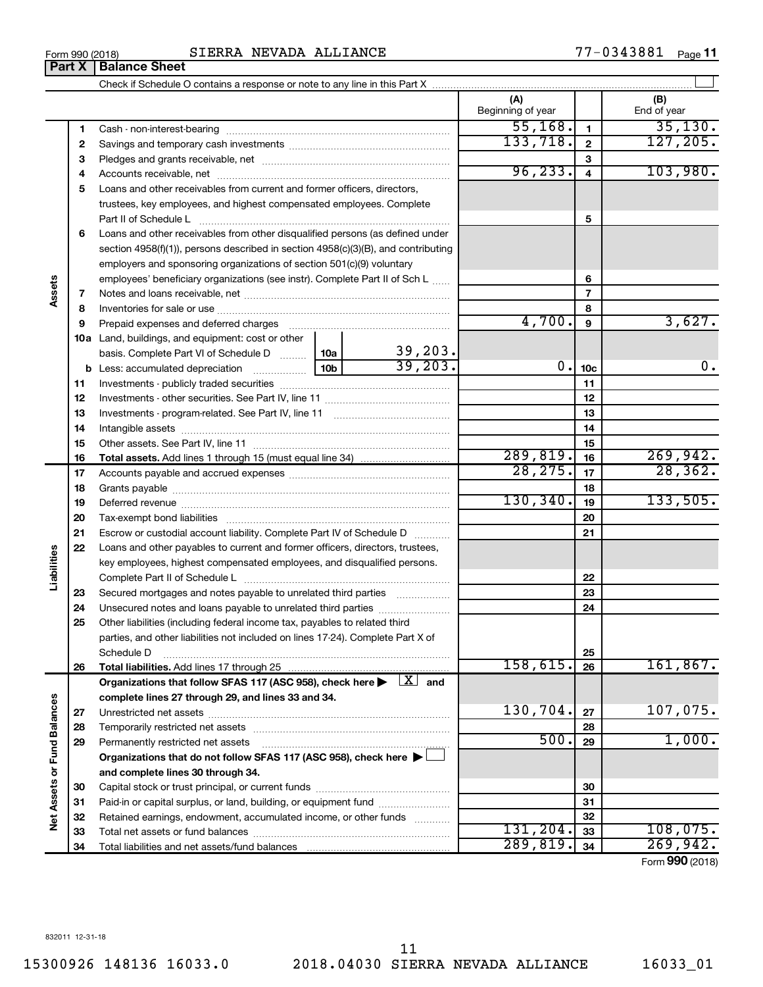|                             |    | section $4958(f)(1)$ , persons described in section $4958(c)(3)(B)$ , and contributing                         |                 |                    |                  |                 |              |
|-----------------------------|----|----------------------------------------------------------------------------------------------------------------|-----------------|--------------------|------------------|-----------------|--------------|
|                             |    | employers and sponsoring organizations of section 501(c)(9) voluntary                                          |                 |                    |                  |                 |              |
|                             |    | employees' beneficiary organizations (see instr). Complete Part II of Sch L                                    |                 |                    |                  | 6               |              |
| Assets                      | 7  |                                                                                                                |                 | $\overline{7}$     |                  |                 |              |
|                             | 8  |                                                                                                                |                 |                    |                  | 8               |              |
|                             | 9  | Prepaid expenses and deferred charges [11] [11] [11] [12] [12] [12] [12] [13] [13] [13] [13] [13] [13] [13] [1 |                 |                    | 4,700.           | 9               | 3,627.       |
|                             |    | 10a Land, buildings, and equipment: cost or other                                                              |                 |                    |                  |                 |              |
|                             |    | basis. Complete Part VI of Schedule D  10a                                                                     |                 | 39,203.            |                  |                 |              |
|                             |    |                                                                                                                | 10 <sub>b</sub> | $\frac{1}{39,203}$ | 0.               | 10 <sub>c</sub> | 0.           |
|                             | 11 |                                                                                                                |                 |                    |                  | 11              |              |
|                             | 12 |                                                                                                                |                 |                    |                  | 12              |              |
|                             | 13 |                                                                                                                |                 |                    |                  | 13              |              |
|                             | 14 |                                                                                                                |                 |                    |                  | 14              |              |
|                             | 15 |                                                                                                                |                 |                    |                  | 15              |              |
|                             | 16 |                                                                                                                |                 |                    | 289, 819.        | 16              | 269,942.     |
|                             | 17 |                                                                                                                |                 |                    | 28, 275.         | 17              | 28, 362.     |
|                             | 18 |                                                                                                                |                 |                    |                  | 18              |              |
|                             | 19 |                                                                                                                |                 |                    | 130, 340.        | 19              | 133,505.     |
|                             | 20 |                                                                                                                |                 |                    |                  | 20              |              |
|                             | 21 | Escrow or custodial account liability. Complete Part IV of Schedule D                                          |                 |                    |                  | 21              |              |
|                             | 22 | Loans and other payables to current and former officers, directors, trustees,                                  |                 |                    |                  |                 |              |
|                             |    | key employees, highest compensated employees, and disqualified persons.                                        |                 |                    |                  |                 |              |
| Liabilities                 |    |                                                                                                                |                 |                    | 22               |                 |              |
|                             | 23 | Secured mortgages and notes payable to unrelated third parties                                                 |                 |                    |                  | 23              |              |
|                             | 24 | Unsecured notes and loans payable to unrelated third parties                                                   |                 |                    |                  | 24              |              |
|                             | 25 | Other liabilities (including federal income tax, payables to related third                                     |                 |                    |                  |                 |              |
|                             |    | parties, and other liabilities not included on lines 17-24). Complete Part X of                                |                 |                    |                  |                 |              |
|                             |    | Schedule D                                                                                                     |                 |                    |                  | 25              |              |
|                             | 26 | <b>Total liabilities.</b> Add lines 17 through 25                                                              |                 |                    | 158,615.         | 26              | 161,867.     |
|                             |    | Organizations that follow SFAS 117 (ASC 958), check here $\blacktriangleright \lfloor X \rfloor$ and           |                 |                    |                  |                 |              |
|                             |    | complete lines 27 through 29, and lines 33 and 34.                                                             |                 |                    |                  |                 |              |
|                             | 27 |                                                                                                                |                 |                    | 130,704.         | 27              | 107,075.     |
|                             | 28 |                                                                                                                |                 |                    | 28               |                 |              |
|                             | 29 | Permanently restricted net assets                                                                              |                 |                    | 500.             | 29              | 1,000.       |
|                             |    | Organizations that do not follow SFAS 117 (ASC 958), check here $\blacktriangleright$                          |                 |                    |                  |                 |              |
| Net Assets or Fund Balances |    | and complete lines 30 through 34.                                                                              |                 |                    |                  |                 |              |
|                             | 30 |                                                                                                                |                 |                    |                  | 30              |              |
|                             | 31 | Paid-in or capital surplus, or land, building, or equipment fund                                               |                 |                    |                  | 31              |              |
|                             | 32 | Retained earnings, endowment, accumulated income, or other funds                                               |                 |                    | 32               |                 |              |
|                             |    |                                                                                                                |                 |                    | $\overline{201}$ | $\sim$          | 1 N Q<br>ハワに |

# Form 990 (2018)  $SIERRA NEVADA ALLIANCE$   $77-0343881$   $Page$

Check if Schedule O contains a response or note to any line in this Part X

Cash - non-interest-bearing ~~~~~~~~~~~~~~~~~~~~~~~~~ Savings and temporary cash investments ~~~~~~~~~~~~~~~~~~ Pledges and grants receivable, net ~~~~~~~~~~~~~~~~~~~~~ Accounts receivable, net ~~~~~~~~~~~~~~~~~~~~~~~~~~

**5** Loans and other receivables from current and former officers, directors,

trustees, key employees, and highest compensated employees. Complete Part II of Schedule L ~~~~~~~~~~~~~~~~~~~~~~~~~~~~ Loans and other receivables from other disqualified persons (as defined under

Paid-in or capital surplus, or land, building, or equipment fund ....................... Retained earnings, endowment, accumulated income, or other funds ............ Total net assets or fund balances ~~~~~~~~~~~~~~~~~~~~~~

Total liabilities and net assets/fund balances

 $\perp$ 

**(A) (B)**

Beginning of year  $\parallel$  | End of year

 $55,168.$  1 35,130. 133,718. 2 127,205

96,233. 4 103,980.

**5**

 $131, 204.$   $33$  108,075. 289,819. 269,942.

Form (2018) **990**

**Part X Balance Sheet** 

**6**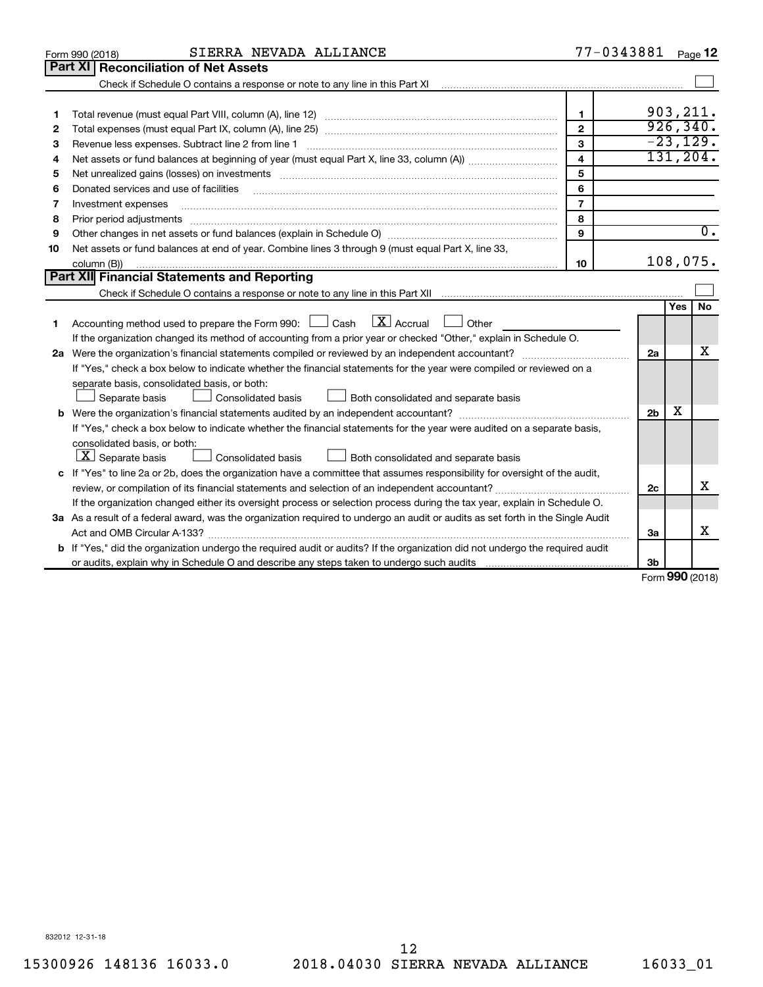|    | SIERRA NEVADA ALLIANCE<br>Form 990 (2018)                                                                                                                                                                                      |                         | 77-0343881     |            | Page 12          |  |
|----|--------------------------------------------------------------------------------------------------------------------------------------------------------------------------------------------------------------------------------|-------------------------|----------------|------------|------------------|--|
|    | Part XI<br><b>Reconciliation of Net Assets</b>                                                                                                                                                                                 |                         |                |            |                  |  |
|    |                                                                                                                                                                                                                                |                         |                |            |                  |  |
|    |                                                                                                                                                                                                                                |                         |                |            |                  |  |
| 1  |                                                                                                                                                                                                                                | $\mathbf{1}$            |                |            | 903,211.         |  |
| 2  |                                                                                                                                                                                                                                | $\mathbf{2}$            |                |            | 926, 340.        |  |
| З  | Revenue less expenses. Subtract line 2 from line 1                                                                                                                                                                             | 3                       |                |            | $-23, 129.$      |  |
| 4  |                                                                                                                                                                                                                                | $\overline{\mathbf{4}}$ |                |            | 131, 204.        |  |
| 5  | Net unrealized gains (losses) on investments [11] matter contracts and the state of the state of the state of the state of the state of the state of the state of the state of the state of the state of the state of the stat | 5                       |                |            |                  |  |
| 6  | Donated services and use of facilities                                                                                                                                                                                         | 6                       |                |            |                  |  |
| 7  | Investment expenses                                                                                                                                                                                                            | $\overline{7}$          |                |            |                  |  |
| 8  | Prior period adjustments material contents and content and content and content and content and content and content and content and content and content and content and content and content and content and content and content | 8                       |                |            |                  |  |
| 9  |                                                                                                                                                                                                                                | 9                       |                |            | $\overline{0}$ . |  |
| 10 | Net assets or fund balances at end of year. Combine lines 3 through 9 (must equal Part X, line 33,                                                                                                                             |                         |                |            |                  |  |
|    | column (B))                                                                                                                                                                                                                    | 10                      |                |            | 108,075.         |  |
|    | Part XII Financial Statements and Reporting                                                                                                                                                                                    |                         |                |            |                  |  |
|    |                                                                                                                                                                                                                                |                         |                |            |                  |  |
|    |                                                                                                                                                                                                                                |                         |                | <b>Yes</b> | No               |  |
| 1  | Accounting method used to prepare the Form 990: $\Box$ Cash $\Box X$ Accrual<br>$\Box$ Other                                                                                                                                   |                         |                |            |                  |  |
|    | If the organization changed its method of accounting from a prior year or checked "Other," explain in Schedule O.                                                                                                              |                         |                |            |                  |  |
|    |                                                                                                                                                                                                                                |                         | 2a             |            | x                |  |
|    | If "Yes," check a box below to indicate whether the financial statements for the year were compiled or reviewed on a                                                                                                           |                         |                |            |                  |  |
|    | separate basis, consolidated basis, or both:                                                                                                                                                                                   |                         |                |            |                  |  |
|    | Both consolidated and separate basis<br>Separate basis<br>Consolidated basis                                                                                                                                                   |                         |                |            |                  |  |
|    |                                                                                                                                                                                                                                |                         | 2 <sub>b</sub> | x          |                  |  |
|    | If "Yes," check a box below to indicate whether the financial statements for the year were audited on a separate basis,                                                                                                        |                         |                |            |                  |  |
|    | consolidated basis, or both:                                                                                                                                                                                                   |                         |                |            |                  |  |
|    | $ \mathbf{X} $ Separate basis<br><b>Consolidated basis</b><br>Both consolidated and separate basis                                                                                                                             |                         |                |            |                  |  |
|    | c If "Yes" to line 2a or 2b, does the organization have a committee that assumes responsibility for oversight of the audit,                                                                                                    |                         |                |            | X                |  |
|    |                                                                                                                                                                                                                                |                         |                |            |                  |  |
|    | If the organization changed either its oversight process or selection process during the tax year, explain in Schedule O.                                                                                                      |                         |                |            |                  |  |
|    | 3a As a result of a federal award, was the organization required to undergo an audit or audits as set forth in the Single Audit                                                                                                |                         |                |            |                  |  |
|    |                                                                                                                                                                                                                                |                         | 3a             |            | х                |  |
|    | b If "Yes," did the organization undergo the required audit or audits? If the organization did not undergo the required audit                                                                                                  |                         |                |            |                  |  |
|    |                                                                                                                                                                                                                                |                         | 3 <sub>b</sub> | <b>000</b> |                  |  |

Form (2018) **990**

832012 12-31-18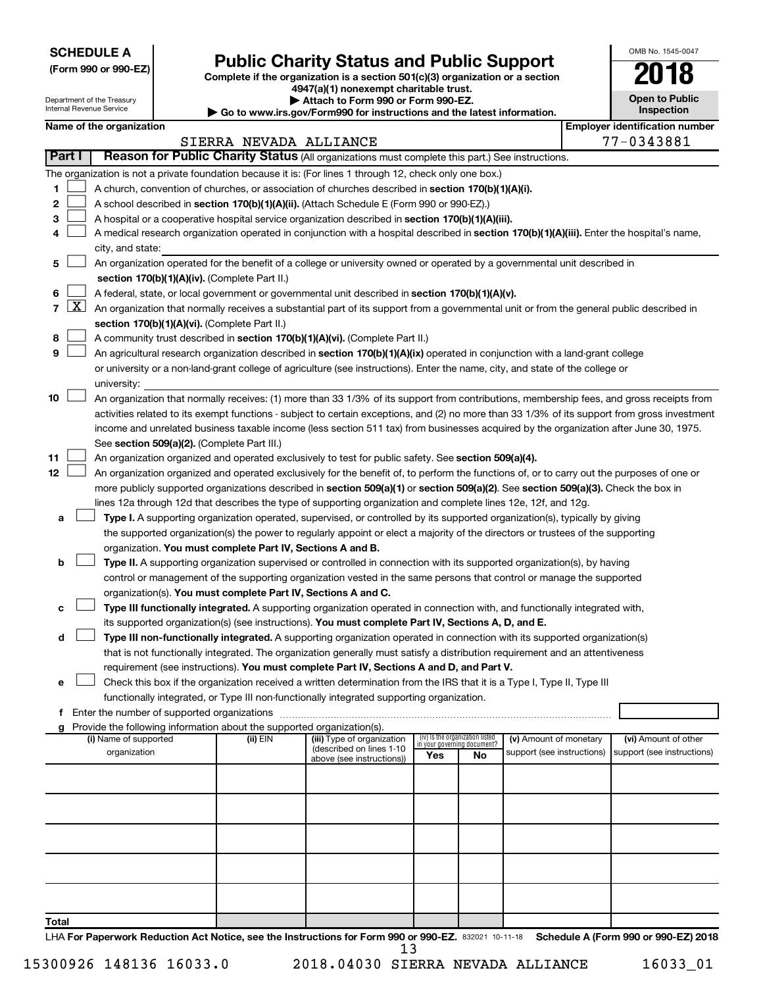**SCHEDULE A**

Department of the Treasury Internal Revenue Service

| (Form 990 or 990-EZ) |  |  |  |  |
|----------------------|--|--|--|--|
|----------------------|--|--|--|--|

# Form 990 or 990-EZ)<br>
Complete if the organization is a section 501(c)(3) organization or a section<br> **Public Charity Status and Public Support**

**4947(a)(1) nonexempt charitable trust. | Attach to Form 990 or Form 990-EZ.** 

**| Go to www.irs.gov/Form990 for instructions and the latest information.**

| 2018                                |
|-------------------------------------|
| <b>Open to Public</b><br>Inspection |
| Emplover identification number      |

OMB No. 1545-0047

 $\mathbf I$ 

|                   |        |                                                                                                                                                                                            |                                                                                                                                                                                                                                                                                                                                                                                                                                                                                                                                                                 | SIERRA NEVADA ALLIANCE |                                                        |                                                                |    |                                                      |  | 77-0343881                                         |  |  |
|-------------------|--------|--------------------------------------------------------------------------------------------------------------------------------------------------------------------------------------------|-----------------------------------------------------------------------------------------------------------------------------------------------------------------------------------------------------------------------------------------------------------------------------------------------------------------------------------------------------------------------------------------------------------------------------------------------------------------------------------------------------------------------------------------------------------------|------------------------|--------------------------------------------------------|----------------------------------------------------------------|----|------------------------------------------------------|--|----------------------------------------------------|--|--|
|                   | Part I |                                                                                                                                                                                            | Reason for Public Charity Status (All organizations must complete this part.) See instructions.                                                                                                                                                                                                                                                                                                                                                                                                                                                                 |                        |                                                        |                                                                |    |                                                      |  |                                                    |  |  |
| 1.<br>2<br>3<br>4 |        |                                                                                                                                                                                            | The organization is not a private foundation because it is: (For lines 1 through 12, check only one box.)<br>A church, convention of churches, or association of churches described in section 170(b)(1)(A)(i).<br>A school described in section 170(b)(1)(A)(ii). (Attach Schedule E (Form 990 or 990-EZ).)<br>A hospital or a cooperative hospital service organization described in section 170(b)(1)(A)(iii).<br>A medical research organization operated in conjunction with a hospital described in section 170(b)(1)(A)(iii). Enter the hospital's name, |                        |                                                        |                                                                |    |                                                      |  |                                                    |  |  |
|                   |        |                                                                                                                                                                                            | city, and state:                                                                                                                                                                                                                                                                                                                                                                                                                                                                                                                                                |                        |                                                        |                                                                |    |                                                      |  |                                                    |  |  |
| 5<br>6            |        |                                                                                                                                                                                            | An organization operated for the benefit of a college or university owned or operated by a governmental unit described in<br>section 170(b)(1)(A)(iv). (Complete Part II.)<br>A federal, state, or local government or governmental unit described in section 170(b)(1)(A)(v).                                                                                                                                                                                                                                                                                  |                        |                                                        |                                                                |    |                                                      |  |                                                    |  |  |
|                   | 7   X  |                                                                                                                                                                                            |                                                                                                                                                                                                                                                                                                                                                                                                                                                                                                                                                                 |                        |                                                        |                                                                |    |                                                      |  |                                                    |  |  |
|                   |        | An organization that normally receives a substantial part of its support from a governmental unit or from the general public described in<br>section 170(b)(1)(A)(vi). (Complete Part II.) |                                                                                                                                                                                                                                                                                                                                                                                                                                                                                                                                                                 |                        |                                                        |                                                                |    |                                                      |  |                                                    |  |  |
| 8                 |        | A community trust described in section 170(b)(1)(A)(vi). (Complete Part II.)                                                                                                               |                                                                                                                                                                                                                                                                                                                                                                                                                                                                                                                                                                 |                        |                                                        |                                                                |    |                                                      |  |                                                    |  |  |
| 9                 |        |                                                                                                                                                                                            | An agricultural research organization described in section 170(b)(1)(A)(ix) operated in conjunction with a land-grant college                                                                                                                                                                                                                                                                                                                                                                                                                                   |                        |                                                        |                                                                |    |                                                      |  |                                                    |  |  |
|                   |        |                                                                                                                                                                                            | or university or a non-land-grant college of agriculture (see instructions). Enter the name, city, and state of the college or                                                                                                                                                                                                                                                                                                                                                                                                                                  |                        |                                                        |                                                                |    |                                                      |  |                                                    |  |  |
|                   |        |                                                                                                                                                                                            | university:                                                                                                                                                                                                                                                                                                                                                                                                                                                                                                                                                     |                        |                                                        |                                                                |    |                                                      |  |                                                    |  |  |
| 10                |        |                                                                                                                                                                                            | An organization that normally receives: (1) more than 33 1/3% of its support from contributions, membership fees, and gross receipts from<br>activities related to its exempt functions - subject to certain exceptions, and (2) no more than 33 1/3% of its support from gross investment<br>income and unrelated business taxable income (less section 511 tax) from businesses acquired by the organization after June 30, 1975.<br>See section 509(a)(2). (Complete Part III.)                                                                              |                        |                                                        |                                                                |    |                                                      |  |                                                    |  |  |
| 11                |        |                                                                                                                                                                                            | An organization organized and operated exclusively to test for public safety. See section 509(a)(4).                                                                                                                                                                                                                                                                                                                                                                                                                                                            |                        |                                                        |                                                                |    |                                                      |  |                                                    |  |  |
| 12                |        |                                                                                                                                                                                            | An organization organized and operated exclusively for the benefit of, to perform the functions of, or to carry out the purposes of one or                                                                                                                                                                                                                                                                                                                                                                                                                      |                        |                                                        |                                                                |    |                                                      |  |                                                    |  |  |
|                   |        |                                                                                                                                                                                            | more publicly supported organizations described in section 509(a)(1) or section 509(a)(2). See section 509(a)(3). Check the box in                                                                                                                                                                                                                                                                                                                                                                                                                              |                        |                                                        |                                                                |    |                                                      |  |                                                    |  |  |
|                   |        |                                                                                                                                                                                            | lines 12a through 12d that describes the type of supporting organization and complete lines 12e, 12f, and 12g.                                                                                                                                                                                                                                                                                                                                                                                                                                                  |                        |                                                        |                                                                |    |                                                      |  |                                                    |  |  |
| а                 |        |                                                                                                                                                                                            | Type I. A supporting organization operated, supervised, or controlled by its supported organization(s), typically by giving                                                                                                                                                                                                                                                                                                                                                                                                                                     |                        |                                                        |                                                                |    |                                                      |  |                                                    |  |  |
|                   |        |                                                                                                                                                                                            | the supported organization(s) the power to regularly appoint or elect a majority of the directors or trustees of the supporting                                                                                                                                                                                                                                                                                                                                                                                                                                 |                        |                                                        |                                                                |    |                                                      |  |                                                    |  |  |
|                   |        |                                                                                                                                                                                            | organization. You must complete Part IV, Sections A and B.                                                                                                                                                                                                                                                                                                                                                                                                                                                                                                      |                        |                                                        |                                                                |    |                                                      |  |                                                    |  |  |
| b                 |        |                                                                                                                                                                                            | Type II. A supporting organization supervised or controlled in connection with its supported organization(s), by having                                                                                                                                                                                                                                                                                                                                                                                                                                         |                        |                                                        |                                                                |    |                                                      |  |                                                    |  |  |
|                   |        |                                                                                                                                                                                            | control or management of the supporting organization vested in the same persons that control or manage the supported                                                                                                                                                                                                                                                                                                                                                                                                                                            |                        |                                                        |                                                                |    |                                                      |  |                                                    |  |  |
|                   |        |                                                                                                                                                                                            | organization(s). You must complete Part IV, Sections A and C.                                                                                                                                                                                                                                                                                                                                                                                                                                                                                                   |                        |                                                        |                                                                |    |                                                      |  |                                                    |  |  |
| c                 |        |                                                                                                                                                                                            | Type III functionally integrated. A supporting organization operated in connection with, and functionally integrated with,                                                                                                                                                                                                                                                                                                                                                                                                                                      |                        |                                                        |                                                                |    |                                                      |  |                                                    |  |  |
|                   |        |                                                                                                                                                                                            | its supported organization(s) (see instructions). You must complete Part IV, Sections A, D, and E.                                                                                                                                                                                                                                                                                                                                                                                                                                                              |                        |                                                        |                                                                |    |                                                      |  |                                                    |  |  |
| d                 |        |                                                                                                                                                                                            | Type III non-functionally integrated. A supporting organization operated in connection with its supported organization(s)<br>that is not functionally integrated. The organization generally must satisfy a distribution requirement and an attentiveness                                                                                                                                                                                                                                                                                                       |                        |                                                        |                                                                |    |                                                      |  |                                                    |  |  |
|                   |        |                                                                                                                                                                                            | requirement (see instructions). You must complete Part IV, Sections A and D, and Part V.                                                                                                                                                                                                                                                                                                                                                                                                                                                                        |                        |                                                        |                                                                |    |                                                      |  |                                                    |  |  |
| е                 |        |                                                                                                                                                                                            | Check this box if the organization received a written determination from the IRS that it is a Type I, Type II, Type III                                                                                                                                                                                                                                                                                                                                                                                                                                         |                        |                                                        |                                                                |    |                                                      |  |                                                    |  |  |
|                   |        |                                                                                                                                                                                            | functionally integrated, or Type III non-functionally integrated supporting organization.                                                                                                                                                                                                                                                                                                                                                                                                                                                                       |                        |                                                        |                                                                |    |                                                      |  |                                                    |  |  |
| f.                |        |                                                                                                                                                                                            | Enter the number of supported organizations                                                                                                                                                                                                                                                                                                                                                                                                                                                                                                                     |                        |                                                        |                                                                |    |                                                      |  |                                                    |  |  |
| a                 |        |                                                                                                                                                                                            | Provide the following information about the supported organization(s).                                                                                                                                                                                                                                                                                                                                                                                                                                                                                          |                        |                                                        |                                                                |    |                                                      |  |                                                    |  |  |
|                   |        |                                                                                                                                                                                            | (i) Name of supported<br>organization                                                                                                                                                                                                                                                                                                                                                                                                                                                                                                                           | (ii) EIN               | (iii) Type of organization<br>(described on lines 1-10 | (iv) Is the organization listed<br>in vour aovernina document? |    | (v) Amount of monetary<br>support (see instructions) |  | (vi) Amount of other<br>support (see instructions) |  |  |
|                   |        |                                                                                                                                                                                            |                                                                                                                                                                                                                                                                                                                                                                                                                                                                                                                                                                 |                        | above (see instructions))                              | Yes                                                            | No |                                                      |  |                                                    |  |  |
|                   |        |                                                                                                                                                                                            |                                                                                                                                                                                                                                                                                                                                                                                                                                                                                                                                                                 |                        |                                                        |                                                                |    |                                                      |  |                                                    |  |  |
|                   |        |                                                                                                                                                                                            |                                                                                                                                                                                                                                                                                                                                                                                                                                                                                                                                                                 |                        |                                                        |                                                                |    |                                                      |  |                                                    |  |  |
|                   |        |                                                                                                                                                                                            |                                                                                                                                                                                                                                                                                                                                                                                                                                                                                                                                                                 |                        |                                                        |                                                                |    |                                                      |  |                                                    |  |  |
|                   |        |                                                                                                                                                                                            |                                                                                                                                                                                                                                                                                                                                                                                                                                                                                                                                                                 |                        |                                                        |                                                                |    |                                                      |  |                                                    |  |  |
|                   |        |                                                                                                                                                                                            |                                                                                                                                                                                                                                                                                                                                                                                                                                                                                                                                                                 |                        |                                                        |                                                                |    |                                                      |  |                                                    |  |  |
|                   |        |                                                                                                                                                                                            |                                                                                                                                                                                                                                                                                                                                                                                                                                                                                                                                                                 |                        |                                                        |                                                                |    |                                                      |  |                                                    |  |  |
| <b>Total</b>      |        |                                                                                                                                                                                            |                                                                                                                                                                                                                                                                                                                                                                                                                                                                                                                                                                 |                        |                                                        |                                                                |    |                                                      |  |                                                    |  |  |

LHA For Paperwork Reduction Act Notice, see the Instructions for Form 990 or 990-EZ. 832021 10-11-18 Schedule A (Form 990 or 990-EZ) 2018 13

15300926 148136 16033.0 2018.04030 SIERRA NEVADA ALLIANCE 16033\_01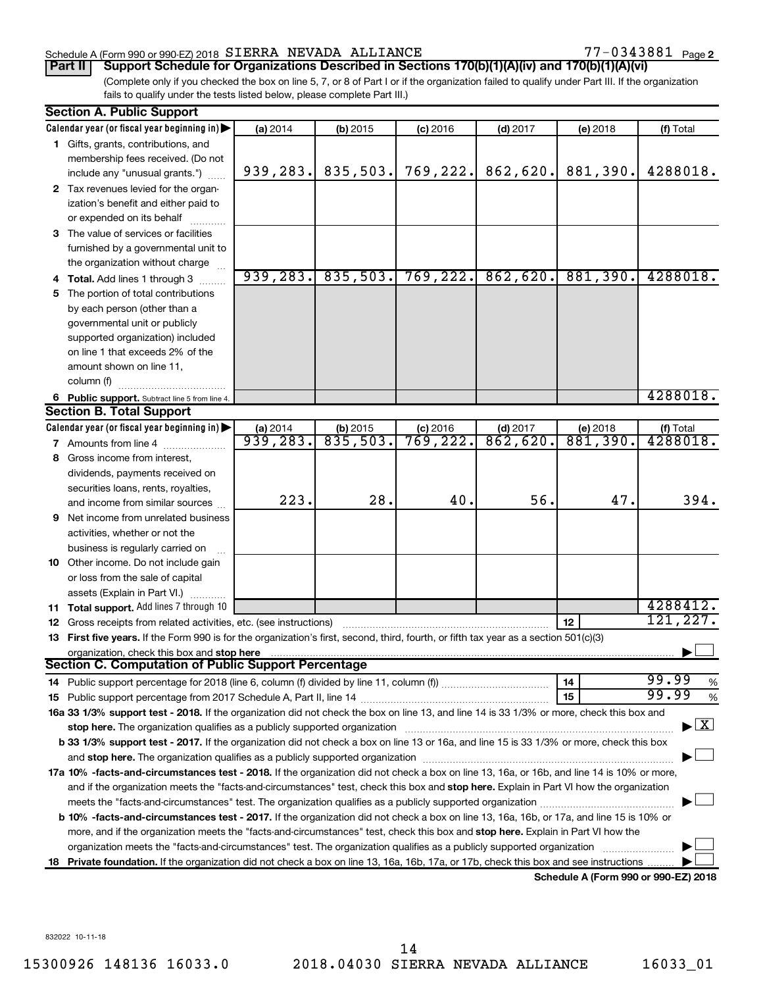## Schedule A (Form 990 or 990-EZ) 2018  $SIERRA$  NEVADA ALLIANCE  $77-0343881$  Page

77-0343881 Page 2

(Complete only if you checked the box on line 5, 7, or 8 of Part I or if the organization failed to qualify under Part III. If the organization fails to qualify under the tests listed below, please complete Part III.) **Part II Support Schedule for Organizations Described in Sections 170(b)(1)(A)(iv) and 170(b)(1)(A)(vi)**

|    | <b>Section A. Public Support</b>                                                                                                                                                                                               |           |            |            |            |                                      |                                          |
|----|--------------------------------------------------------------------------------------------------------------------------------------------------------------------------------------------------------------------------------|-----------|------------|------------|------------|--------------------------------------|------------------------------------------|
|    | Calendar year (or fiscal year beginning in)                                                                                                                                                                                    | (a) 2014  | (b) 2015   | $(c)$ 2016 | $(d)$ 2017 | (e) 2018                             | (f) Total                                |
|    | 1 Gifts, grants, contributions, and                                                                                                                                                                                            |           |            |            |            |                                      |                                          |
|    | membership fees received. (Do not                                                                                                                                                                                              |           |            |            |            |                                      |                                          |
|    | include any "unusual grants.")                                                                                                                                                                                                 | 939, 283. | 835,503.   | 769, 222.  | 862,620.   | 881,390.                             | 4288018.                                 |
|    | 2 Tax revenues levied for the organ-                                                                                                                                                                                           |           |            |            |            |                                      |                                          |
|    | ization's benefit and either paid to                                                                                                                                                                                           |           |            |            |            |                                      |                                          |
|    | or expended on its behalf                                                                                                                                                                                                      |           |            |            |            |                                      |                                          |
|    | 3 The value of services or facilities                                                                                                                                                                                          |           |            |            |            |                                      |                                          |
|    | furnished by a governmental unit to                                                                                                                                                                                            |           |            |            |            |                                      |                                          |
|    | the organization without charge                                                                                                                                                                                                |           |            |            |            |                                      |                                          |
|    | 4 Total. Add lines 1 through 3                                                                                                                                                                                                 | 939, 283. | 835,503.   | 769, 222.  | 862,620.   | 881,390.                             | 4288018.                                 |
| 5. | The portion of total contributions                                                                                                                                                                                             |           |            |            |            |                                      |                                          |
|    | by each person (other than a                                                                                                                                                                                                   |           |            |            |            |                                      |                                          |
|    | governmental unit or publicly                                                                                                                                                                                                  |           |            |            |            |                                      |                                          |
|    | supported organization) included                                                                                                                                                                                               |           |            |            |            |                                      |                                          |
|    | on line 1 that exceeds 2% of the                                                                                                                                                                                               |           |            |            |            |                                      |                                          |
|    | amount shown on line 11,                                                                                                                                                                                                       |           |            |            |            |                                      |                                          |
|    | column (f)                                                                                                                                                                                                                     |           |            |            |            |                                      |                                          |
|    | 6 Public support. Subtract line 5 from line 4.                                                                                                                                                                                 |           |            |            |            |                                      | 4288018.                                 |
|    | <b>Section B. Total Support</b>                                                                                                                                                                                                |           |            |            |            |                                      |                                          |
|    | Calendar year (or fiscal year beginning in)                                                                                                                                                                                    | (a) 2014  | $(b)$ 2015 | $(c)$ 2016 | $(d)$ 2017 | (e) 2018                             | (f) Total                                |
|    | <b>7</b> Amounts from line 4                                                                                                                                                                                                   | 939, 283. | 835,503.   | 769, 222.  | 862,620.   | 881,390.                             | 4288018.                                 |
|    | 8 Gross income from interest,                                                                                                                                                                                                  |           |            |            |            |                                      |                                          |
|    | dividends, payments received on                                                                                                                                                                                                |           |            |            |            |                                      |                                          |
|    | securities loans, rents, royalties,                                                                                                                                                                                            |           |            |            |            |                                      |                                          |
|    | and income from similar sources                                                                                                                                                                                                | 223.      | 28.        | 40.        | 56.        | 47.                                  | 394.                                     |
| 9  | Net income from unrelated business                                                                                                                                                                                             |           |            |            |            |                                      |                                          |
|    | activities, whether or not the                                                                                                                                                                                                 |           |            |            |            |                                      |                                          |
|    | business is regularly carried on                                                                                                                                                                                               |           |            |            |            |                                      |                                          |
|    | 10 Other income. Do not include gain                                                                                                                                                                                           |           |            |            |            |                                      |                                          |
|    | or loss from the sale of capital                                                                                                                                                                                               |           |            |            |            |                                      |                                          |
|    | assets (Explain in Part VI.)                                                                                                                                                                                                   |           |            |            |            |                                      |                                          |
|    | 11 Total support. Add lines 7 through 10                                                                                                                                                                                       |           |            |            |            |                                      | 4288412.                                 |
|    | 12 Gross receipts from related activities, etc. (see instructions)                                                                                                                                                             |           |            |            |            | 12                                   | 121,227.                                 |
|    | 13 First five years. If the Form 990 is for the organization's first, second, third, fourth, or fifth tax year as a section 501(c)(3)                                                                                          |           |            |            |            |                                      |                                          |
|    | organization, check this box and stop here                                                                                                                                                                                     |           |            |            |            |                                      |                                          |
|    | <b>Section C. Computation of Public Support Percentage</b>                                                                                                                                                                     |           |            |            |            |                                      |                                          |
|    | 14 Public support percentage for 2018 (line 6, column (f) divided by line 11, column (f) <i>mummumumum</i>                                                                                                                     |           |            |            |            | 14                                   | 99.99<br>$\%$                            |
|    |                                                                                                                                                                                                                                |           |            |            |            | 15                                   | 99.99<br>%                               |
|    | 16a 33 1/3% support test - 2018. If the organization did not check the box on line 13, and line 14 is 33 1/3% or more, check this box and                                                                                      |           |            |            |            |                                      |                                          |
|    | stop here. The organization qualifies as a publicly supported organization manufaction manufacture content and the supported or an annufacture manufacture content and the supported or state of the state of the state of the |           |            |            |            |                                      | $\blacktriangleright$ $\boxed{\text{X}}$ |
|    | b 33 1/3% support test - 2017. If the organization did not check a box on line 13 or 16a, and line 15 is 33 1/3% or more, check this box                                                                                       |           |            |            |            |                                      |                                          |
|    |                                                                                                                                                                                                                                |           |            |            |            |                                      |                                          |
|    | 17a 10% -facts-and-circumstances test - 2018. If the organization did not check a box on line 13, 16a, or 16b, and line 14 is 10% or more,                                                                                     |           |            |            |            |                                      |                                          |
|    | and if the organization meets the "facts-and-circumstances" test, check this box and stop here. Explain in Part VI how the organization                                                                                        |           |            |            |            |                                      |                                          |
|    | meets the "facts-and-circumstances" test. The organization qualifies as a publicly supported organization <i>manumumumumum</i>                                                                                                 |           |            |            |            |                                      |                                          |
|    | <b>b 10% -facts-and-circumstances test - 2017.</b> If the organization did not check a box on line 13, 16a, 16b, or 17a, and line 15 is 10% or                                                                                 |           |            |            |            |                                      |                                          |
|    | more, and if the organization meets the "facts-and-circumstances" test, check this box and stop here. Explain in Part VI how the                                                                                               |           |            |            |            |                                      |                                          |
|    | organization meets the "facts-and-circumstances" test. The organization qualifies as a publicly supported organization                                                                                                         |           |            |            |            |                                      |                                          |
| 18 | Private foundation. If the organization did not check a box on line 13, 16a, 16b, 17a, or 17b, check this box and see instructions                                                                                             |           |            |            |            |                                      |                                          |
|    |                                                                                                                                                                                                                                |           |            |            |            | Schedule A (Form 990 or 990-F7) 2018 |                                          |

**Schedule A (Form 990 or 990-EZ) 2018**

832022 10-11-18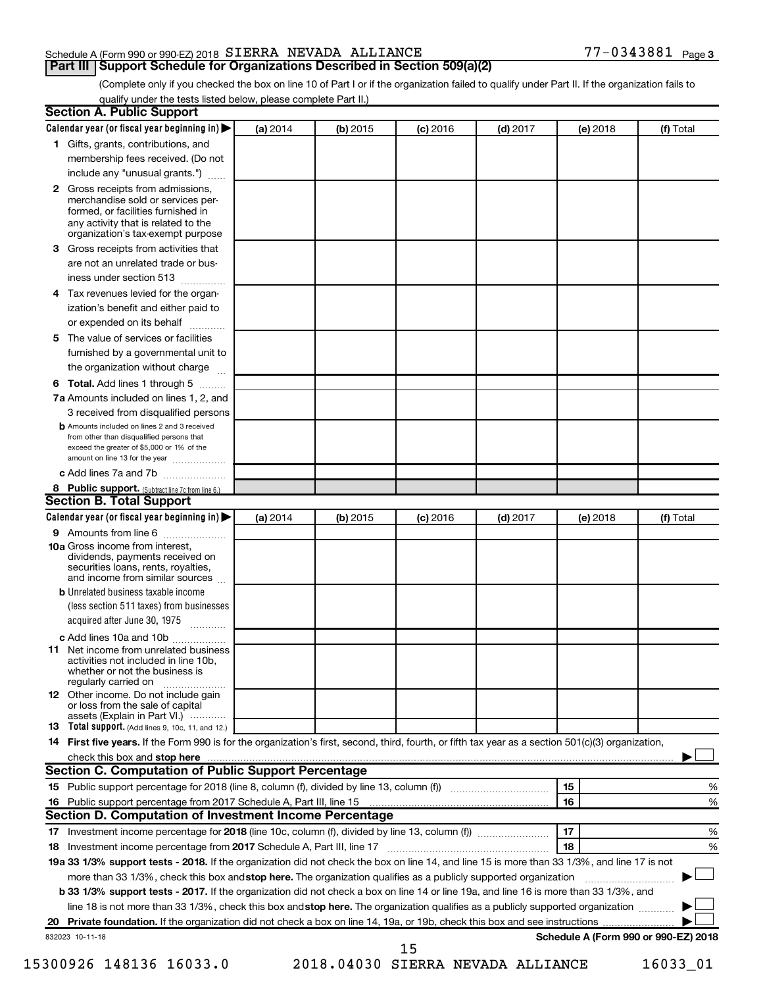# Schedule A (Form 990 or 990-EZ) 2018  $SIERRA$  NEVADA ALLIANCE  $77-0343881$  Page

**Part III Support Schedule for Organizations Described in Section 509(a)(2)** 

(Complete only if you checked the box on line 10 of Part I or if the organization failed to qualify under Part II. If the organization fails to qualify under the tests listed below, please complete Part II.)

| <b>Section A. Public Support</b>                                                                                                                                                                                         |          |            |            |            |          |                                      |
|--------------------------------------------------------------------------------------------------------------------------------------------------------------------------------------------------------------------------|----------|------------|------------|------------|----------|--------------------------------------|
| Calendar year (or fiscal year beginning in)                                                                                                                                                                              | (a) 2014 | (b) 2015   | $(c)$ 2016 | $(d)$ 2017 | (e) 2018 | (f) Total                            |
| 1 Gifts, grants, contributions, and                                                                                                                                                                                      |          |            |            |            |          |                                      |
| membership fees received. (Do not                                                                                                                                                                                        |          |            |            |            |          |                                      |
| include any "unusual grants.")                                                                                                                                                                                           |          |            |            |            |          |                                      |
| <b>2</b> Gross receipts from admissions,<br>merchandise sold or services per-<br>formed, or facilities furnished in<br>any activity that is related to the<br>organization's tax-exempt purpose                          |          |            |            |            |          |                                      |
| 3 Gross receipts from activities that                                                                                                                                                                                    |          |            |            |            |          |                                      |
| are not an unrelated trade or bus-                                                                                                                                                                                       |          |            |            |            |          |                                      |
| iness under section 513                                                                                                                                                                                                  |          |            |            |            |          |                                      |
| 4 Tax revenues levied for the organ-                                                                                                                                                                                     |          |            |            |            |          |                                      |
| ization's benefit and either paid to<br>or expended on its behalf                                                                                                                                                        |          |            |            |            |          |                                      |
| 5 The value of services or facilities                                                                                                                                                                                    |          |            |            |            |          |                                      |
| furnished by a governmental unit to                                                                                                                                                                                      |          |            |            |            |          |                                      |
| the organization without charge                                                                                                                                                                                          |          |            |            |            |          |                                      |
| 6 Total. Add lines 1 through 5                                                                                                                                                                                           |          |            |            |            |          |                                      |
| 7a Amounts included on lines 1, 2, and                                                                                                                                                                                   |          |            |            |            |          |                                      |
| 3 received from disqualified persons                                                                                                                                                                                     |          |            |            |            |          |                                      |
| <b>b</b> Amounts included on lines 2 and 3 received<br>from other than disqualified persons that<br>exceed the greater of \$5,000 or 1% of the<br>amount on line 13 for the year                                         |          |            |            |            |          |                                      |
| c Add lines 7a and 7b                                                                                                                                                                                                    |          |            |            |            |          |                                      |
| 8 Public support. (Subtract line 7c from line 6.)                                                                                                                                                                        |          |            |            |            |          |                                      |
| <b>Section B. Total Support</b>                                                                                                                                                                                          |          |            |            |            |          |                                      |
| Calendar year (or fiscal year beginning in)                                                                                                                                                                              | (a) 2014 | $(b)$ 2015 | $(c)$ 2016 | $(d)$ 2017 | (e) 2018 | (f) Total                            |
| 9 Amounts from line 6                                                                                                                                                                                                    |          |            |            |            |          |                                      |
| <b>10a</b> Gross income from interest,<br>dividends, payments received on<br>securities loans, rents, royalties,<br>and income from similar sources                                                                      |          |            |            |            |          |                                      |
| <b>b</b> Unrelated business taxable income<br>(less section 511 taxes) from businesses<br>acquired after June 30, 1975                                                                                                   |          |            |            |            |          |                                      |
| c Add lines 10a and 10b<br><b>11</b> Net income from unrelated business<br>activities not included in line 10b.<br>whether or not the business is<br>regularly carried on<br><b>12</b> Other income. Do not include gain |          |            |            |            |          |                                      |
| or loss from the sale of capital<br>assets (Explain in Part VI.)                                                                                                                                                         |          |            |            |            |          |                                      |
| <b>13</b> Total support. (Add lines 9, 10c, 11, and 12.)                                                                                                                                                                 |          |            |            |            |          |                                      |
| 14 First five years. If the Form 990 is for the organization's first, second, third, fourth, or fifth tax year as a section 501(c)(3) organization,                                                                      |          |            |            |            |          |                                      |
| check this box and stop here <b>contained and the contained and stop here</b> check this box and stop here <b>contained and stop here</b>                                                                                |          |            |            |            |          |                                      |
| Section C. Computation of Public Support Percentage                                                                                                                                                                      |          |            |            |            |          |                                      |
|                                                                                                                                                                                                                          |          |            |            |            | 15       | ℅                                    |
| 16 Public support percentage from 2017 Schedule A, Part III, line 15                                                                                                                                                     |          |            |            |            | 16       | %                                    |
| Section D. Computation of Investment Income Percentage                                                                                                                                                                   |          |            |            |            |          |                                      |
|                                                                                                                                                                                                                          |          |            |            |            | 17       | %                                    |
| 18 Investment income percentage from 2017 Schedule A, Part III, line 17                                                                                                                                                  |          |            |            |            | 18       | %                                    |
| 19a 33 1/3% support tests - 2018. If the organization did not check the box on line 14, and line 15 is more than 33 1/3%, and line 17 is not                                                                             |          |            |            |            |          |                                      |
| more than 33 1/3%, check this box and stop here. The organization qualifies as a publicly supported organization                                                                                                         |          |            |            |            |          |                                      |
| <b>b 33 1/3% support tests - 2017.</b> If the organization did not check a box on line 14 or line 19a, and line 16 is more than 33 1/3%, and                                                                             |          |            |            |            |          |                                      |
| line 18 is not more than 33 1/3%, check this box and stop here. The organization qualifies as a publicly supported organization                                                                                          |          |            |            |            |          |                                      |
|                                                                                                                                                                                                                          |          |            |            |            |          |                                      |
| 832023 10-11-18                                                                                                                                                                                                          |          |            | 15         |            |          | Schedule A (Form 990 or 990-EZ) 2018 |

15300926 148136 16033.0 2018.04030 SIERRA NEVADA ALLIANCE 16033\_01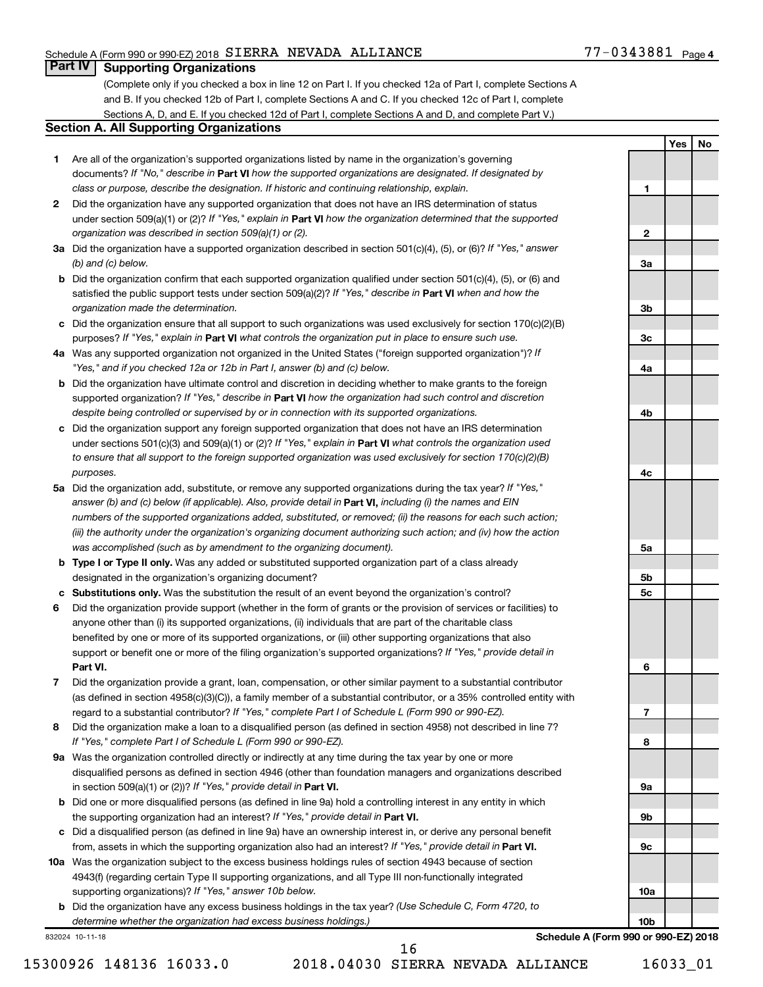# Schedule A (Form 990 or 990-EZ) 2018  $SIERRA$  NEVADA ALLIANCE  $77-0343881$  Page

**1**

**2**

**3a**

**3b**

**3c**

**4a**

**4b**

**4c**

**5a**

**5b 5c**

**6**

**7**

**8**

**9a**

**9b**

**9c**

**10a**

**10b**

**Yes No**

# **Part IV Supporting Organizations**

(Complete only if you checked a box in line 12 on Part I. If you checked 12a of Part I, complete Sections A and B. If you checked 12b of Part I, complete Sections A and C. If you checked 12c of Part I, complete Sections A, D, and E. If you checked 12d of Part I, complete Sections A and D, and complete Part V.)

## **Section A. All Supporting Organizations**

- **1** Are all of the organization's supported organizations listed by name in the organization's governing documents? If "No," describe in Part VI how the supported organizations are designated. If designated by *class or purpose, describe the designation. If historic and continuing relationship, explain.*
- **2** Did the organization have any supported organization that does not have an IRS determination of status under section 509(a)(1) or (2)? If "Yes," explain in Part **VI** how the organization determined that the supported *organization was described in section 509(a)(1) or (2).*
- **3a** Did the organization have a supported organization described in section 501(c)(4), (5), or (6)? If "Yes," answer *(b) and (c) below.*
- **b** Did the organization confirm that each supported organization qualified under section 501(c)(4), (5), or (6) and satisfied the public support tests under section 509(a)(2)? If "Yes," describe in Part VI when and how the *organization made the determination.*
- **c** Did the organization ensure that all support to such organizations was used exclusively for section 170(c)(2)(B) purposes? If "Yes," explain in Part VI what controls the organization put in place to ensure such use.
- **4 a** *If* Was any supported organization not organized in the United States ("foreign supported organization")? *"Yes," and if you checked 12a or 12b in Part I, answer (b) and (c) below.*
- **b** Did the organization have ultimate control and discretion in deciding whether to make grants to the foreign supported organization? If "Yes," describe in Part VI how the organization had such control and discretion *despite being controlled or supervised by or in connection with its supported organizations.*
- **c** Did the organization support any foreign supported organization that does not have an IRS determination under sections 501(c)(3) and 509(a)(1) or (2)? If "Yes," explain in Part VI what controls the organization used *to ensure that all support to the foreign supported organization was used exclusively for section 170(c)(2)(B) purposes.*
- **5a** Did the organization add, substitute, or remove any supported organizations during the tax year? If "Yes," answer (b) and (c) below (if applicable). Also, provide detail in **Part VI,** including (i) the names and EIN *numbers of the supported organizations added, substituted, or removed; (ii) the reasons for each such action; (iii) the authority under the organization's organizing document authorizing such action; and (iv) how the action was accomplished (such as by amendment to the organizing document).*
- **b Type I or Type II only.** Was any added or substituted supported organization part of a class already designated in the organization's organizing document?
- **c Substitutions only.**  Was the substitution the result of an event beyond the organization's control?
- **6** Did the organization provide support (whether in the form of grants or the provision of services or facilities) to **Part VI.** support or benefit one or more of the filing organization's supported organizations? If "Yes," provide detail in anyone other than (i) its supported organizations, (ii) individuals that are part of the charitable class benefited by one or more of its supported organizations, or (iii) other supporting organizations that also
- **7** Did the organization provide a grant, loan, compensation, or other similar payment to a substantial contributor regard to a substantial contributor? If "Yes," complete Part I of Schedule L (Form 990 or 990-EZ). (as defined in section 4958(c)(3)(C)), a family member of a substantial contributor, or a 35% controlled entity with
- **8** Did the organization make a loan to a disqualified person (as defined in section 4958) not described in line 7? *If "Yes," complete Part I of Schedule L (Form 990 or 990-EZ).*
- **9 a** Was the organization controlled directly or indirectly at any time during the tax year by one or more in section 509(a)(1) or (2))? If "Yes," provide detail in **Part VI.** disqualified persons as defined in section 4946 (other than foundation managers and organizations described
- **b** Did one or more disqualified persons (as defined in line 9a) hold a controlling interest in any entity in which the supporting organization had an interest? If "Yes," provide detail in Part VI.
- **c** Did a disqualified person (as defined in line 9a) have an ownership interest in, or derive any personal benefit from, assets in which the supporting organization also had an interest? If "Yes," provide detail in Part VI.
- **10 a** Was the organization subject to the excess business holdings rules of section 4943 because of section supporting organizations)? If "Yes," answer 10b below. 4943(f) (regarding certain Type II supporting organizations, and all Type III non-functionally integrated
	- **b** Did the organization have any excess business holdings in the tax year? (Use Schedule C, Form 4720, to *determine whether the organization had excess business holdings.)*

832024 10-11-18

**Schedule A (Form 990 or 990-EZ) 2018**

16

15300926 148136 16033.0 2018.04030 SIERRA NEVADA ALLIANCE 16033\_01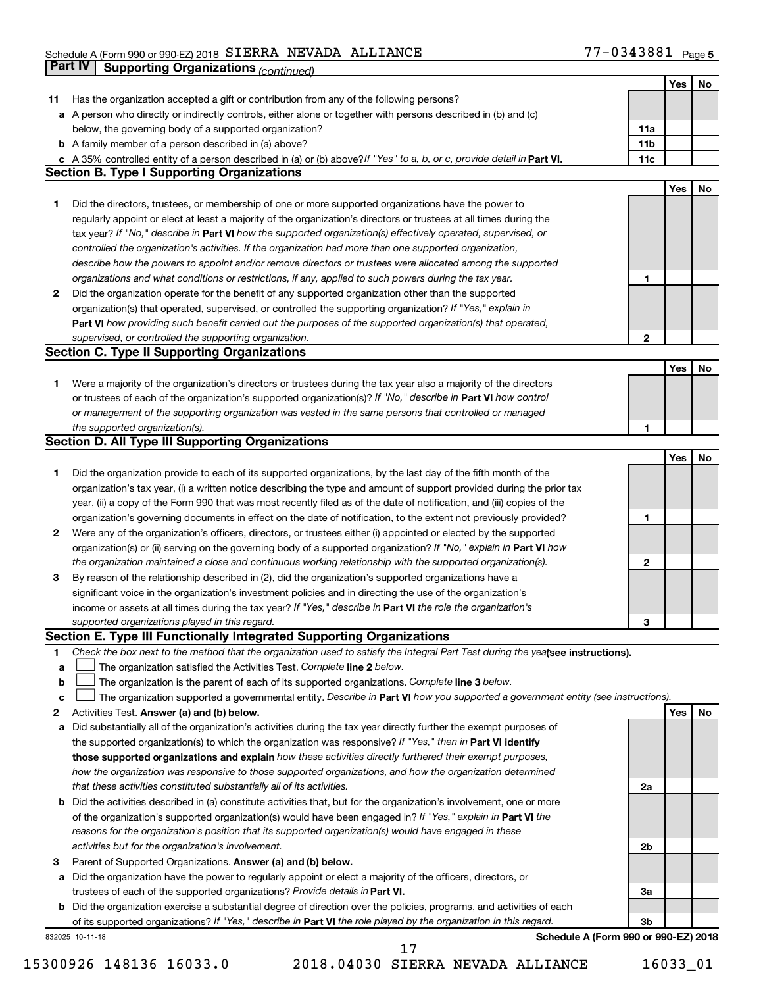#### Schedule A (Form 990 or 990-EZ) 2018 SIERRA NEVADA ALLIANCE NAME ARE ARREST MANAGEMENT ASSAULT Page SIERRA NEVADA ALLIANCE 77-0343881

|    | Part IV<br><b>Supporting Organizations (continued)</b>                                                                          |                 |     |    |
|----|---------------------------------------------------------------------------------------------------------------------------------|-----------------|-----|----|
|    |                                                                                                                                 |                 | Yes | No |
| 11 | Has the organization accepted a gift or contribution from any of the following persons?                                         |                 |     |    |
|    | a A person who directly or indirectly controls, either alone or together with persons described in (b) and (c)                  |                 |     |    |
|    | below, the governing body of a supported organization?                                                                          | 11a             |     |    |
|    | <b>b</b> A family member of a person described in (a) above?                                                                    | 11 <sub>b</sub> |     |    |
|    | c A 35% controlled entity of a person described in (a) or (b) above? If "Yes" to a, b, or c, provide detail in Part VI.         | 11c             |     |    |
|    | <b>Section B. Type I Supporting Organizations</b>                                                                               |                 |     |    |
|    |                                                                                                                                 |                 | Yes | No |
| 1  | Did the directors, trustees, or membership of one or more supported organizations have the power to                             |                 |     |    |
|    | regularly appoint or elect at least a majority of the organization's directors or trustees at all times during the              |                 |     |    |
|    | tax year? If "No," describe in Part VI how the supported organization(s) effectively operated, supervised, or                   |                 |     |    |
|    |                                                                                                                                 |                 |     |    |
|    | controlled the organization's activities. If the organization had more than one supported organization,                         |                 |     |    |
|    | describe how the powers to appoint and/or remove directors or trustees were allocated among the supported                       |                 |     |    |
|    | organizations and what conditions or restrictions, if any, applied to such powers during the tax year.                          | 1               |     |    |
| 2  | Did the organization operate for the benefit of any supported organization other than the supported                             |                 |     |    |
|    | organization(s) that operated, supervised, or controlled the supporting organization? If "Yes," explain in                      |                 |     |    |
|    | Part VI how providing such benefit carried out the purposes of the supported organization(s) that operated,                     |                 |     |    |
|    | supervised, or controlled the supporting organization.                                                                          | $\mathbf{2}$    |     |    |
|    | <b>Section C. Type II Supporting Organizations</b>                                                                              |                 |     |    |
|    |                                                                                                                                 |                 | Yes | No |
| 1. | Were a majority of the organization's directors or trustees during the tax year also a majority of the directors                |                 |     |    |
|    | or trustees of each of the organization's supported organization(s)? If "No," describe in Part VI how control                   |                 |     |    |
|    | or management of the supporting organization was vested in the same persons that controlled or managed                          |                 |     |    |
|    | the supported organization(s).                                                                                                  | 1               |     |    |
|    | <b>Section D. All Type III Supporting Organizations</b>                                                                         |                 |     |    |
|    |                                                                                                                                 |                 | Yes | No |
| 1  | Did the organization provide to each of its supported organizations, by the last day of the fifth month of the                  |                 |     |    |
|    | organization's tax year, (i) a written notice describing the type and amount of support provided during the prior tax           |                 |     |    |
|    | year, (ii) a copy of the Form 990 that was most recently filed as of the date of notification, and (iii) copies of the          |                 |     |    |
|    | organization's governing documents in effect on the date of notification, to the extent not previously provided?                | 1               |     |    |
| 2  | Were any of the organization's officers, directors, or trustees either (i) appointed or elected by the supported                |                 |     |    |
|    | organization(s) or (ii) serving on the governing body of a supported organization? If "No," explain in Part VI how              |                 |     |    |
|    | the organization maintained a close and continuous working relationship with the supported organization(s).                     | 2               |     |    |
| 3  | By reason of the relationship described in (2), did the organization's supported organizations have a                           |                 |     |    |
|    | significant voice in the organization's investment policies and in directing the use of the organization's                      |                 |     |    |
|    | income or assets at all times during the tax year? If "Yes," describe in Part VI the role the organization's                    |                 |     |    |
|    | supported organizations played in this regard.                                                                                  |                 |     |    |
|    | Section E. Type III Functionally Integrated Supporting Organizations                                                            | з               |     |    |
|    |                                                                                                                                 |                 |     |    |
| 1  | Check the box next to the method that the organization used to satisfy the Integral Part Test during the yealsee instructions). |                 |     |    |
| a  | The organization satisfied the Activities Test. Complete line 2 below.                                                          |                 |     |    |
| b  | The organization is the parent of each of its supported organizations. Complete line 3 below.                                   |                 |     |    |
| с  | The organization supported a governmental entity. Describe in Part VI how you supported a government entity (see instructions). |                 |     |    |
| 2  | Activities Test. Answer (a) and (b) below.                                                                                      |                 | Yes | No |
| а  | Did substantially all of the organization's activities during the tax year directly further the exempt purposes of              |                 |     |    |
|    | the supported organization(s) to which the organization was responsive? If "Yes," then in Part VI identify                      |                 |     |    |
|    | those supported organizations and explain how these activities directly furthered their exempt purposes,                        |                 |     |    |
|    | how the organization was responsive to those supported organizations, and how the organization determined                       |                 |     |    |
|    | that these activities constituted substantially all of its activities.                                                          | 2a              |     |    |
|    | <b>b</b> Did the activities described in (a) constitute activities that, but for the organization's involvement, one or more    |                 |     |    |
|    | of the organization's supported organization(s) would have been engaged in? If "Yes," explain in Part VI the                    |                 |     |    |
|    | reasons for the organization's position that its supported organization(s) would have engaged in these                          |                 |     |    |
|    | activities but for the organization's involvement.                                                                              | 2b              |     |    |
| з  | Parent of Supported Organizations. Answer (a) and (b) below.                                                                    |                 |     |    |
| а  | Did the organization have the power to regularly appoint or elect a majority of the officers, directors, or                     |                 |     |    |
|    | trustees of each of the supported organizations? Provide details in Part VI.                                                    | За              |     |    |
|    | <b>b</b> Did the organization exercise a substantial degree of direction over the policies, programs, and activities of each    |                 |     |    |
|    | of its supported organizations? If "Yes," describe in Part VI the role played by the organization in this regard.               | Зb              |     |    |
|    | Schedule A (Form 990 or 990-EZ) 2018<br>832025 10-11-18                                                                         |                 |     |    |
|    | 17                                                                                                                              |                 |     |    |

<sup>15300926 148136 16033.0 2018.04030</sup> SIERRA NEVADA ALLIANCE 16033\_01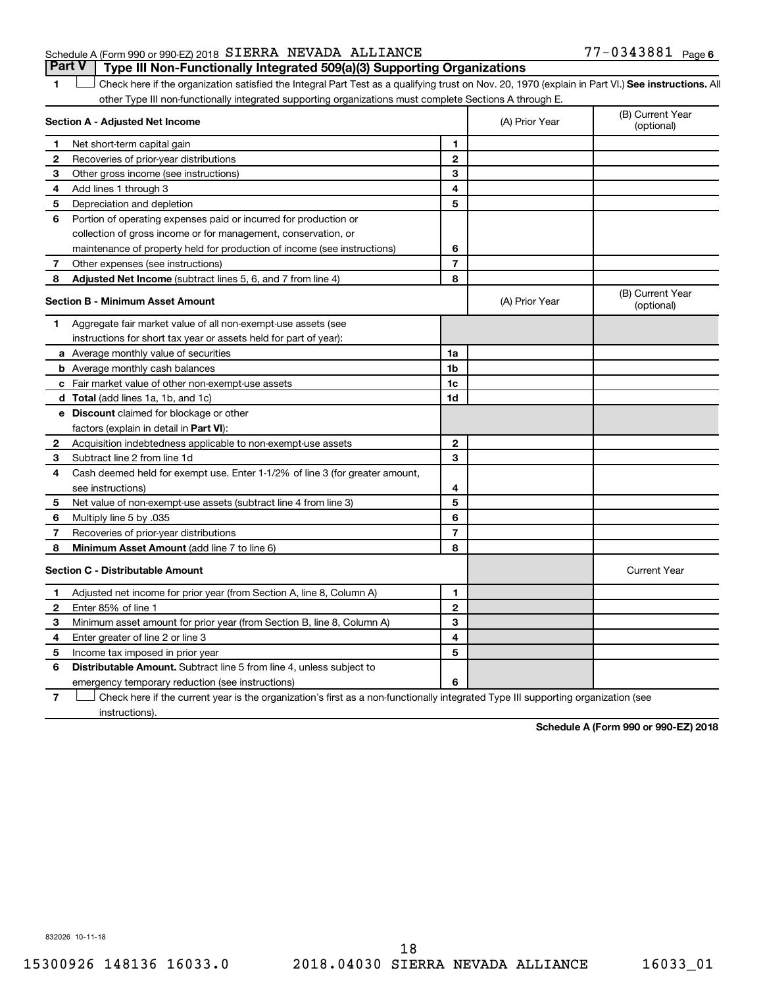# Schedule A (Form 990 or 990-EZ) 2018  $SIERRA$  NEVADA ALLIANCE  $77-0343881$  Page **Part V Type III Non-Functionally Integrated 509(a)(3) Supporting Organizations**

1 **Letter See instructions.** All Check here if the organization satisfied the Integral Part Test as a qualifying trust on Nov. 20, 1970 (explain in Part VI.) See instructions. All other Type III non-functionally integrated supporting organizations must complete Sections A through E.

|              | Section A - Adjusted Net Income                                              |                | (A) Prior Year | (B) Current Year<br>(optional) |
|--------------|------------------------------------------------------------------------------|----------------|----------------|--------------------------------|
| 1            | Net short-term capital gain                                                  | 1              |                |                                |
| $\mathbf{2}$ | Recoveries of prior-year distributions                                       | $\mathbf{2}$   |                |                                |
| 3            | Other gross income (see instructions)                                        | 3              |                |                                |
| 4            | Add lines 1 through 3                                                        | 4              |                |                                |
| 5            | Depreciation and depletion                                                   | 5              |                |                                |
| 6            | Portion of operating expenses paid or incurred for production or             |                |                |                                |
|              | collection of gross income or for management, conservation, or               |                |                |                                |
|              | maintenance of property held for production of income (see instructions)     | 6              |                |                                |
| 7            | Other expenses (see instructions)                                            | $\overline{7}$ |                |                                |
| 8            | Adjusted Net Income (subtract lines 5, 6, and 7 from line 4)                 | 8              |                |                                |
|              | <b>Section B - Minimum Asset Amount</b>                                      |                | (A) Prior Year | (B) Current Year<br>(optional) |
| 1            | Aggregate fair market value of all non-exempt-use assets (see                |                |                |                                |
|              | instructions for short tax year or assets held for part of year):            |                |                |                                |
|              | a Average monthly value of securities                                        | 1a             |                |                                |
|              | <b>b</b> Average monthly cash balances                                       | 1b             |                |                                |
|              | c Fair market value of other non-exempt-use assets                           | 1 <sub>c</sub> |                |                                |
|              | d Total (add lines 1a, 1b, and 1c)                                           | 1d             |                |                                |
|              | <b>e</b> Discount claimed for blockage or other                              |                |                |                                |
|              | factors (explain in detail in Part VI):                                      |                |                |                                |
| 2            | Acquisition indebtedness applicable to non-exempt-use assets                 | $\mathbf{2}$   |                |                                |
| 3            | Subtract line 2 from line 1d                                                 | 3              |                |                                |
| 4            | Cash deemed held for exempt use. Enter 1-1/2% of line 3 (for greater amount, |                |                |                                |
|              | see instructions)                                                            | 4              |                |                                |
| 5            | Net value of non-exempt-use assets (subtract line 4 from line 3)             | 5              |                |                                |
| 6            | Multiply line 5 by .035                                                      | 6              |                |                                |
| 7            | Recoveries of prior-year distributions                                       | $\overline{7}$ |                |                                |
| 8            | Minimum Asset Amount (add line 7 to line 6)                                  | 8              |                |                                |
|              | <b>Section C - Distributable Amount</b>                                      |                |                | <b>Current Year</b>            |
| 1            | Adjusted net income for prior year (from Section A, line 8, Column A)        | 1              |                |                                |
| 2            | Enter 85% of line 1                                                          | $\mathbf{2}$   |                |                                |
| З            | Minimum asset amount for prior year (from Section B, line 8, Column A)       | 3              |                |                                |
| 4            | Enter greater of line 2 or line 3                                            | 4              |                |                                |
| 5            | Income tax imposed in prior year                                             | 5              |                |                                |
| 6            | Distributable Amount. Subtract line 5 from line 4, unless subject to         |                |                |                                |
|              | emergency temporary reduction (see instructions)                             | 6              |                |                                |
|              |                                                                              |                |                |                                |

**7** Check here if the current year is the organization's first as a non-functionally integrated Type III supporting organization (see † instructions).

**Schedule A (Form 990 or 990-EZ) 2018**

832026 10-11-18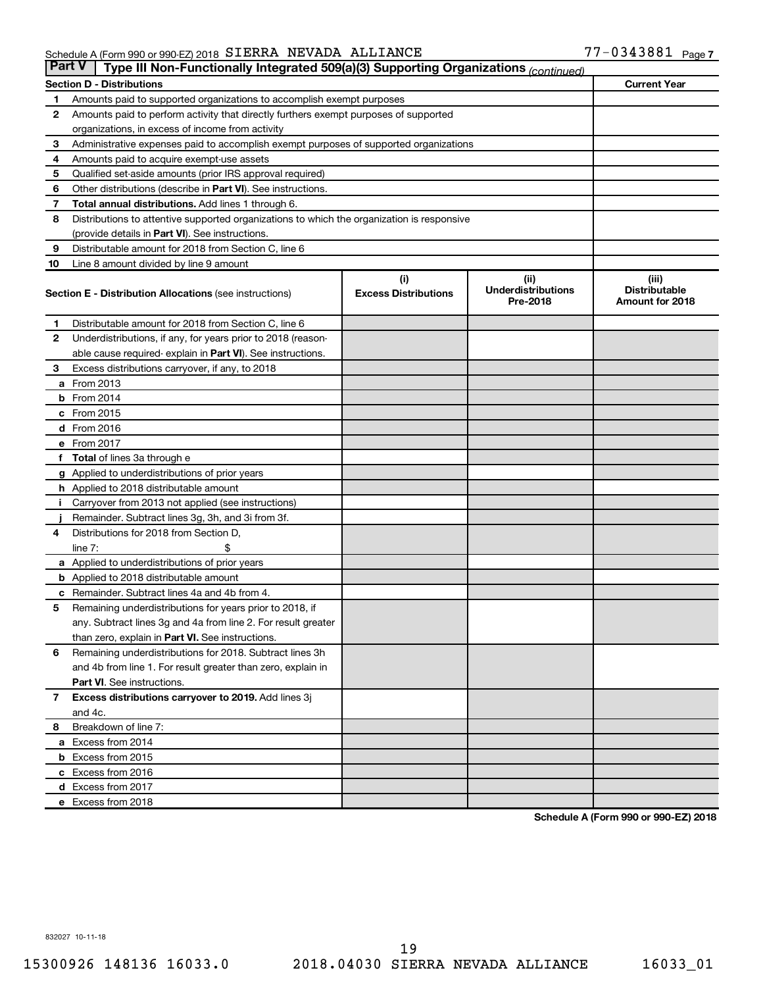#### Schedule A (Form 990 or 990-EZ) 2018 SIERRA NEVADA ALLIANCE NAME ARE ARREST MANAGEMENT ASSAULT Page SIERRA NEVADA ALLIANCE 77-0343881

| <b>Part V</b><br>Type III Non-Functionally Integrated 509(a)(3) Supporting Organizations (continued) |                                                                                            |                             |                                       |                                         |  |  |
|------------------------------------------------------------------------------------------------------|--------------------------------------------------------------------------------------------|-----------------------------|---------------------------------------|-----------------------------------------|--|--|
|                                                                                                      | <b>Current Year</b><br><b>Section D - Distributions</b>                                    |                             |                                       |                                         |  |  |
| 1                                                                                                    | Amounts paid to supported organizations to accomplish exempt purposes                      |                             |                                       |                                         |  |  |
| $\mathbf{2}$                                                                                         | Amounts paid to perform activity that directly furthers exempt purposes of supported       |                             |                                       |                                         |  |  |
|                                                                                                      | organizations, in excess of income from activity                                           |                             |                                       |                                         |  |  |
| 3                                                                                                    | Administrative expenses paid to accomplish exempt purposes of supported organizations      |                             |                                       |                                         |  |  |
| 4                                                                                                    | Amounts paid to acquire exempt-use assets                                                  |                             |                                       |                                         |  |  |
| 5                                                                                                    | Qualified set-aside amounts (prior IRS approval required)                                  |                             |                                       |                                         |  |  |
| 6                                                                                                    | Other distributions (describe in <b>Part VI</b> ). See instructions.                       |                             |                                       |                                         |  |  |
| 7                                                                                                    | Total annual distributions. Add lines 1 through 6.                                         |                             |                                       |                                         |  |  |
| 8                                                                                                    | Distributions to attentive supported organizations to which the organization is responsive |                             |                                       |                                         |  |  |
|                                                                                                      | (provide details in Part VI). See instructions.                                            |                             |                                       |                                         |  |  |
| 9                                                                                                    | Distributable amount for 2018 from Section C, line 6                                       |                             |                                       |                                         |  |  |
| 10                                                                                                   | Line 8 amount divided by line 9 amount                                                     |                             |                                       |                                         |  |  |
|                                                                                                      |                                                                                            | (i)                         | (ii)                                  | (iii)                                   |  |  |
|                                                                                                      | <b>Section E - Distribution Allocations (see instructions)</b>                             | <b>Excess Distributions</b> | <b>Underdistributions</b><br>Pre-2018 | <b>Distributable</b><br>Amount for 2018 |  |  |
| 1                                                                                                    | Distributable amount for 2018 from Section C, line 6                                       |                             |                                       |                                         |  |  |
| $\mathbf{2}$                                                                                         | Underdistributions, if any, for years prior to 2018 (reason-                               |                             |                                       |                                         |  |  |
|                                                                                                      | able cause required- explain in Part VI). See instructions.                                |                             |                                       |                                         |  |  |
| 3                                                                                                    | Excess distributions carryover, if any, to 2018                                            |                             |                                       |                                         |  |  |
|                                                                                                      | a From 2013                                                                                |                             |                                       |                                         |  |  |
|                                                                                                      | $b$ From 2014                                                                              |                             |                                       |                                         |  |  |
|                                                                                                      | c From 2015                                                                                |                             |                                       |                                         |  |  |
|                                                                                                      | d From 2016                                                                                |                             |                                       |                                         |  |  |
|                                                                                                      | e From 2017                                                                                |                             |                                       |                                         |  |  |
|                                                                                                      | f Total of lines 3a through e                                                              |                             |                                       |                                         |  |  |
|                                                                                                      | <b>g</b> Applied to underdistributions of prior years                                      |                             |                                       |                                         |  |  |
|                                                                                                      | <b>h</b> Applied to 2018 distributable amount                                              |                             |                                       |                                         |  |  |
| Ť.                                                                                                   | Carryover from 2013 not applied (see instructions)                                         |                             |                                       |                                         |  |  |
|                                                                                                      | Remainder. Subtract lines 3g, 3h, and 3i from 3f.                                          |                             |                                       |                                         |  |  |
| 4                                                                                                    | Distributions for 2018 from Section D,                                                     |                             |                                       |                                         |  |  |
|                                                                                                      | line $7:$                                                                                  |                             |                                       |                                         |  |  |
|                                                                                                      | <b>a</b> Applied to underdistributions of prior years                                      |                             |                                       |                                         |  |  |
|                                                                                                      | <b>b</b> Applied to 2018 distributable amount                                              |                             |                                       |                                         |  |  |
| c                                                                                                    | Remainder. Subtract lines 4a and 4b from 4.                                                |                             |                                       |                                         |  |  |
| 5                                                                                                    | Remaining underdistributions for years prior to 2018, if                                   |                             |                                       |                                         |  |  |
|                                                                                                      | any. Subtract lines 3g and 4a from line 2. For result greater                              |                             |                                       |                                         |  |  |
|                                                                                                      | than zero, explain in Part VI. See instructions.                                           |                             |                                       |                                         |  |  |
| 6                                                                                                    | Remaining underdistributions for 2018. Subtract lines 3h                                   |                             |                                       |                                         |  |  |
|                                                                                                      | and 4b from line 1. For result greater than zero, explain in                               |                             |                                       |                                         |  |  |
|                                                                                                      | <b>Part VI.</b> See instructions.                                                          |                             |                                       |                                         |  |  |
| $\overline{7}$                                                                                       | Excess distributions carryover to 2019. Add lines 3j                                       |                             |                                       |                                         |  |  |
|                                                                                                      | and 4c.                                                                                    |                             |                                       |                                         |  |  |
| 8                                                                                                    | Breakdown of line 7:                                                                       |                             |                                       |                                         |  |  |
|                                                                                                      | a Excess from 2014                                                                         |                             |                                       |                                         |  |  |
|                                                                                                      | <b>b</b> Excess from 2015                                                                  |                             |                                       |                                         |  |  |
|                                                                                                      | c Excess from 2016                                                                         |                             |                                       |                                         |  |  |
|                                                                                                      | d Excess from 2017                                                                         |                             |                                       |                                         |  |  |
|                                                                                                      | e Excess from 2018                                                                         |                             |                                       |                                         |  |  |

**Schedule A (Form 990 or 990-EZ) 2018**

832027 10-11-18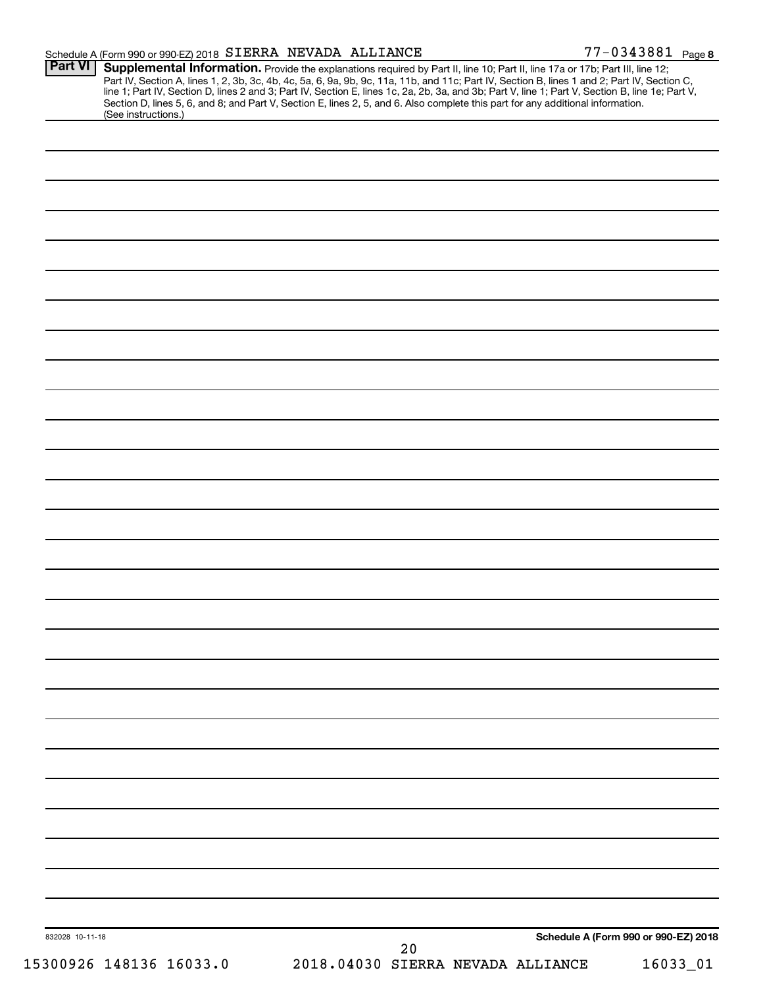| Schedule A (Form 990 or 990-EZ) 2018 SIERRA NEVADA ALLIANCE |                                                                                                                                                                                                                                                                                                                                                                                                                                                                                                                                                                      | 77-0343881 Page 8                    |
|-------------------------------------------------------------|----------------------------------------------------------------------------------------------------------------------------------------------------------------------------------------------------------------------------------------------------------------------------------------------------------------------------------------------------------------------------------------------------------------------------------------------------------------------------------------------------------------------------------------------------------------------|--------------------------------------|
| Part VI<br>(See instructions.)                              | Supplemental Information. Provide the explanations required by Part II, line 10; Part II, line 17a or 17b; Part III, line 12;<br>Part IV, Section A, lines 1, 2, 3b, 3c, 4b, 4c, 5a, 6, 9a, 9b, 9c, 11a, 11b, and 11c; Part IV, Section B, lines 1 and 2; Part IV, Section C,<br>line 1; Part IV, Section D, lines 2 and 3; Part IV, Section E, lines 1c, 2a, 2b, 3a, and 3b; Part V, line 1; Part V, Section B, line 1e; Part V,<br>Section D, lines 5, 6, and 8; and Part V, Section E, lines 2, 5, and 6. Also complete this part for any additional information. |                                      |
|                                                             |                                                                                                                                                                                                                                                                                                                                                                                                                                                                                                                                                                      |                                      |
|                                                             |                                                                                                                                                                                                                                                                                                                                                                                                                                                                                                                                                                      |                                      |
|                                                             |                                                                                                                                                                                                                                                                                                                                                                                                                                                                                                                                                                      |                                      |
|                                                             |                                                                                                                                                                                                                                                                                                                                                                                                                                                                                                                                                                      |                                      |
|                                                             |                                                                                                                                                                                                                                                                                                                                                                                                                                                                                                                                                                      |                                      |
|                                                             |                                                                                                                                                                                                                                                                                                                                                                                                                                                                                                                                                                      |                                      |
|                                                             |                                                                                                                                                                                                                                                                                                                                                                                                                                                                                                                                                                      |                                      |
|                                                             |                                                                                                                                                                                                                                                                                                                                                                                                                                                                                                                                                                      |                                      |
|                                                             |                                                                                                                                                                                                                                                                                                                                                                                                                                                                                                                                                                      |                                      |
|                                                             |                                                                                                                                                                                                                                                                                                                                                                                                                                                                                                                                                                      |                                      |
|                                                             |                                                                                                                                                                                                                                                                                                                                                                                                                                                                                                                                                                      |                                      |
|                                                             |                                                                                                                                                                                                                                                                                                                                                                                                                                                                                                                                                                      |                                      |
|                                                             |                                                                                                                                                                                                                                                                                                                                                                                                                                                                                                                                                                      |                                      |
|                                                             |                                                                                                                                                                                                                                                                                                                                                                                                                                                                                                                                                                      |                                      |
|                                                             |                                                                                                                                                                                                                                                                                                                                                                                                                                                                                                                                                                      |                                      |
|                                                             |                                                                                                                                                                                                                                                                                                                                                                                                                                                                                                                                                                      |                                      |
|                                                             |                                                                                                                                                                                                                                                                                                                                                                                                                                                                                                                                                                      |                                      |
|                                                             |                                                                                                                                                                                                                                                                                                                                                                                                                                                                                                                                                                      |                                      |
|                                                             |                                                                                                                                                                                                                                                                                                                                                                                                                                                                                                                                                                      |                                      |
|                                                             |                                                                                                                                                                                                                                                                                                                                                                                                                                                                                                                                                                      |                                      |
|                                                             |                                                                                                                                                                                                                                                                                                                                                                                                                                                                                                                                                                      |                                      |
|                                                             |                                                                                                                                                                                                                                                                                                                                                                                                                                                                                                                                                                      |                                      |
|                                                             |                                                                                                                                                                                                                                                                                                                                                                                                                                                                                                                                                                      |                                      |
|                                                             |                                                                                                                                                                                                                                                                                                                                                                                                                                                                                                                                                                      |                                      |
|                                                             |                                                                                                                                                                                                                                                                                                                                                                                                                                                                                                                                                                      |                                      |
|                                                             |                                                                                                                                                                                                                                                                                                                                                                                                                                                                                                                                                                      |                                      |
|                                                             |                                                                                                                                                                                                                                                                                                                                                                                                                                                                                                                                                                      |                                      |
|                                                             |                                                                                                                                                                                                                                                                                                                                                                                                                                                                                                                                                                      |                                      |
|                                                             |                                                                                                                                                                                                                                                                                                                                                                                                                                                                                                                                                                      |                                      |
|                                                             |                                                                                                                                                                                                                                                                                                                                                                                                                                                                                                                                                                      |                                      |
|                                                             |                                                                                                                                                                                                                                                                                                                                                                                                                                                                                                                                                                      |                                      |
|                                                             |                                                                                                                                                                                                                                                                                                                                                                                                                                                                                                                                                                      |                                      |
|                                                             |                                                                                                                                                                                                                                                                                                                                                                                                                                                                                                                                                                      |                                      |
| 832028 10-11-18                                             | 20                                                                                                                                                                                                                                                                                                                                                                                                                                                                                                                                                                   | Schedule A (Form 990 or 990-EZ) 2018 |
| 15300926 148136 16033.0                                     | 2018.04030 SIERRA NEVADA ALLIANCE                                                                                                                                                                                                                                                                                                                                                                                                                                                                                                                                    | 16033_01                             |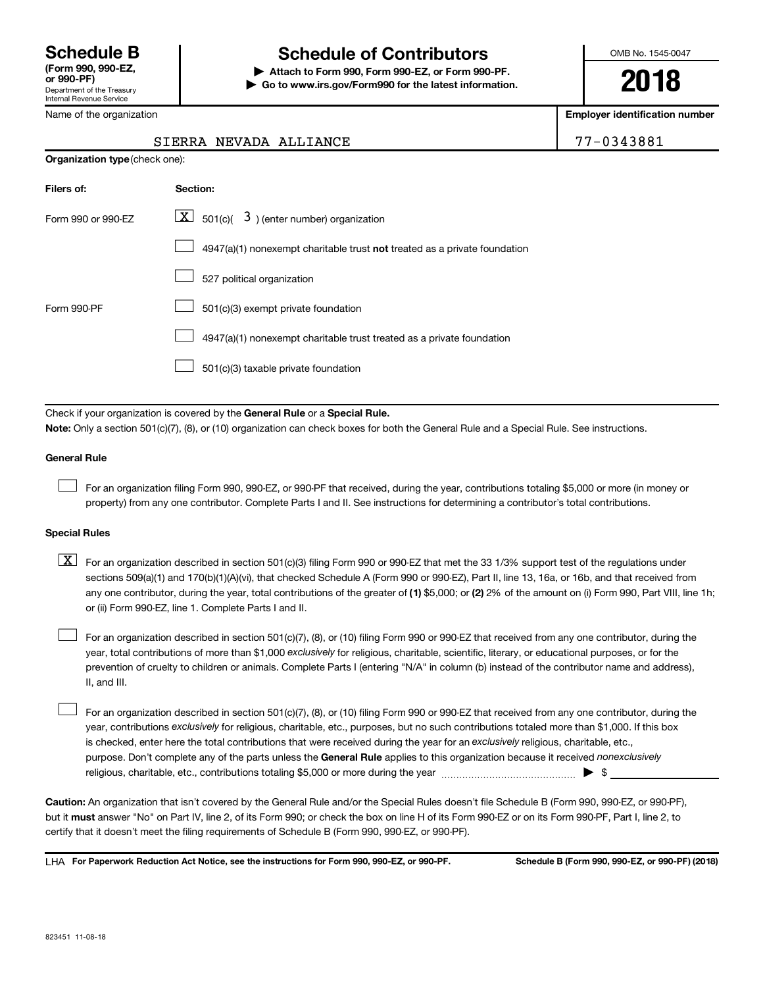Department of the Treasury Internal Revenue Service

# **Schedule B Schedule of Contributors**

**or 990-PF) | Attach to Form 990, Form 990-EZ, or Form 990-PF. | Go to www.irs.gov/Form990 for the latest information.** OMB No. 1545-0047

**2018**

**Employer identification number**

| Vame of the organization |  |
|--------------------------|--|
|--------------------------|--|

**Organization type** (check one):

# **Filers of: Section:** 4947(a)(1) nonexempt charitable trust not treated as a private foundation Form 990 or 990-EZ  $\overline{\mathbf{X}}$  501(c)(  $\overline{\mathbf{3}}$  ) (enter number) organization 527 political organization Form 990-PF  $\Box$  501(c)(3) exempt private foundation 4947(a)(1) nonexempt charitable trust treated as a private foundation 501(c)(3) taxable private foundation  $\Box$  $\Box$  $\Box$  $\Box$  $\Box$

Check if your organization is covered by the General Rule or a Special Rule.

**Note:**  Only a section 501(c)(7), (8), or (10) organization can check boxes for both the General Rule and a Special Rule. See instructions.

#### **General Rule**

 $\Box$ 

For an organization filing Form 990, 990-EZ, or 990-PF that received, during the year, contributions totaling \$5,000 or more (in money or property) from any one contributor. Complete Parts I and II. See instructions for determining a contributor's total contributions.

#### **Special Rules**

any one contributor, during the year, total contributions of the greater of (1) \$5,000; or (2) 2% of the amount on (i) Form 990, Part VIII, line 1h;  $\boxed{\text{X}}$  For an organization described in section 501(c)(3) filing Form 990 or 990-EZ that met the 33 1/3% support test of the regulations under sections 509(a)(1) and 170(b)(1)(A)(vi), that checked Schedule A (Form 990 or 990-EZ), Part II, line 13, 16a, or 16b, and that received from or (ii) Form 990-EZ, line 1. Complete Parts I and II.

year, total contributions of more than \$1,000 *exclusively* for religious, charitable, scientific, literary, or educational purposes, or for the For an organization described in section 501(c)(7), (8), or (10) filing Form 990 or 990-EZ that received from any one contributor, during the prevention of cruelty to children or animals. Complete Parts I (entering "N/A" in column (b) instead of the contributor name and address), II, and III.  $\Box$ 

purpose. Don't complete any of the parts unless the General Rule applies to this organization because it received nonexclusively year, contributions exclusively for religious, charitable, etc., purposes, but no such contributions totaled more than \$1,000. If this box is checked, enter here the total contributions that were received during the year for an exclusively religious, charitable, etc., For an organization described in section 501(c)(7), (8), or (10) filing Form 990 or 990-EZ that received from any one contributor, during the religious, charitable, etc., contributions totaling \$5,000 or more during the year  $~\ldots\ldots\ldots\ldots\ldots\ldots\ldots\ldots\ldots\blacktriangleright~$ \$  $\Box$ 

**Caution:**  An organization that isn't covered by the General Rule and/or the Special Rules doesn't file Schedule B (Form 990, 990-EZ, or 990-PF),  **must** but it answer "No" on Part IV, line 2, of its Form 990; or check the box on line H of its Form 990-EZ or on its Form 990-PF, Part I, line 2, to certify that it doesn't meet the filing requirements of Schedule B (Form 990, 990-EZ, or 990-PF).

**For Paperwork Reduction Act Notice, see the instructions for Form 990, 990-EZ, or 990-PF. Schedule B (Form 990, 990-EZ, or 990-PF) (2018)** LHA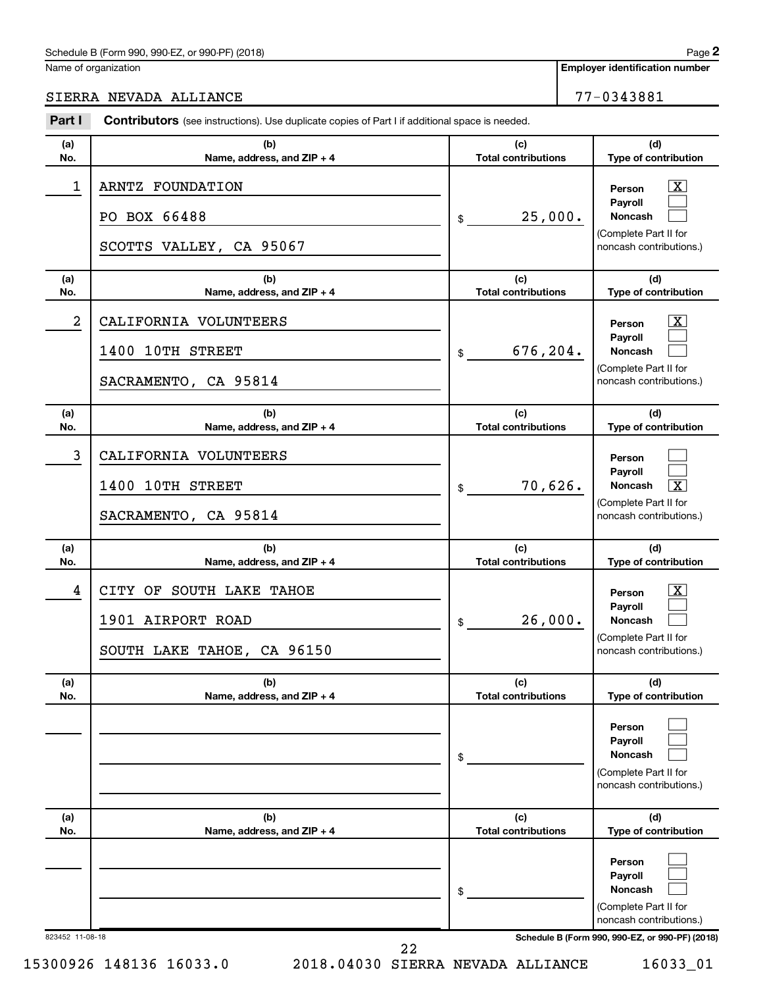## Schedule B (Form 990, 990-EZ, or 990-PF) (2018)

Name of organization

**Employer identification number**

SIERRA NEVADA ALLIANCE 77-0343881

|                | <b>Contributors</b> (see instructions). Use duplicate copies of Part I if additional space is needed. |                                   |                                                                                                          |
|----------------|-------------------------------------------------------------------------------------------------------|-----------------------------------|----------------------------------------------------------------------------------------------------------|
| (a)<br>No.     | (b)<br>Name, address, and ZIP + 4                                                                     | (c)<br><b>Total contributions</b> | (d)<br>Type of contribution                                                                              |
| $\mathbf 1$    | ARNTZ FOUNDATION<br>PO BOX 66488<br>SCOTTS VALLEY, CA 95067                                           | 25,000.<br>\$                     | $\boxed{\mathbf{X}}$<br>Person<br>Payroll<br>Noncash<br>(Complete Part II for<br>noncash contributions.) |
| (a)<br>No.     | (b)<br>Name, address, and ZIP + 4                                                                     | (c)<br><b>Total contributions</b> | (d)<br>Type of contribution                                                                              |
| $\overline{a}$ | CALIFORNIA VOLUNTEERS<br>1400 10TH STREET<br>SACRAMENTO, CA 95814                                     | 676,204.<br>\$                    | $\mathbf{X}$<br>Person<br>Payroll<br>Noncash<br>(Complete Part II for<br>noncash contributions.)         |
| (a)<br>No.     | (b)<br>Name, address, and ZIP + 4                                                                     | (c)<br><b>Total contributions</b> | (d)<br>Type of contribution                                                                              |
| 3              | CALIFORNIA VOLUNTEERS<br>1400 10TH STREET<br>SACRAMENTO, CA 95814                                     | 70,626.<br>\$                     | Person<br>Payroll<br>$\boxed{\text{X}}$<br>Noncash<br>(Complete Part II for<br>noncash contributions.)   |
| (a)<br>No.     | (b)<br>Name, address, and ZIP + 4                                                                     | (c)<br><b>Total contributions</b> | (d)<br>Type of contribution                                                                              |
|                | CITY OF SOUTH LAKE TAHOE                                                                              |                                   | $\boxed{\textbf{X}}$                                                                                     |
| 4              | 1901 AIRPORT ROAD<br>SOUTH LAKE TAHOE, CA 96150                                                       | 26,000.<br>\$                     | Person<br>Payroll<br><b>Noncash</b><br>(Complete Part II for<br>noncash contributions.)                  |
| (a)<br>No.     | (b)<br>Name, address, and ZIP + 4                                                                     | (c)<br><b>Total contributions</b> | (d)<br>Type of contribution                                                                              |
|                |                                                                                                       | \$                                | Person<br>Payroll<br>Noncash<br>(Complete Part II for<br>noncash contributions.)                         |
| (a)<br>No.     | (b)<br>Name, address, and ZIP + 4                                                                     | (c)<br><b>Total contributions</b> | (d)<br>Type of contribution                                                                              |
|                |                                                                                                       | \$                                | Person<br>Payroll<br>Noncash<br>(Complete Part II for<br>noncash contributions.)                         |

15300926 148136 16033.0 2018.04030 SIERRA NEVADA ALLIANCE 16033\_01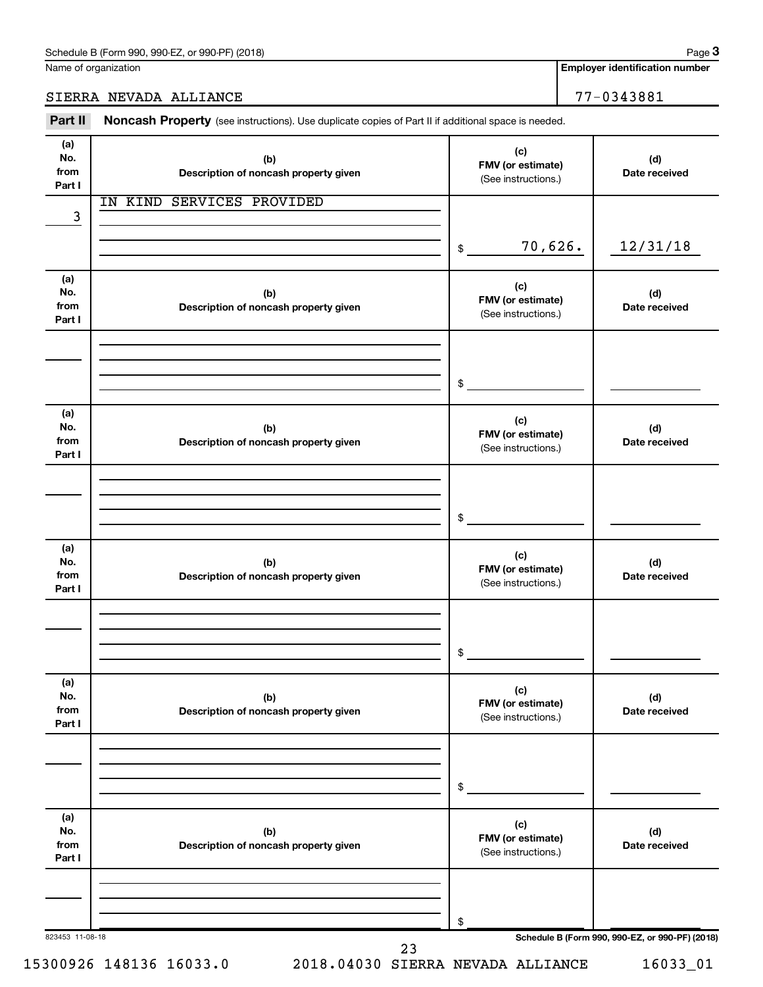Name of organization

**Employer identification number**

SIERRA NEVADA ALLIANCE 77-0343881

Part II Noncash Property (see instructions). Use duplicate copies of Part II if additional space is needed.

| (a)<br>No.<br>from<br>Part I | (b)<br>Description of noncash property given | (c)<br>FMV (or estimate)<br>(See instructions.) | (d)<br>Date received                            |
|------------------------------|----------------------------------------------|-------------------------------------------------|-------------------------------------------------|
| 3                            | IN KIND<br>SERVICES PROVIDED                 |                                                 |                                                 |
|                              |                                              | 70,626.<br>\$                                   | 12/31/18                                        |
| (a)<br>No.<br>from<br>Part I | (b)<br>Description of noncash property given | (c)<br>FMV (or estimate)<br>(See instructions.) | (d)<br>Date received                            |
|                              |                                              | \$                                              |                                                 |
| (a)<br>No.<br>from<br>Part I | (b)<br>Description of noncash property given | (c)<br>FMV (or estimate)<br>(See instructions.) | (d)<br>Date received                            |
|                              |                                              | \$                                              |                                                 |
| (a)<br>No.<br>from<br>Part I | (b)<br>Description of noncash property given | (c)<br>FMV (or estimate)<br>(See instructions.) | (d)<br>Date received                            |
|                              |                                              | \$                                              |                                                 |
| (a)<br>No.<br>from<br>Part I | (b)<br>Description of noncash property given | (c)<br>FMV (or estimate)<br>(See instructions.) | (d)<br>Date received                            |
|                              |                                              | \$                                              |                                                 |
| (a)<br>No.<br>from<br>Part I | (b)<br>Description of noncash property given | (c)<br>FMV (or estimate)<br>(See instructions.) | (d)<br>Date received                            |
|                              |                                              | \$                                              |                                                 |
| 823453 11-08-18              |                                              |                                                 | Schedule B (Form 990, 990-EZ, or 990-PF) (2018) |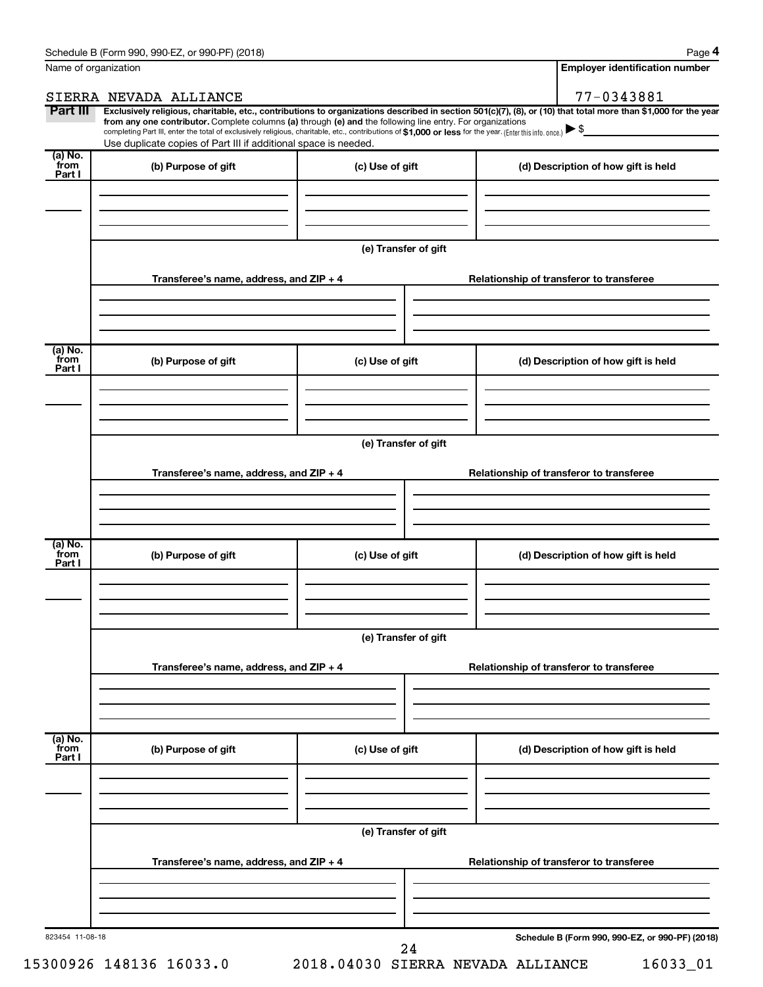**4**

| Name of organization                   |                                                                                                                                                                                                                                                                                                                                                                                                                                                                                                             |                      |  | <b>Employer identification number</b>           |  |
|----------------------------------------|-------------------------------------------------------------------------------------------------------------------------------------------------------------------------------------------------------------------------------------------------------------------------------------------------------------------------------------------------------------------------------------------------------------------------------------------------------------------------------------------------------------|----------------------|--|-------------------------------------------------|--|
|                                        | SIERRA NEVADA ALLIANCE                                                                                                                                                                                                                                                                                                                                                                                                                                                                                      |                      |  | 77-0343881                                      |  |
| Part III                               | Exclusively religious, charitable, etc., contributions to organizations described in section 501(c)(7), (8), or (10) that total more than \$1,000 for the year<br>from any one contributor. Complete columns (a) through (e) and the following line entry. For organizations<br>completing Part III, enter the total of exclusively religious, charitable, etc., contributions of \$1,000 or less for the year. (Enter this info. once.)<br>Use duplicate copies of Part III if additional space is needed. |                      |  |                                                 |  |
| (a) No.<br>from<br>Part I              | (b) Purpose of gift                                                                                                                                                                                                                                                                                                                                                                                                                                                                                         | (c) Use of gift      |  | (d) Description of how gift is held             |  |
|                                        |                                                                                                                                                                                                                                                                                                                                                                                                                                                                                                             |                      |  |                                                 |  |
|                                        |                                                                                                                                                                                                                                                                                                                                                                                                                                                                                                             | (e) Transfer of gift |  |                                                 |  |
|                                        | Transferee's name, address, and ZIP + 4                                                                                                                                                                                                                                                                                                                                                                                                                                                                     |                      |  | Relationship of transferor to transferee        |  |
| $\overline{a}$ ) No.<br>from<br>Part I | (b) Purpose of gift                                                                                                                                                                                                                                                                                                                                                                                                                                                                                         | (c) Use of gift      |  | (d) Description of how gift is held             |  |
|                                        |                                                                                                                                                                                                                                                                                                                                                                                                                                                                                                             |                      |  |                                                 |  |
|                                        |                                                                                                                                                                                                                                                                                                                                                                                                                                                                                                             | (e) Transfer of gift |  |                                                 |  |
|                                        | Transferee's name, address, and ZIP + 4                                                                                                                                                                                                                                                                                                                                                                                                                                                                     |                      |  | Relationship of transferor to transferee        |  |
| $\overline{a}$ ) No.<br>from<br>Part I | (b) Purpose of gift                                                                                                                                                                                                                                                                                                                                                                                                                                                                                         | (c) Use of gift      |  | (d) Description of how gift is held             |  |
|                                        |                                                                                                                                                                                                                                                                                                                                                                                                                                                                                                             |                      |  |                                                 |  |
|                                        |                                                                                                                                                                                                                                                                                                                                                                                                                                                                                                             | (e) Transfer of gift |  |                                                 |  |
|                                        | Transferee's name, address, and ZIP + 4                                                                                                                                                                                                                                                                                                                                                                                                                                                                     |                      |  | Relationship of transferor to transferee        |  |
| (a) No.<br>from<br>Part I              | (b) Purpose of gift                                                                                                                                                                                                                                                                                                                                                                                                                                                                                         | (c) Use of gift      |  | (d) Description of how gift is held             |  |
|                                        |                                                                                                                                                                                                                                                                                                                                                                                                                                                                                                             |                      |  |                                                 |  |
|                                        | (e) Transfer of gift                                                                                                                                                                                                                                                                                                                                                                                                                                                                                        |                      |  |                                                 |  |
|                                        | Transferee's name, address, and ZIP + 4                                                                                                                                                                                                                                                                                                                                                                                                                                                                     |                      |  | Relationship of transferor to transferee        |  |
|                                        |                                                                                                                                                                                                                                                                                                                                                                                                                                                                                                             |                      |  |                                                 |  |
| 823454 11-08-18                        |                                                                                                                                                                                                                                                                                                                                                                                                                                                                                                             | 24                   |  | Schedule B (Form 990, 990-EZ, or 990-PF) (2018) |  |

15300926 148136 16033.0 2018.04030 SIERRA NEVADA ALLIANCE 16033\_01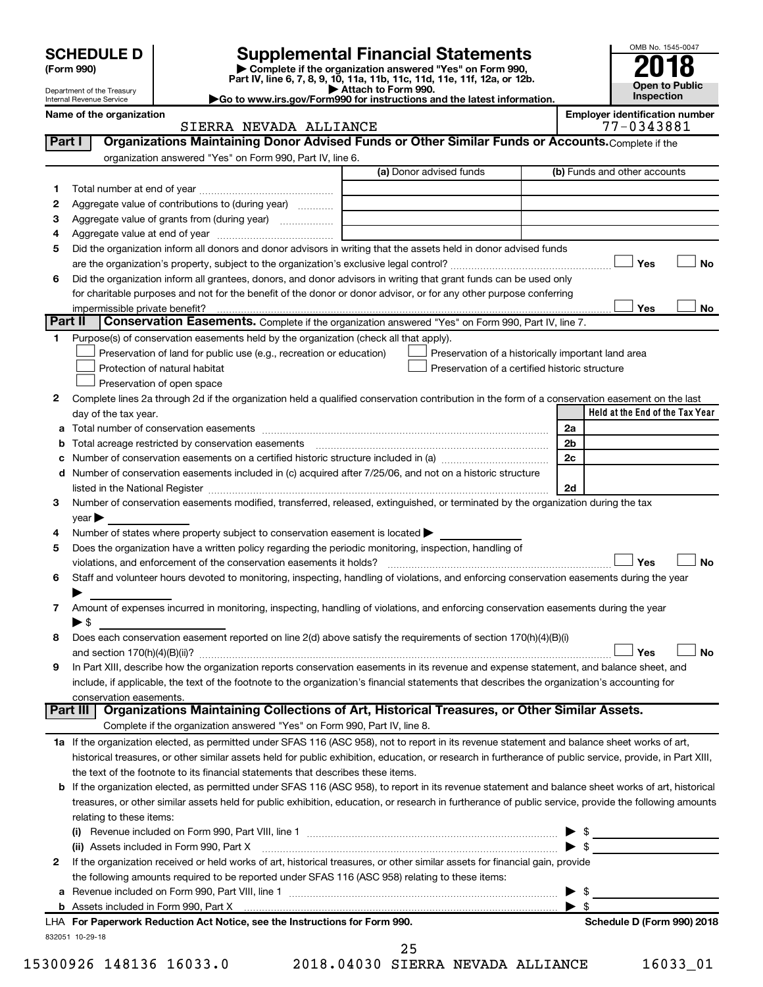| <b>SCHEDULE D</b> |  |
|-------------------|--|
|-------------------|--|

| (Form 990) |  |
|------------|--|
|------------|--|

# **SCHEDULE D Supplemental Financial Statements**<br> **Form 990 2018**<br> **Part IV** line 6.7.8.9.10, 11a, 11b, 11d, 11d, 11d, 11d, 11d, 12a, 0r, 12b

**(Form 990) | Complete if the organization answered "Yes" on Form 990, Part IV, line 6, 7, 8, 9, 10, 11a, 11b, 11c, 11d, 11e, 11f, 12a, or 12b.**

**| Attach to Form 990. |Go to www.irs.gov/Form990 for instructions and the latest information.**



Department of the Treasury Internal Revenue Service

| Name of the organization                                                                                    | <b>Emplover identification number</b> |
|-------------------------------------------------------------------------------------------------------------|---------------------------------------|
| SIERRA NEVADA ALLIANCE                                                                                      | 77-0343881                            |
| Part I<br>Organizations Maintaining Donor Advised Funds or Other Similar Funds or Accounts. Complete if the |                                       |

| Part I  | Organizations Maintaining Donor Advised Funds or Other Similar Funds or Accounts. Complete if the                                                         |                                                                                                      |                                                                                                                                                                                                                                                                                                                     |
|---------|-----------------------------------------------------------------------------------------------------------------------------------------------------------|------------------------------------------------------------------------------------------------------|---------------------------------------------------------------------------------------------------------------------------------------------------------------------------------------------------------------------------------------------------------------------------------------------------------------------|
|         | organization answered "Yes" on Form 990, Part IV, line 6.                                                                                                 | (a) Donor advised funds                                                                              | (b) Funds and other accounts                                                                                                                                                                                                                                                                                        |
|         |                                                                                                                                                           |                                                                                                      |                                                                                                                                                                                                                                                                                                                     |
| 1.<br>2 | Aggregate value of contributions to (during year)                                                                                                         |                                                                                                      |                                                                                                                                                                                                                                                                                                                     |
|         |                                                                                                                                                           |                                                                                                      |                                                                                                                                                                                                                                                                                                                     |
| з       |                                                                                                                                                           |                                                                                                      |                                                                                                                                                                                                                                                                                                                     |
| 4<br>5  | Did the organization inform all donors and donor advisors in writing that the assets held in donor advised funds                                          |                                                                                                      |                                                                                                                                                                                                                                                                                                                     |
|         |                                                                                                                                                           |                                                                                                      | Yes<br>No                                                                                                                                                                                                                                                                                                           |
|         | Did the organization inform all grantees, donors, and donor advisors in writing that grant funds can be used only                                         |                                                                                                      |                                                                                                                                                                                                                                                                                                                     |
| 6       | for charitable purposes and not for the benefit of the donor or donor advisor, or for any other purpose conferring                                        |                                                                                                      |                                                                                                                                                                                                                                                                                                                     |
|         |                                                                                                                                                           |                                                                                                      | Yes<br>No                                                                                                                                                                                                                                                                                                           |
| Part II | Conservation Easements. Complete if the organization answered "Yes" on Form 990, Part IV, line 7.                                                         |                                                                                                      |                                                                                                                                                                                                                                                                                                                     |
|         |                                                                                                                                                           |                                                                                                      |                                                                                                                                                                                                                                                                                                                     |
|         | Purpose(s) of conservation easements held by the organization (check all that apply).                                                                     |                                                                                                      |                                                                                                                                                                                                                                                                                                                     |
|         | Preservation of land for public use (e.g., recreation or education)<br>Protection of natural habitat                                                      | Preservation of a historically important land area<br>Preservation of a certified historic structure |                                                                                                                                                                                                                                                                                                                     |
|         |                                                                                                                                                           |                                                                                                      |                                                                                                                                                                                                                                                                                                                     |
|         | Preservation of open space                                                                                                                                |                                                                                                      |                                                                                                                                                                                                                                                                                                                     |
| 2       | Complete lines 2a through 2d if the organization held a qualified conservation contribution in the form of a conservation easement on the last            |                                                                                                      | Held at the End of the Tax Year                                                                                                                                                                                                                                                                                     |
|         | day of the tax year.                                                                                                                                      |                                                                                                      |                                                                                                                                                                                                                                                                                                                     |
| а       |                                                                                                                                                           |                                                                                                      | 2a<br>2 <sub>b</sub>                                                                                                                                                                                                                                                                                                |
|         |                                                                                                                                                           |                                                                                                      | 2c                                                                                                                                                                                                                                                                                                                  |
|         |                                                                                                                                                           |                                                                                                      |                                                                                                                                                                                                                                                                                                                     |
| d       | Number of conservation easements included in (c) acquired after 7/25/06, and not on a historic structure                                                  |                                                                                                      | 2d                                                                                                                                                                                                                                                                                                                  |
|         | Number of conservation easements modified, transferred, released, extinguished, or terminated by the organization during the tax                          |                                                                                                      |                                                                                                                                                                                                                                                                                                                     |
| 3       |                                                                                                                                                           |                                                                                                      |                                                                                                                                                                                                                                                                                                                     |
| 4       | year<br>Number of states where property subject to conservation easement is located >                                                                     |                                                                                                      |                                                                                                                                                                                                                                                                                                                     |
| 5       | Does the organization have a written policy regarding the periodic monitoring, inspection, handling of                                                    |                                                                                                      |                                                                                                                                                                                                                                                                                                                     |
|         | violations, and enforcement of the conservation easements it holds?                                                                                       |                                                                                                      | Yes<br><b>No</b>                                                                                                                                                                                                                                                                                                    |
| 6       | Staff and volunteer hours devoted to monitoring, inspecting, handling of violations, and enforcing conservation easements during the year                 |                                                                                                      |                                                                                                                                                                                                                                                                                                                     |
|         |                                                                                                                                                           |                                                                                                      |                                                                                                                                                                                                                                                                                                                     |
| 7       | Amount of expenses incurred in monitoring, inspecting, handling of violations, and enforcing conservation easements during the year                       |                                                                                                      |                                                                                                                                                                                                                                                                                                                     |
|         | $\blacktriangleright$ \$                                                                                                                                  |                                                                                                      |                                                                                                                                                                                                                                                                                                                     |
| 8       | Does each conservation easement reported on line 2(d) above satisfy the requirements of section 170(h)(4)(B)(i)                                           |                                                                                                      |                                                                                                                                                                                                                                                                                                                     |
|         |                                                                                                                                                           |                                                                                                      | Yes<br><b>No</b>                                                                                                                                                                                                                                                                                                    |
| 9       | In Part XIII, describe how the organization reports conservation easements in its revenue and expense statement, and balance sheet, and                   |                                                                                                      |                                                                                                                                                                                                                                                                                                                     |
|         | include, if applicable, the text of the footnote to the organization's financial statements that describes the organization's accounting for              |                                                                                                      |                                                                                                                                                                                                                                                                                                                     |
|         | conservation easements.                                                                                                                                   |                                                                                                      |                                                                                                                                                                                                                                                                                                                     |
|         | Organizations Maintaining Collections of Art, Historical Treasures, or Other Similar Assets.<br>Part III                                                  |                                                                                                      |                                                                                                                                                                                                                                                                                                                     |
|         | Complete if the organization answered "Yes" on Form 990, Part IV, line 8.                                                                                 |                                                                                                      |                                                                                                                                                                                                                                                                                                                     |
|         | 1a If the organization elected, as permitted under SFAS 116 (ASC 958), not to report in its revenue statement and balance sheet works of art,             |                                                                                                      |                                                                                                                                                                                                                                                                                                                     |
|         | historical treasures, or other similar assets held for public exhibition, education, or research in furtherance of public service, provide, in Part XIII, |                                                                                                      |                                                                                                                                                                                                                                                                                                                     |
|         | the text of the footnote to its financial statements that describes these items.                                                                          |                                                                                                      |                                                                                                                                                                                                                                                                                                                     |
| b       | If the organization elected, as permitted under SFAS 116 (ASC 958), to report in its revenue statement and balance sheet works of art, historical         |                                                                                                      |                                                                                                                                                                                                                                                                                                                     |
|         | treasures, or other similar assets held for public exhibition, education, or research in furtherance of public service, provide the following amounts     |                                                                                                      |                                                                                                                                                                                                                                                                                                                     |
|         | relating to these items:                                                                                                                                  |                                                                                                      |                                                                                                                                                                                                                                                                                                                     |
|         |                                                                                                                                                           |                                                                                                      | $\frac{1}{2}$ $\frac{1}{2}$ $\frac{1}{2}$ $\frac{1}{2}$ $\frac{1}{2}$ $\frac{1}{2}$ $\frac{1}{2}$ $\frac{1}{2}$ $\frac{1}{2}$ $\frac{1}{2}$ $\frac{1}{2}$ $\frac{1}{2}$ $\frac{1}{2}$ $\frac{1}{2}$ $\frac{1}{2}$ $\frac{1}{2}$ $\frac{1}{2}$ $\frac{1}{2}$ $\frac{1}{2}$ $\frac{1}{2}$ $\frac{1}{2}$ $\frac{1}{2}$ |
|         | (ii) Assets included in Form 990, Part X                                                                                                                  |                                                                                                      | $\triangleright$ \$                                                                                                                                                                                                                                                                                                 |
| 2       | If the organization received or held works of art, historical treasures, or other similar assets for financial gain, provide                              |                                                                                                      |                                                                                                                                                                                                                                                                                                                     |
|         | the following amounts required to be reported under SFAS 116 (ASC 958) relating to these items:                                                           |                                                                                                      |                                                                                                                                                                                                                                                                                                                     |
| а       |                                                                                                                                                           |                                                                                                      | -\$<br>▶                                                                                                                                                                                                                                                                                                            |
|         |                                                                                                                                                           |                                                                                                      | - \$                                                                                                                                                                                                                                                                                                                |
|         | LHA For Paperwork Reduction Act Notice, see the Instructions for Form 990.                                                                                |                                                                                                      | Schedule D (Form 990) 2018                                                                                                                                                                                                                                                                                          |

25

832051 10-29-18

15300926 148136 16033.0 2018.04030 SIERRA NEVADA ALLIANCE 16033\_01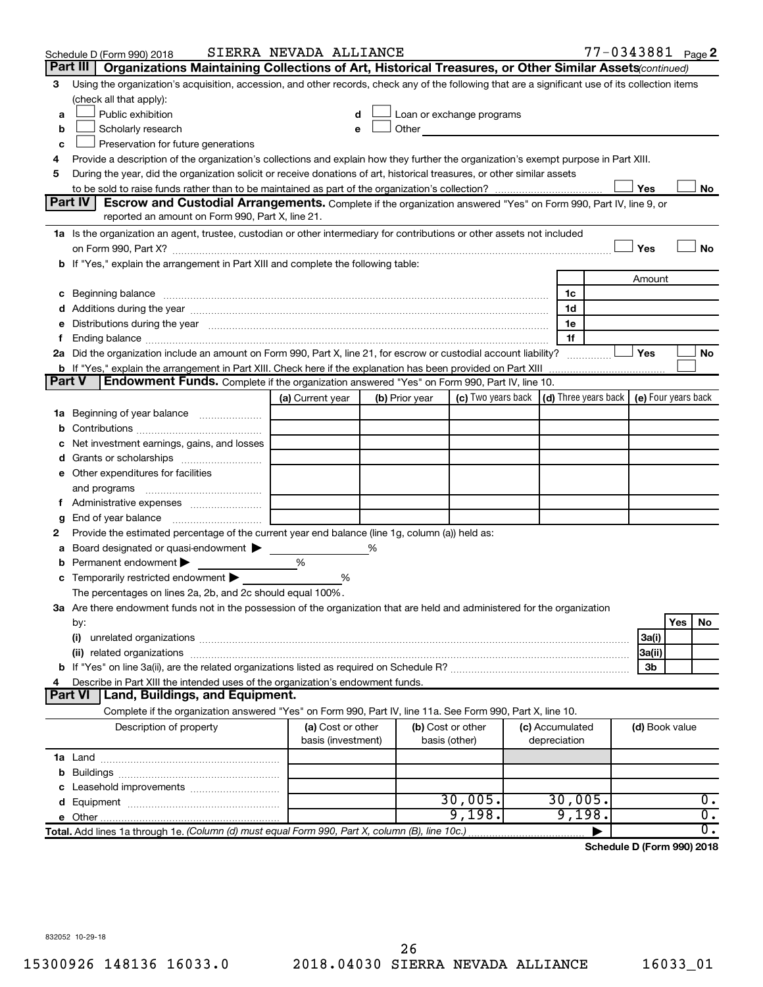| Part III<br>Organizations Maintaining Collections of Art, Historical Treasures, or Other Similar Assets (continued)<br>Using the organization's acquisition, accession, and other records, check any of the following that are a significant use of its collection items<br>3<br>(check all that apply):<br>Public exhibition<br>Loan or exchange programs<br>d<br>a<br>Scholarly research<br>Other and the contract of the contract of the contract of the contract of the contract of the contract of the contract of the contract of the contract of the contract of the contract of the contract of the contract of the<br>b<br>е<br>Preservation for future generations<br>c<br>Provide a description of the organization's collections and explain how they further the organization's exempt purpose in Part XIII.<br>4<br>During the year, did the organization solicit or receive donations of art, historical treasures, or other similar assets<br>5<br>Yes<br>No<br>Part IV<br><b>Escrow and Custodial Arrangements.</b> Complete if the organization answered "Yes" on Form 990, Part IV, line 9, or<br>reported an amount on Form 990, Part X, line 21.<br>1a Is the organization an agent, trustee, custodian or other intermediary for contributions or other assets not included<br>Yes<br>No<br>b If "Yes," explain the arrangement in Part XIII and complete the following table:<br>Amount<br>c Beginning balance measurements and the contract of Beginning balance measurements are all the contract of the contract of the contract of the contract of the contract of the contract of the contract of the contract of th<br>1c<br>d Additions during the year manufactured and an according to the year of Additions during the year manufactured and according to Additions during the year manufactured and according to the state of Additions of Additions a<br>1d<br>e Distributions during the year manufactured and continuum control of the control of the control of the state of the control of the control of the control of the control of the control of the control of the control of the<br>1e<br>1f<br>Ending balance measurements are all the contract of the contract of the contract of the contract of the contract of the contract of the contract of the contract of the contract of the contract of the contract of the contra<br>Ť.<br>2a Did the organization include an amount on Form 990, Part X, line 21, for escrow or custodial account liability?<br>Yes<br>No<br><b>b</b> If "Yes," explain the arrangement in Part XIII. Check here if the explanation has been provided on Part XIII<br>Part V<br><b>Endowment Funds.</b> Complete if the organization answered "Yes" on Form 990, Part IV, line 10.<br>$(d)$ Three years back $\mid$ (e) Four years back<br>(c) Two years back<br>(a) Current year<br>(b) Prior year<br>1a Beginning of year balance<br>b<br>Net investment earnings, gains, and losses<br>с<br>e Other expenditures for facilities<br>and programs<br>g<br>Provide the estimated percentage of the current year end balance (line 1g, column (a)) held as:<br>2<br>Board designated or quasi-endowment<br>%<br>а<br>%<br>Permanent endowment<br>b<br>Temporarily restricted endowment<br>%<br>С<br>The percentages on lines 2a, 2b, and 2c should equal 100%.<br>3a Are there endowment funds not in the possession of the organization that are held and administered for the organization<br>Yes<br>No<br>by:<br>(i)<br>3a(i)<br>3a(ii)<br>3b<br>Describe in Part XIII the intended uses of the organization's endowment funds.<br>4<br><b>Land, Buildings, and Equipment.</b><br><b>Part VI</b><br>Complete if the organization answered "Yes" on Form 990, Part IV, line 11a. See Form 990, Part X, line 10.<br>(b) Cost or other<br>Description of property<br>(a) Cost or other<br>(c) Accumulated<br>(d) Book value<br>basis (investment)<br>depreciation<br>basis (other)<br>30,005.<br>30,005.<br>$0$ .<br>9,198.<br>9,198.<br>$\overline{0}$ .<br>$\overline{0}$ .<br>Total. Add lines 1a through 1e. (Column (d) must equal Form 990, Part X, column (B), line 10c.) | Schedule D (Form 990) 2018 | SIERRA NEVADA ALLIANCE |  |  | 77-0343881 Page 2 |  |  |
|--------------------------------------------------------------------------------------------------------------------------------------------------------------------------------------------------------------------------------------------------------------------------------------------------------------------------------------------------------------------------------------------------------------------------------------------------------------------------------------------------------------------------------------------------------------------------------------------------------------------------------------------------------------------------------------------------------------------------------------------------------------------------------------------------------------------------------------------------------------------------------------------------------------------------------------------------------------------------------------------------------------------------------------------------------------------------------------------------------------------------------------------------------------------------------------------------------------------------------------------------------------------------------------------------------------------------------------------------------------------------------------------------------------------------------------------------------------------------------------------------------------------------------------------------------------------------------------------------------------------------------------------------------------------------------------------------------------------------------------------------------------------------------------------------------------------------------------------------------------------------------------------------------------------------------------------------------------------------------------------------------------------------------------------------------------------------------------------------------------------------------------------------------------------------------------------------------------------------------------------------------------------------------------------------------------------------------------------------------------------------------------------------------------------------------------------------------------------------------------------------------------------------------------------------------------------------------------------------------------------------------------------------------------------------------------------------------------------------------------------------------------------------------------------------------------------------------------------------------------------------------------------------------------------------------------------------------------------------------------------------------------------------------------------------------------------------------------------------------------------------------------------------------------------------------------------------------------------------------------------------------------------------------------------------------------------------------------------------------------------------------------------------------------------------------------------------------------------------------------------------------------------------------------------------------------------------------------------------------------------------------------------------------------------------------------------------------------------------------------------------------------------------------------------------------------------------------------------------------------------------------------------------------------------------------------------------------------------------------------------------------------------------------------------------------------------------------------------------------------------------------------------------------------|----------------------------|------------------------|--|--|-------------------|--|--|
|                                                                                                                                                                                                                                                                                                                                                                                                                                                                                                                                                                                                                                                                                                                                                                                                                                                                                                                                                                                                                                                                                                                                                                                                                                                                                                                                                                                                                                                                                                                                                                                                                                                                                                                                                                                                                                                                                                                                                                                                                                                                                                                                                                                                                                                                                                                                                                                                                                                                                                                                                                                                                                                                                                                                                                                                                                                                                                                                                                                                                                                                                                                                                                                                                                                                                                                                                                                                                                                                                                                                                                                                                                                                                                                                                                                                                                                                                                                                                                                                                                                                                                                                                              |                            |                        |  |  |                   |  |  |
|                                                                                                                                                                                                                                                                                                                                                                                                                                                                                                                                                                                                                                                                                                                                                                                                                                                                                                                                                                                                                                                                                                                                                                                                                                                                                                                                                                                                                                                                                                                                                                                                                                                                                                                                                                                                                                                                                                                                                                                                                                                                                                                                                                                                                                                                                                                                                                                                                                                                                                                                                                                                                                                                                                                                                                                                                                                                                                                                                                                                                                                                                                                                                                                                                                                                                                                                                                                                                                                                                                                                                                                                                                                                                                                                                                                                                                                                                                                                                                                                                                                                                                                                                              |                            |                        |  |  |                   |  |  |
|                                                                                                                                                                                                                                                                                                                                                                                                                                                                                                                                                                                                                                                                                                                                                                                                                                                                                                                                                                                                                                                                                                                                                                                                                                                                                                                                                                                                                                                                                                                                                                                                                                                                                                                                                                                                                                                                                                                                                                                                                                                                                                                                                                                                                                                                                                                                                                                                                                                                                                                                                                                                                                                                                                                                                                                                                                                                                                                                                                                                                                                                                                                                                                                                                                                                                                                                                                                                                                                                                                                                                                                                                                                                                                                                                                                                                                                                                                                                                                                                                                                                                                                                                              |                            |                        |  |  |                   |  |  |
|                                                                                                                                                                                                                                                                                                                                                                                                                                                                                                                                                                                                                                                                                                                                                                                                                                                                                                                                                                                                                                                                                                                                                                                                                                                                                                                                                                                                                                                                                                                                                                                                                                                                                                                                                                                                                                                                                                                                                                                                                                                                                                                                                                                                                                                                                                                                                                                                                                                                                                                                                                                                                                                                                                                                                                                                                                                                                                                                                                                                                                                                                                                                                                                                                                                                                                                                                                                                                                                                                                                                                                                                                                                                                                                                                                                                                                                                                                                                                                                                                                                                                                                                                              |                            |                        |  |  |                   |  |  |
|                                                                                                                                                                                                                                                                                                                                                                                                                                                                                                                                                                                                                                                                                                                                                                                                                                                                                                                                                                                                                                                                                                                                                                                                                                                                                                                                                                                                                                                                                                                                                                                                                                                                                                                                                                                                                                                                                                                                                                                                                                                                                                                                                                                                                                                                                                                                                                                                                                                                                                                                                                                                                                                                                                                                                                                                                                                                                                                                                                                                                                                                                                                                                                                                                                                                                                                                                                                                                                                                                                                                                                                                                                                                                                                                                                                                                                                                                                                                                                                                                                                                                                                                                              |                            |                        |  |  |                   |  |  |
|                                                                                                                                                                                                                                                                                                                                                                                                                                                                                                                                                                                                                                                                                                                                                                                                                                                                                                                                                                                                                                                                                                                                                                                                                                                                                                                                                                                                                                                                                                                                                                                                                                                                                                                                                                                                                                                                                                                                                                                                                                                                                                                                                                                                                                                                                                                                                                                                                                                                                                                                                                                                                                                                                                                                                                                                                                                                                                                                                                                                                                                                                                                                                                                                                                                                                                                                                                                                                                                                                                                                                                                                                                                                                                                                                                                                                                                                                                                                                                                                                                                                                                                                                              |                            |                        |  |  |                   |  |  |
|                                                                                                                                                                                                                                                                                                                                                                                                                                                                                                                                                                                                                                                                                                                                                                                                                                                                                                                                                                                                                                                                                                                                                                                                                                                                                                                                                                                                                                                                                                                                                                                                                                                                                                                                                                                                                                                                                                                                                                                                                                                                                                                                                                                                                                                                                                                                                                                                                                                                                                                                                                                                                                                                                                                                                                                                                                                                                                                                                                                                                                                                                                                                                                                                                                                                                                                                                                                                                                                                                                                                                                                                                                                                                                                                                                                                                                                                                                                                                                                                                                                                                                                                                              |                            |                        |  |  |                   |  |  |
|                                                                                                                                                                                                                                                                                                                                                                                                                                                                                                                                                                                                                                                                                                                                                                                                                                                                                                                                                                                                                                                                                                                                                                                                                                                                                                                                                                                                                                                                                                                                                                                                                                                                                                                                                                                                                                                                                                                                                                                                                                                                                                                                                                                                                                                                                                                                                                                                                                                                                                                                                                                                                                                                                                                                                                                                                                                                                                                                                                                                                                                                                                                                                                                                                                                                                                                                                                                                                                                                                                                                                                                                                                                                                                                                                                                                                                                                                                                                                                                                                                                                                                                                                              |                            |                        |  |  |                   |  |  |
|                                                                                                                                                                                                                                                                                                                                                                                                                                                                                                                                                                                                                                                                                                                                                                                                                                                                                                                                                                                                                                                                                                                                                                                                                                                                                                                                                                                                                                                                                                                                                                                                                                                                                                                                                                                                                                                                                                                                                                                                                                                                                                                                                                                                                                                                                                                                                                                                                                                                                                                                                                                                                                                                                                                                                                                                                                                                                                                                                                                                                                                                                                                                                                                                                                                                                                                                                                                                                                                                                                                                                                                                                                                                                                                                                                                                                                                                                                                                                                                                                                                                                                                                                              |                            |                        |  |  |                   |  |  |
|                                                                                                                                                                                                                                                                                                                                                                                                                                                                                                                                                                                                                                                                                                                                                                                                                                                                                                                                                                                                                                                                                                                                                                                                                                                                                                                                                                                                                                                                                                                                                                                                                                                                                                                                                                                                                                                                                                                                                                                                                                                                                                                                                                                                                                                                                                                                                                                                                                                                                                                                                                                                                                                                                                                                                                                                                                                                                                                                                                                                                                                                                                                                                                                                                                                                                                                                                                                                                                                                                                                                                                                                                                                                                                                                                                                                                                                                                                                                                                                                                                                                                                                                                              |                            |                        |  |  |                   |  |  |
|                                                                                                                                                                                                                                                                                                                                                                                                                                                                                                                                                                                                                                                                                                                                                                                                                                                                                                                                                                                                                                                                                                                                                                                                                                                                                                                                                                                                                                                                                                                                                                                                                                                                                                                                                                                                                                                                                                                                                                                                                                                                                                                                                                                                                                                                                                                                                                                                                                                                                                                                                                                                                                                                                                                                                                                                                                                                                                                                                                                                                                                                                                                                                                                                                                                                                                                                                                                                                                                                                                                                                                                                                                                                                                                                                                                                                                                                                                                                                                                                                                                                                                                                                              |                            |                        |  |  |                   |  |  |
|                                                                                                                                                                                                                                                                                                                                                                                                                                                                                                                                                                                                                                                                                                                                                                                                                                                                                                                                                                                                                                                                                                                                                                                                                                                                                                                                                                                                                                                                                                                                                                                                                                                                                                                                                                                                                                                                                                                                                                                                                                                                                                                                                                                                                                                                                                                                                                                                                                                                                                                                                                                                                                                                                                                                                                                                                                                                                                                                                                                                                                                                                                                                                                                                                                                                                                                                                                                                                                                                                                                                                                                                                                                                                                                                                                                                                                                                                                                                                                                                                                                                                                                                                              |                            |                        |  |  |                   |  |  |
|                                                                                                                                                                                                                                                                                                                                                                                                                                                                                                                                                                                                                                                                                                                                                                                                                                                                                                                                                                                                                                                                                                                                                                                                                                                                                                                                                                                                                                                                                                                                                                                                                                                                                                                                                                                                                                                                                                                                                                                                                                                                                                                                                                                                                                                                                                                                                                                                                                                                                                                                                                                                                                                                                                                                                                                                                                                                                                                                                                                                                                                                                                                                                                                                                                                                                                                                                                                                                                                                                                                                                                                                                                                                                                                                                                                                                                                                                                                                                                                                                                                                                                                                                              |                            |                        |  |  |                   |  |  |
|                                                                                                                                                                                                                                                                                                                                                                                                                                                                                                                                                                                                                                                                                                                                                                                                                                                                                                                                                                                                                                                                                                                                                                                                                                                                                                                                                                                                                                                                                                                                                                                                                                                                                                                                                                                                                                                                                                                                                                                                                                                                                                                                                                                                                                                                                                                                                                                                                                                                                                                                                                                                                                                                                                                                                                                                                                                                                                                                                                                                                                                                                                                                                                                                                                                                                                                                                                                                                                                                                                                                                                                                                                                                                                                                                                                                                                                                                                                                                                                                                                                                                                                                                              |                            |                        |  |  |                   |  |  |
|                                                                                                                                                                                                                                                                                                                                                                                                                                                                                                                                                                                                                                                                                                                                                                                                                                                                                                                                                                                                                                                                                                                                                                                                                                                                                                                                                                                                                                                                                                                                                                                                                                                                                                                                                                                                                                                                                                                                                                                                                                                                                                                                                                                                                                                                                                                                                                                                                                                                                                                                                                                                                                                                                                                                                                                                                                                                                                                                                                                                                                                                                                                                                                                                                                                                                                                                                                                                                                                                                                                                                                                                                                                                                                                                                                                                                                                                                                                                                                                                                                                                                                                                                              |                            |                        |  |  |                   |  |  |
|                                                                                                                                                                                                                                                                                                                                                                                                                                                                                                                                                                                                                                                                                                                                                                                                                                                                                                                                                                                                                                                                                                                                                                                                                                                                                                                                                                                                                                                                                                                                                                                                                                                                                                                                                                                                                                                                                                                                                                                                                                                                                                                                                                                                                                                                                                                                                                                                                                                                                                                                                                                                                                                                                                                                                                                                                                                                                                                                                                                                                                                                                                                                                                                                                                                                                                                                                                                                                                                                                                                                                                                                                                                                                                                                                                                                                                                                                                                                                                                                                                                                                                                                                              |                            |                        |  |  |                   |  |  |
|                                                                                                                                                                                                                                                                                                                                                                                                                                                                                                                                                                                                                                                                                                                                                                                                                                                                                                                                                                                                                                                                                                                                                                                                                                                                                                                                                                                                                                                                                                                                                                                                                                                                                                                                                                                                                                                                                                                                                                                                                                                                                                                                                                                                                                                                                                                                                                                                                                                                                                                                                                                                                                                                                                                                                                                                                                                                                                                                                                                                                                                                                                                                                                                                                                                                                                                                                                                                                                                                                                                                                                                                                                                                                                                                                                                                                                                                                                                                                                                                                                                                                                                                                              |                            |                        |  |  |                   |  |  |
|                                                                                                                                                                                                                                                                                                                                                                                                                                                                                                                                                                                                                                                                                                                                                                                                                                                                                                                                                                                                                                                                                                                                                                                                                                                                                                                                                                                                                                                                                                                                                                                                                                                                                                                                                                                                                                                                                                                                                                                                                                                                                                                                                                                                                                                                                                                                                                                                                                                                                                                                                                                                                                                                                                                                                                                                                                                                                                                                                                                                                                                                                                                                                                                                                                                                                                                                                                                                                                                                                                                                                                                                                                                                                                                                                                                                                                                                                                                                                                                                                                                                                                                                                              |                            |                        |  |  |                   |  |  |
|                                                                                                                                                                                                                                                                                                                                                                                                                                                                                                                                                                                                                                                                                                                                                                                                                                                                                                                                                                                                                                                                                                                                                                                                                                                                                                                                                                                                                                                                                                                                                                                                                                                                                                                                                                                                                                                                                                                                                                                                                                                                                                                                                                                                                                                                                                                                                                                                                                                                                                                                                                                                                                                                                                                                                                                                                                                                                                                                                                                                                                                                                                                                                                                                                                                                                                                                                                                                                                                                                                                                                                                                                                                                                                                                                                                                                                                                                                                                                                                                                                                                                                                                                              |                            |                        |  |  |                   |  |  |
|                                                                                                                                                                                                                                                                                                                                                                                                                                                                                                                                                                                                                                                                                                                                                                                                                                                                                                                                                                                                                                                                                                                                                                                                                                                                                                                                                                                                                                                                                                                                                                                                                                                                                                                                                                                                                                                                                                                                                                                                                                                                                                                                                                                                                                                                                                                                                                                                                                                                                                                                                                                                                                                                                                                                                                                                                                                                                                                                                                                                                                                                                                                                                                                                                                                                                                                                                                                                                                                                                                                                                                                                                                                                                                                                                                                                                                                                                                                                                                                                                                                                                                                                                              |                            |                        |  |  |                   |  |  |
|                                                                                                                                                                                                                                                                                                                                                                                                                                                                                                                                                                                                                                                                                                                                                                                                                                                                                                                                                                                                                                                                                                                                                                                                                                                                                                                                                                                                                                                                                                                                                                                                                                                                                                                                                                                                                                                                                                                                                                                                                                                                                                                                                                                                                                                                                                                                                                                                                                                                                                                                                                                                                                                                                                                                                                                                                                                                                                                                                                                                                                                                                                                                                                                                                                                                                                                                                                                                                                                                                                                                                                                                                                                                                                                                                                                                                                                                                                                                                                                                                                                                                                                                                              |                            |                        |  |  |                   |  |  |
|                                                                                                                                                                                                                                                                                                                                                                                                                                                                                                                                                                                                                                                                                                                                                                                                                                                                                                                                                                                                                                                                                                                                                                                                                                                                                                                                                                                                                                                                                                                                                                                                                                                                                                                                                                                                                                                                                                                                                                                                                                                                                                                                                                                                                                                                                                                                                                                                                                                                                                                                                                                                                                                                                                                                                                                                                                                                                                                                                                                                                                                                                                                                                                                                                                                                                                                                                                                                                                                                                                                                                                                                                                                                                                                                                                                                                                                                                                                                                                                                                                                                                                                                                              |                            |                        |  |  |                   |  |  |
|                                                                                                                                                                                                                                                                                                                                                                                                                                                                                                                                                                                                                                                                                                                                                                                                                                                                                                                                                                                                                                                                                                                                                                                                                                                                                                                                                                                                                                                                                                                                                                                                                                                                                                                                                                                                                                                                                                                                                                                                                                                                                                                                                                                                                                                                                                                                                                                                                                                                                                                                                                                                                                                                                                                                                                                                                                                                                                                                                                                                                                                                                                                                                                                                                                                                                                                                                                                                                                                                                                                                                                                                                                                                                                                                                                                                                                                                                                                                                                                                                                                                                                                                                              |                            |                        |  |  |                   |  |  |
|                                                                                                                                                                                                                                                                                                                                                                                                                                                                                                                                                                                                                                                                                                                                                                                                                                                                                                                                                                                                                                                                                                                                                                                                                                                                                                                                                                                                                                                                                                                                                                                                                                                                                                                                                                                                                                                                                                                                                                                                                                                                                                                                                                                                                                                                                                                                                                                                                                                                                                                                                                                                                                                                                                                                                                                                                                                                                                                                                                                                                                                                                                                                                                                                                                                                                                                                                                                                                                                                                                                                                                                                                                                                                                                                                                                                                                                                                                                                                                                                                                                                                                                                                              |                            |                        |  |  |                   |  |  |
|                                                                                                                                                                                                                                                                                                                                                                                                                                                                                                                                                                                                                                                                                                                                                                                                                                                                                                                                                                                                                                                                                                                                                                                                                                                                                                                                                                                                                                                                                                                                                                                                                                                                                                                                                                                                                                                                                                                                                                                                                                                                                                                                                                                                                                                                                                                                                                                                                                                                                                                                                                                                                                                                                                                                                                                                                                                                                                                                                                                                                                                                                                                                                                                                                                                                                                                                                                                                                                                                                                                                                                                                                                                                                                                                                                                                                                                                                                                                                                                                                                                                                                                                                              |                            |                        |  |  |                   |  |  |
|                                                                                                                                                                                                                                                                                                                                                                                                                                                                                                                                                                                                                                                                                                                                                                                                                                                                                                                                                                                                                                                                                                                                                                                                                                                                                                                                                                                                                                                                                                                                                                                                                                                                                                                                                                                                                                                                                                                                                                                                                                                                                                                                                                                                                                                                                                                                                                                                                                                                                                                                                                                                                                                                                                                                                                                                                                                                                                                                                                                                                                                                                                                                                                                                                                                                                                                                                                                                                                                                                                                                                                                                                                                                                                                                                                                                                                                                                                                                                                                                                                                                                                                                                              |                            |                        |  |  |                   |  |  |
|                                                                                                                                                                                                                                                                                                                                                                                                                                                                                                                                                                                                                                                                                                                                                                                                                                                                                                                                                                                                                                                                                                                                                                                                                                                                                                                                                                                                                                                                                                                                                                                                                                                                                                                                                                                                                                                                                                                                                                                                                                                                                                                                                                                                                                                                                                                                                                                                                                                                                                                                                                                                                                                                                                                                                                                                                                                                                                                                                                                                                                                                                                                                                                                                                                                                                                                                                                                                                                                                                                                                                                                                                                                                                                                                                                                                                                                                                                                                                                                                                                                                                                                                                              |                            |                        |  |  |                   |  |  |
|                                                                                                                                                                                                                                                                                                                                                                                                                                                                                                                                                                                                                                                                                                                                                                                                                                                                                                                                                                                                                                                                                                                                                                                                                                                                                                                                                                                                                                                                                                                                                                                                                                                                                                                                                                                                                                                                                                                                                                                                                                                                                                                                                                                                                                                                                                                                                                                                                                                                                                                                                                                                                                                                                                                                                                                                                                                                                                                                                                                                                                                                                                                                                                                                                                                                                                                                                                                                                                                                                                                                                                                                                                                                                                                                                                                                                                                                                                                                                                                                                                                                                                                                                              |                            |                        |  |  |                   |  |  |
|                                                                                                                                                                                                                                                                                                                                                                                                                                                                                                                                                                                                                                                                                                                                                                                                                                                                                                                                                                                                                                                                                                                                                                                                                                                                                                                                                                                                                                                                                                                                                                                                                                                                                                                                                                                                                                                                                                                                                                                                                                                                                                                                                                                                                                                                                                                                                                                                                                                                                                                                                                                                                                                                                                                                                                                                                                                                                                                                                                                                                                                                                                                                                                                                                                                                                                                                                                                                                                                                                                                                                                                                                                                                                                                                                                                                                                                                                                                                                                                                                                                                                                                                                              |                            |                        |  |  |                   |  |  |
|                                                                                                                                                                                                                                                                                                                                                                                                                                                                                                                                                                                                                                                                                                                                                                                                                                                                                                                                                                                                                                                                                                                                                                                                                                                                                                                                                                                                                                                                                                                                                                                                                                                                                                                                                                                                                                                                                                                                                                                                                                                                                                                                                                                                                                                                                                                                                                                                                                                                                                                                                                                                                                                                                                                                                                                                                                                                                                                                                                                                                                                                                                                                                                                                                                                                                                                                                                                                                                                                                                                                                                                                                                                                                                                                                                                                                                                                                                                                                                                                                                                                                                                                                              |                            |                        |  |  |                   |  |  |
|                                                                                                                                                                                                                                                                                                                                                                                                                                                                                                                                                                                                                                                                                                                                                                                                                                                                                                                                                                                                                                                                                                                                                                                                                                                                                                                                                                                                                                                                                                                                                                                                                                                                                                                                                                                                                                                                                                                                                                                                                                                                                                                                                                                                                                                                                                                                                                                                                                                                                                                                                                                                                                                                                                                                                                                                                                                                                                                                                                                                                                                                                                                                                                                                                                                                                                                                                                                                                                                                                                                                                                                                                                                                                                                                                                                                                                                                                                                                                                                                                                                                                                                                                              |                            |                        |  |  |                   |  |  |
|                                                                                                                                                                                                                                                                                                                                                                                                                                                                                                                                                                                                                                                                                                                                                                                                                                                                                                                                                                                                                                                                                                                                                                                                                                                                                                                                                                                                                                                                                                                                                                                                                                                                                                                                                                                                                                                                                                                                                                                                                                                                                                                                                                                                                                                                                                                                                                                                                                                                                                                                                                                                                                                                                                                                                                                                                                                                                                                                                                                                                                                                                                                                                                                                                                                                                                                                                                                                                                                                                                                                                                                                                                                                                                                                                                                                                                                                                                                                                                                                                                                                                                                                                              |                            |                        |  |  |                   |  |  |
|                                                                                                                                                                                                                                                                                                                                                                                                                                                                                                                                                                                                                                                                                                                                                                                                                                                                                                                                                                                                                                                                                                                                                                                                                                                                                                                                                                                                                                                                                                                                                                                                                                                                                                                                                                                                                                                                                                                                                                                                                                                                                                                                                                                                                                                                                                                                                                                                                                                                                                                                                                                                                                                                                                                                                                                                                                                                                                                                                                                                                                                                                                                                                                                                                                                                                                                                                                                                                                                                                                                                                                                                                                                                                                                                                                                                                                                                                                                                                                                                                                                                                                                                                              |                            |                        |  |  |                   |  |  |
|                                                                                                                                                                                                                                                                                                                                                                                                                                                                                                                                                                                                                                                                                                                                                                                                                                                                                                                                                                                                                                                                                                                                                                                                                                                                                                                                                                                                                                                                                                                                                                                                                                                                                                                                                                                                                                                                                                                                                                                                                                                                                                                                                                                                                                                                                                                                                                                                                                                                                                                                                                                                                                                                                                                                                                                                                                                                                                                                                                                                                                                                                                                                                                                                                                                                                                                                                                                                                                                                                                                                                                                                                                                                                                                                                                                                                                                                                                                                                                                                                                                                                                                                                              |                            |                        |  |  |                   |  |  |
|                                                                                                                                                                                                                                                                                                                                                                                                                                                                                                                                                                                                                                                                                                                                                                                                                                                                                                                                                                                                                                                                                                                                                                                                                                                                                                                                                                                                                                                                                                                                                                                                                                                                                                                                                                                                                                                                                                                                                                                                                                                                                                                                                                                                                                                                                                                                                                                                                                                                                                                                                                                                                                                                                                                                                                                                                                                                                                                                                                                                                                                                                                                                                                                                                                                                                                                                                                                                                                                                                                                                                                                                                                                                                                                                                                                                                                                                                                                                                                                                                                                                                                                                                              |                            |                        |  |  |                   |  |  |
|                                                                                                                                                                                                                                                                                                                                                                                                                                                                                                                                                                                                                                                                                                                                                                                                                                                                                                                                                                                                                                                                                                                                                                                                                                                                                                                                                                                                                                                                                                                                                                                                                                                                                                                                                                                                                                                                                                                                                                                                                                                                                                                                                                                                                                                                                                                                                                                                                                                                                                                                                                                                                                                                                                                                                                                                                                                                                                                                                                                                                                                                                                                                                                                                                                                                                                                                                                                                                                                                                                                                                                                                                                                                                                                                                                                                                                                                                                                                                                                                                                                                                                                                                              |                            |                        |  |  |                   |  |  |
|                                                                                                                                                                                                                                                                                                                                                                                                                                                                                                                                                                                                                                                                                                                                                                                                                                                                                                                                                                                                                                                                                                                                                                                                                                                                                                                                                                                                                                                                                                                                                                                                                                                                                                                                                                                                                                                                                                                                                                                                                                                                                                                                                                                                                                                                                                                                                                                                                                                                                                                                                                                                                                                                                                                                                                                                                                                                                                                                                                                                                                                                                                                                                                                                                                                                                                                                                                                                                                                                                                                                                                                                                                                                                                                                                                                                                                                                                                                                                                                                                                                                                                                                                              |                            |                        |  |  |                   |  |  |
|                                                                                                                                                                                                                                                                                                                                                                                                                                                                                                                                                                                                                                                                                                                                                                                                                                                                                                                                                                                                                                                                                                                                                                                                                                                                                                                                                                                                                                                                                                                                                                                                                                                                                                                                                                                                                                                                                                                                                                                                                                                                                                                                                                                                                                                                                                                                                                                                                                                                                                                                                                                                                                                                                                                                                                                                                                                                                                                                                                                                                                                                                                                                                                                                                                                                                                                                                                                                                                                                                                                                                                                                                                                                                                                                                                                                                                                                                                                                                                                                                                                                                                                                                              |                            |                        |  |  |                   |  |  |
|                                                                                                                                                                                                                                                                                                                                                                                                                                                                                                                                                                                                                                                                                                                                                                                                                                                                                                                                                                                                                                                                                                                                                                                                                                                                                                                                                                                                                                                                                                                                                                                                                                                                                                                                                                                                                                                                                                                                                                                                                                                                                                                                                                                                                                                                                                                                                                                                                                                                                                                                                                                                                                                                                                                                                                                                                                                                                                                                                                                                                                                                                                                                                                                                                                                                                                                                                                                                                                                                                                                                                                                                                                                                                                                                                                                                                                                                                                                                                                                                                                                                                                                                                              |                            |                        |  |  |                   |  |  |
|                                                                                                                                                                                                                                                                                                                                                                                                                                                                                                                                                                                                                                                                                                                                                                                                                                                                                                                                                                                                                                                                                                                                                                                                                                                                                                                                                                                                                                                                                                                                                                                                                                                                                                                                                                                                                                                                                                                                                                                                                                                                                                                                                                                                                                                                                                                                                                                                                                                                                                                                                                                                                                                                                                                                                                                                                                                                                                                                                                                                                                                                                                                                                                                                                                                                                                                                                                                                                                                                                                                                                                                                                                                                                                                                                                                                                                                                                                                                                                                                                                                                                                                                                              |                            |                        |  |  |                   |  |  |
|                                                                                                                                                                                                                                                                                                                                                                                                                                                                                                                                                                                                                                                                                                                                                                                                                                                                                                                                                                                                                                                                                                                                                                                                                                                                                                                                                                                                                                                                                                                                                                                                                                                                                                                                                                                                                                                                                                                                                                                                                                                                                                                                                                                                                                                                                                                                                                                                                                                                                                                                                                                                                                                                                                                                                                                                                                                                                                                                                                                                                                                                                                                                                                                                                                                                                                                                                                                                                                                                                                                                                                                                                                                                                                                                                                                                                                                                                                                                                                                                                                                                                                                                                              |                            |                        |  |  |                   |  |  |
|                                                                                                                                                                                                                                                                                                                                                                                                                                                                                                                                                                                                                                                                                                                                                                                                                                                                                                                                                                                                                                                                                                                                                                                                                                                                                                                                                                                                                                                                                                                                                                                                                                                                                                                                                                                                                                                                                                                                                                                                                                                                                                                                                                                                                                                                                                                                                                                                                                                                                                                                                                                                                                                                                                                                                                                                                                                                                                                                                                                                                                                                                                                                                                                                                                                                                                                                                                                                                                                                                                                                                                                                                                                                                                                                                                                                                                                                                                                                                                                                                                                                                                                                                              |                            |                        |  |  |                   |  |  |
|                                                                                                                                                                                                                                                                                                                                                                                                                                                                                                                                                                                                                                                                                                                                                                                                                                                                                                                                                                                                                                                                                                                                                                                                                                                                                                                                                                                                                                                                                                                                                                                                                                                                                                                                                                                                                                                                                                                                                                                                                                                                                                                                                                                                                                                                                                                                                                                                                                                                                                                                                                                                                                                                                                                                                                                                                                                                                                                                                                                                                                                                                                                                                                                                                                                                                                                                                                                                                                                                                                                                                                                                                                                                                                                                                                                                                                                                                                                                                                                                                                                                                                                                                              |                            |                        |  |  |                   |  |  |
|                                                                                                                                                                                                                                                                                                                                                                                                                                                                                                                                                                                                                                                                                                                                                                                                                                                                                                                                                                                                                                                                                                                                                                                                                                                                                                                                                                                                                                                                                                                                                                                                                                                                                                                                                                                                                                                                                                                                                                                                                                                                                                                                                                                                                                                                                                                                                                                                                                                                                                                                                                                                                                                                                                                                                                                                                                                                                                                                                                                                                                                                                                                                                                                                                                                                                                                                                                                                                                                                                                                                                                                                                                                                                                                                                                                                                                                                                                                                                                                                                                                                                                                                                              |                            |                        |  |  |                   |  |  |
|                                                                                                                                                                                                                                                                                                                                                                                                                                                                                                                                                                                                                                                                                                                                                                                                                                                                                                                                                                                                                                                                                                                                                                                                                                                                                                                                                                                                                                                                                                                                                                                                                                                                                                                                                                                                                                                                                                                                                                                                                                                                                                                                                                                                                                                                                                                                                                                                                                                                                                                                                                                                                                                                                                                                                                                                                                                                                                                                                                                                                                                                                                                                                                                                                                                                                                                                                                                                                                                                                                                                                                                                                                                                                                                                                                                                                                                                                                                                                                                                                                                                                                                                                              |                            |                        |  |  |                   |  |  |
|                                                                                                                                                                                                                                                                                                                                                                                                                                                                                                                                                                                                                                                                                                                                                                                                                                                                                                                                                                                                                                                                                                                                                                                                                                                                                                                                                                                                                                                                                                                                                                                                                                                                                                                                                                                                                                                                                                                                                                                                                                                                                                                                                                                                                                                                                                                                                                                                                                                                                                                                                                                                                                                                                                                                                                                                                                                                                                                                                                                                                                                                                                                                                                                                                                                                                                                                                                                                                                                                                                                                                                                                                                                                                                                                                                                                                                                                                                                                                                                                                                                                                                                                                              |                            |                        |  |  |                   |  |  |
|                                                                                                                                                                                                                                                                                                                                                                                                                                                                                                                                                                                                                                                                                                                                                                                                                                                                                                                                                                                                                                                                                                                                                                                                                                                                                                                                                                                                                                                                                                                                                                                                                                                                                                                                                                                                                                                                                                                                                                                                                                                                                                                                                                                                                                                                                                                                                                                                                                                                                                                                                                                                                                                                                                                                                                                                                                                                                                                                                                                                                                                                                                                                                                                                                                                                                                                                                                                                                                                                                                                                                                                                                                                                                                                                                                                                                                                                                                                                                                                                                                                                                                                                                              |                            |                        |  |  |                   |  |  |
|                                                                                                                                                                                                                                                                                                                                                                                                                                                                                                                                                                                                                                                                                                                                                                                                                                                                                                                                                                                                                                                                                                                                                                                                                                                                                                                                                                                                                                                                                                                                                                                                                                                                                                                                                                                                                                                                                                                                                                                                                                                                                                                                                                                                                                                                                                                                                                                                                                                                                                                                                                                                                                                                                                                                                                                                                                                                                                                                                                                                                                                                                                                                                                                                                                                                                                                                                                                                                                                                                                                                                                                                                                                                                                                                                                                                                                                                                                                                                                                                                                                                                                                                                              |                            |                        |  |  |                   |  |  |
|                                                                                                                                                                                                                                                                                                                                                                                                                                                                                                                                                                                                                                                                                                                                                                                                                                                                                                                                                                                                                                                                                                                                                                                                                                                                                                                                                                                                                                                                                                                                                                                                                                                                                                                                                                                                                                                                                                                                                                                                                                                                                                                                                                                                                                                                                                                                                                                                                                                                                                                                                                                                                                                                                                                                                                                                                                                                                                                                                                                                                                                                                                                                                                                                                                                                                                                                                                                                                                                                                                                                                                                                                                                                                                                                                                                                                                                                                                                                                                                                                                                                                                                                                              |                            |                        |  |  |                   |  |  |
|                                                                                                                                                                                                                                                                                                                                                                                                                                                                                                                                                                                                                                                                                                                                                                                                                                                                                                                                                                                                                                                                                                                                                                                                                                                                                                                                                                                                                                                                                                                                                                                                                                                                                                                                                                                                                                                                                                                                                                                                                                                                                                                                                                                                                                                                                                                                                                                                                                                                                                                                                                                                                                                                                                                                                                                                                                                                                                                                                                                                                                                                                                                                                                                                                                                                                                                                                                                                                                                                                                                                                                                                                                                                                                                                                                                                                                                                                                                                                                                                                                                                                                                                                              |                            |                        |  |  |                   |  |  |
|                                                                                                                                                                                                                                                                                                                                                                                                                                                                                                                                                                                                                                                                                                                                                                                                                                                                                                                                                                                                                                                                                                                                                                                                                                                                                                                                                                                                                                                                                                                                                                                                                                                                                                                                                                                                                                                                                                                                                                                                                                                                                                                                                                                                                                                                                                                                                                                                                                                                                                                                                                                                                                                                                                                                                                                                                                                                                                                                                                                                                                                                                                                                                                                                                                                                                                                                                                                                                                                                                                                                                                                                                                                                                                                                                                                                                                                                                                                                                                                                                                                                                                                                                              |                            |                        |  |  |                   |  |  |

**Schedule D (Form 990) 2018**

832052 10-29-18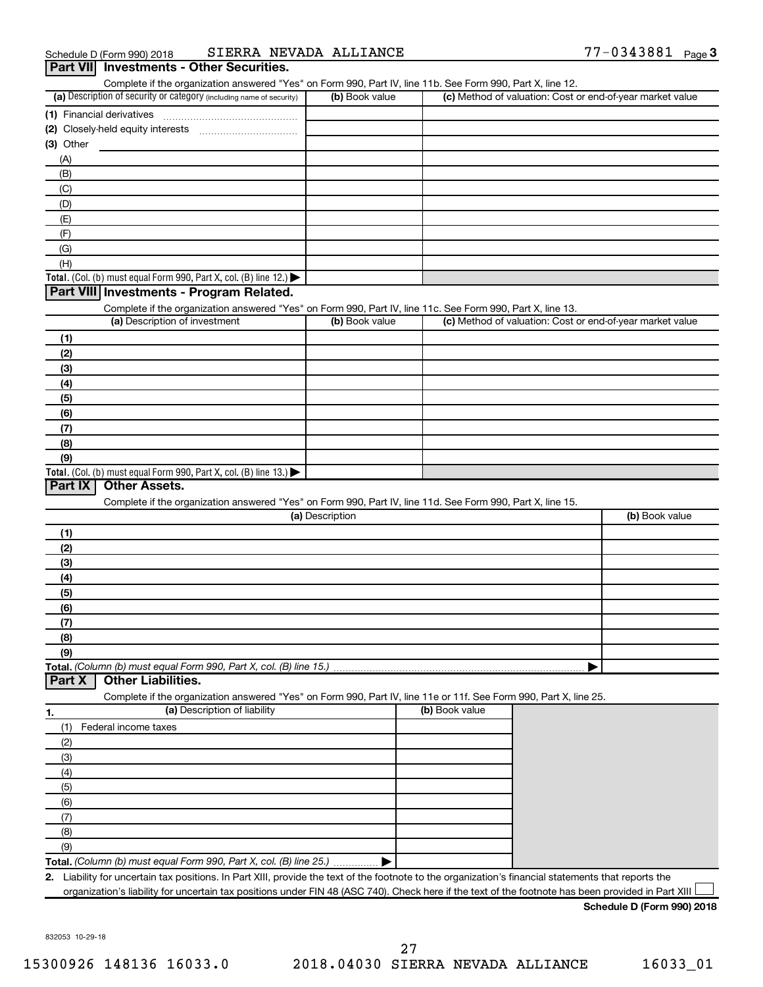|                                                                                                                                             | (a) Description of security or category (including name of security)<br>(b) Book value | (c) Method of valuation: Cost or end-of-year market value |                |
|---------------------------------------------------------------------------------------------------------------------------------------------|----------------------------------------------------------------------------------------|-----------------------------------------------------------|----------------|
|                                                                                                                                             |                                                                                        |                                                           |                |
| (2) Closely-held equity interests                                                                                                           |                                                                                        |                                                           |                |
|                                                                                                                                             |                                                                                        |                                                           |                |
| $(3)$ Other                                                                                                                                 |                                                                                        |                                                           |                |
| (A)                                                                                                                                         |                                                                                        |                                                           |                |
| (B)                                                                                                                                         |                                                                                        |                                                           |                |
| (C)                                                                                                                                         |                                                                                        |                                                           |                |
| (D)                                                                                                                                         |                                                                                        |                                                           |                |
| (E)                                                                                                                                         |                                                                                        |                                                           |                |
| (F)                                                                                                                                         |                                                                                        |                                                           |                |
| (G)                                                                                                                                         |                                                                                        |                                                           |                |
| (H)                                                                                                                                         |                                                                                        |                                                           |                |
| Total. (Col. (b) must equal Form 990, Part X, col. (B) line 12.)                                                                            |                                                                                        |                                                           |                |
| Part VIII Investments - Program Related.                                                                                                    |                                                                                        |                                                           |                |
|                                                                                                                                             |                                                                                        |                                                           |                |
| Complete if the organization answered "Yes" on Form 990, Part IV, line 11c. See Form 990, Part X, line 13.<br>(a) Description of investment | (b) Book value                                                                         | (c) Method of valuation: Cost or end-of-year market value |                |
|                                                                                                                                             |                                                                                        |                                                           |                |
| (1)                                                                                                                                         |                                                                                        |                                                           |                |
| (2)                                                                                                                                         |                                                                                        |                                                           |                |
| (3)                                                                                                                                         |                                                                                        |                                                           |                |
| (4)                                                                                                                                         |                                                                                        |                                                           |                |
| (5)                                                                                                                                         |                                                                                        |                                                           |                |
| (6)                                                                                                                                         |                                                                                        |                                                           |                |
| (7)                                                                                                                                         |                                                                                        |                                                           |                |
| (8)                                                                                                                                         |                                                                                        |                                                           |                |
|                                                                                                                                             |                                                                                        |                                                           |                |
| (9)                                                                                                                                         |                                                                                        |                                                           |                |
| Total. (Col. (b) must equal Form 990, Part X, col. (B) line 13.)                                                                            |                                                                                        |                                                           |                |
| Part IX<br><b>Other Assets.</b>                                                                                                             |                                                                                        |                                                           |                |
| Complete if the organization answered "Yes" on Form 990, Part IV, line 11d. See Form 990, Part X, line 15.                                  |                                                                                        |                                                           |                |
|                                                                                                                                             | (a) Description                                                                        |                                                           | (b) Book value |
|                                                                                                                                             |                                                                                        |                                                           |                |
| (1)                                                                                                                                         |                                                                                        |                                                           |                |
|                                                                                                                                             |                                                                                        |                                                           |                |
| (2)                                                                                                                                         |                                                                                        |                                                           |                |
| (3)                                                                                                                                         |                                                                                        |                                                           |                |
| (4)                                                                                                                                         |                                                                                        |                                                           |                |
| (5)                                                                                                                                         |                                                                                        |                                                           |                |
| (6)                                                                                                                                         |                                                                                        |                                                           |                |
| (7)                                                                                                                                         |                                                                                        |                                                           |                |
| (8)                                                                                                                                         |                                                                                        |                                                           |                |
| (9)                                                                                                                                         |                                                                                        |                                                           |                |
|                                                                                                                                             |                                                                                        |                                                           |                |
| <b>Other Liabilities.</b>                                                                                                                   |                                                                                        |                                                           |                |
| Complete if the organization answered "Yes" on Form 990, Part IV, line 11e or 11f. See Form 990, Part X, line 25.                           |                                                                                        |                                                           |                |
| (a) Description of liability                                                                                                                |                                                                                        | (b) Book value                                            |                |
|                                                                                                                                             |                                                                                        |                                                           |                |
| (1)<br>Federal income taxes                                                                                                                 |                                                                                        |                                                           |                |
| (2)                                                                                                                                         |                                                                                        |                                                           |                |
| (3)                                                                                                                                         |                                                                                        |                                                           |                |
| (4)                                                                                                                                         |                                                                                        |                                                           |                |
| (5)                                                                                                                                         |                                                                                        |                                                           |                |
| (6)                                                                                                                                         |                                                                                        |                                                           |                |
| Part X<br>1.<br>(7)                                                                                                                         |                                                                                        |                                                           |                |
|                                                                                                                                             |                                                                                        |                                                           |                |
| (8)                                                                                                                                         |                                                                                        |                                                           |                |
| (9)<br>Total. (Column (b) must equal Form 990, Part X, col. (B) line 25.)                                                                   |                                                                                        |                                                           |                |

832053 10-29-18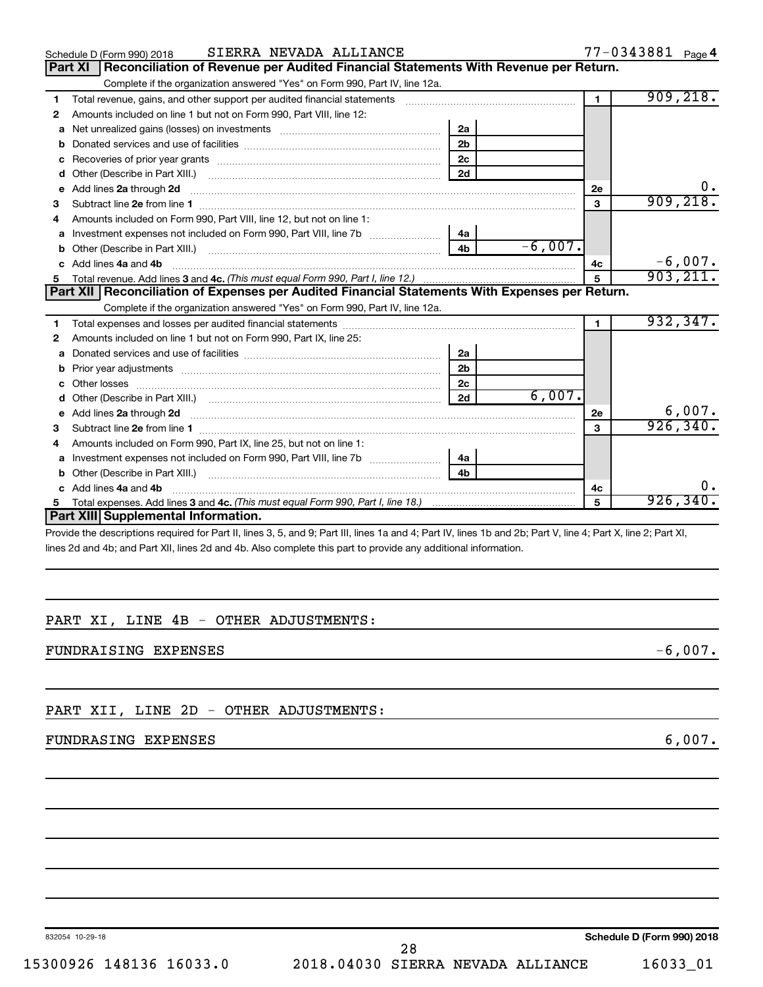|    | SIERRA NEVADA ALLIANCE<br>Schedule D (Form 990) 2018                                                                                                                                                                                 |                             |                | 77-0343881 Page 4 |
|----|--------------------------------------------------------------------------------------------------------------------------------------------------------------------------------------------------------------------------------------|-----------------------------|----------------|-------------------|
|    | Reconciliation of Revenue per Audited Financial Statements With Revenue per Return.<br><b>Part XI</b>                                                                                                                                |                             |                |                   |
|    | Complete if the organization answered "Yes" on Form 990, Part IV, line 12a.                                                                                                                                                          |                             |                |                   |
| 1  | Total revenue, gains, and other support per audited financial statements [11] [11] Total revenue, gains, and other support per audited financial statements                                                                          |                             | $\blacksquare$ | 909, 218.         |
| 2  | Amounts included on line 1 but not on Form 990, Part VIII, line 12:                                                                                                                                                                  |                             |                |                   |
| a  | Net unrealized gains (losses) on investments [11] matter contracts and the unrealized gains (losses) on investments                                                                                                                  | 2a                          |                |                   |
| b  |                                                                                                                                                                                                                                      | 2 <sub>b</sub>              |                |                   |
| c  |                                                                                                                                                                                                                                      | 2c                          |                |                   |
| d  |                                                                                                                                                                                                                                      | 2d                          |                |                   |
| е  | Add lines 2a through 2d <b>continuum continuum contract and all the contract of the contract of the contract of the contract of the contract of the contract of the contract of the contract of the contract of the contract of </b> |                             | 2е             |                   |
| З  |                                                                                                                                                                                                                                      |                             | 3              | 909, 218.         |
| 4  | Amounts included on Form 990, Part VIII, line 12, but not on line 1:                                                                                                                                                                 |                             |                |                   |
|    | Investment expenses not included on Form 990, Part VIII, line 7b [11, 111, 120]                                                                                                                                                      | 4a                          |                |                   |
| b  |                                                                                                                                                                                                                                      | $-6,007.$<br>4 <sub>b</sub> |                |                   |
| c. | Add lines 4a and 4b                                                                                                                                                                                                                  |                             | 4c             | $-6,007.$         |
|    |                                                                                                                                                                                                                                      |                             | 5              | 903, 211.         |
|    | Part XII   Reconciliation of Expenses per Audited Financial Statements With Expenses per Return.                                                                                                                                     |                             |                |                   |
|    | Complete if the organization answered "Yes" on Form 990, Part IV, line 12a.                                                                                                                                                          |                             |                |                   |
| 1  |                                                                                                                                                                                                                                      |                             | 1.             | 932, 347.         |
| 2  | Amounts included on line 1 but not on Form 990, Part IX, line 25:                                                                                                                                                                    |                             |                |                   |
| a  |                                                                                                                                                                                                                                      | 2a                          |                |                   |
| b  |                                                                                                                                                                                                                                      | 2 <sub>b</sub>              |                |                   |
|    | Other losses                                                                                                                                                                                                                         | 2c                          |                |                   |
| d  |                                                                                                                                                                                                                                      | 6,007.<br>2d                |                |                   |
|    | e Add lines 2a through 2d <b>[10]</b> [10] <b>All and Property Control</b> 20 <b>[10] All and Property Add lines 2a through 2d</b>                                                                                                   |                             | 2e             | 6,007.            |
| З  |                                                                                                                                                                                                                                      |                             | 3              | 926, 340.         |
|    | Amounts included on Form 990, Part IX, line 25, but not on line 1:                                                                                                                                                                   |                             |                |                   |
| a  | Investment expenses not included on Form 990, Part VIII, line 7b [100] [100] [100] [100] [100] [100] [100] [10                                                                                                                       | 4a                          |                |                   |
| b  |                                                                                                                                                                                                                                      | 4 <sub>b</sub>              |                |                   |
| C. | Add lines 4a and 4b                                                                                                                                                                                                                  |                             | 4с             | О.                |
| 5  |                                                                                                                                                                                                                                      |                             | 5              | 926, 340.         |
|    | Part XIII Supplemental Information.                                                                                                                                                                                                  |                             |                |                   |
|    | Droughlathe descriptions required for Dart II. lines 2. E. and O: Dart III. lines 10 and 4: Dart IV. lines 1b and 2b: Dart V. line 4: Dart V. line 2: Dart V.                                                                        |                             |                |                   |

Provide the descriptions required for Part II, lines 3, 5, and 9; Part III, lines 1a and 4; Part IV, lines 1b and 2b; Part V, line 4; Part X, line 2; Part XI, lines 2d and 4b; and Part XII, lines 2d and 4b. Also complete this part to provide any additional information.

# PART XI, LINE 4B - OTHER ADJUSTMENTS:

FUNDRAISING EXPENSES  $-6,007$ .

PART XII, LINE 2D - OTHER ADJUSTMENTS:

# FUNDRASING EXPENSES 6,007.

832054 10-29-18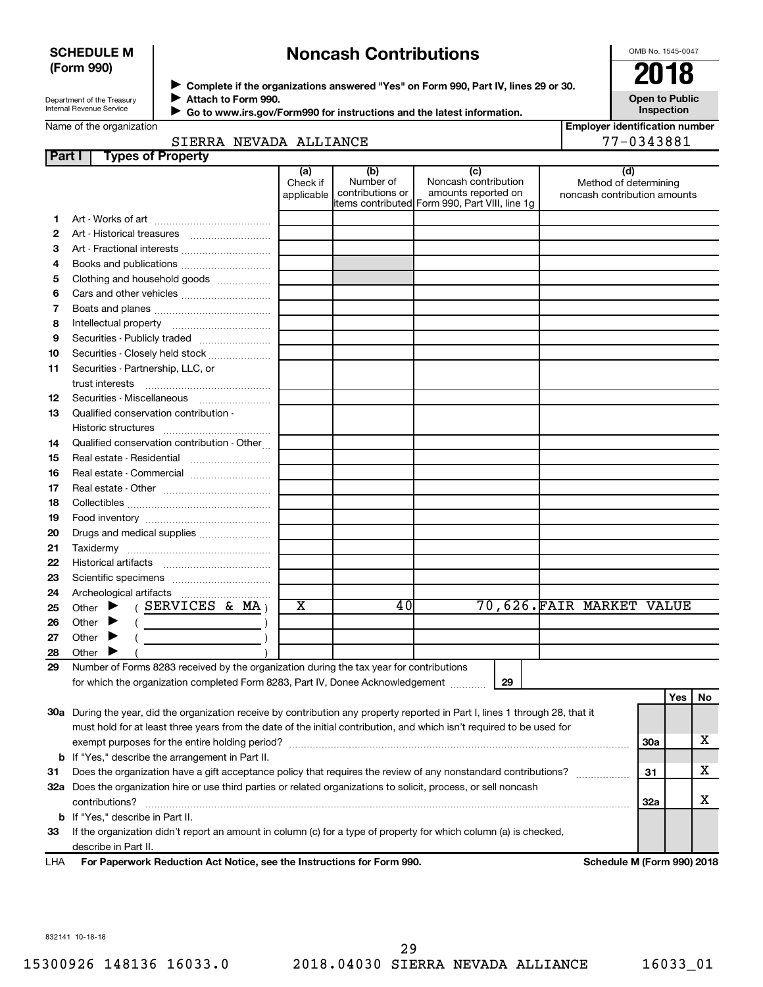## **SCHEDULE M (Form 990)**

# **Noncash Contributions**

OMB No. 1545-0047

| Department of the Treasury      |  |
|---------------------------------|--|
| <b>Internal Revenue Service</b> |  |

**Part I** 

◆ Complete if the organizations answered "Yes" on Form 990, Part IV, lines 29 or 30.<br>▶ Complete if the organizations answered "Yes" on Form 990, Part IV, lines 29 or 30. **Attach to Form 990.**  $\blacktriangleright$ 

**Open to Public Inspection**

|  | Name of the organization |
|--|--------------------------|
|--|--------------------------|

 **Go to www.irs.gov/Form990 for instructions and the latest information.**  $\blacktriangleright$ 

|  |                        | ı Lindiver identincation ilt |
|--|------------------------|------------------------------|
|  | SIERRA NEVADA ALLIANCE | 77-0343881                   |

| <b>Employer identification number</b> |
|---------------------------------------|
| 77-0343881                            |

Method of determining noncash contribution amounts

|  |  | Name of the organization |  |
|--|--|--------------------------|--|
|--|--|--------------------------|--|

| rt I<br><b>Types of Property</b> |                               |                                      |                                                                                                       |                                        |
|----------------------------------|-------------------------------|--------------------------------------|-------------------------------------------------------------------------------------------------------|----------------------------------------|
|                                  | (a)<br>Check if<br>applicable | (b)<br>Number of<br>contributions or | (c)<br>Noncash contribution<br>amounts reported on<br>litems contributed Form 990, Part VIII, line 1q | (d)<br>Method of de<br>noncash contrib |
|                                  |                               |                                      |                                                                                                       |                                        |
|                                  |                               |                                      |                                                                                                       |                                        |
| Art - Fractional interests       |                               |                                      |                                                                                                       |                                        |
| Books and publications           |                               |                                      |                                                                                                       |                                        |
| Clothing and household goods     |                               |                                      |                                                                                                       |                                        |
|                                  |                               |                                      |                                                                                                       |                                        |
|                                  |                               |                                      |                                                                                                       |                                        |
| Intellectual property            |                               |                                      |                                                                                                       |                                        |

| 6  |                                                                                         |             |    |                          |
|----|-----------------------------------------------------------------------------------------|-------------|----|--------------------------|
| 7  |                                                                                         |             |    |                          |
| 8  |                                                                                         |             |    |                          |
| 9  |                                                                                         |             |    |                          |
| 10 | Securities - Closely held stock                                                         |             |    |                          |
| 11 | Securities - Partnership, LLC, or                                                       |             |    |                          |
|    | trust interests                                                                         |             |    |                          |
| 12 | Securities - Miscellaneous                                                              |             |    |                          |
| 13 | Qualified conservation contribution -                                                   |             |    |                          |
|    | Historic structures                                                                     |             |    |                          |
| 14 | Qualified conservation contribution - Other                                             |             |    |                          |
| 15 |                                                                                         |             |    |                          |
| 16 |                                                                                         |             |    |                          |
| 17 |                                                                                         |             |    |                          |
| 18 |                                                                                         |             |    |                          |
| 19 |                                                                                         |             |    |                          |
| 20 | Drugs and medical supplies                                                              |             |    |                          |
| 21 |                                                                                         |             |    |                          |
| 22 |                                                                                         |             |    |                          |
| 23 |                                                                                         |             |    |                          |
| 24 |                                                                                         |             |    |                          |
| 25 | Other $\blacktriangleright$ (SERVICES & MA)                                             | $\mathbf x$ | 40 | 70,626.FAIR MARKET VALUE |
| 26 | Other $\blacktriangleright$<br>$\left(\begin{array}{ccc}\n\end{array}\right)$           |             |    |                          |
| 27 | Other $\blacktriangleright$<br><u> 1989 - Jan Barbara Barat, prima politik po</u>       |             |    |                          |
| 28 | Other                                                                                   |             |    |                          |
| 29 | Number of Forms 8283 received by the organization during the tax year for contributions |             |    |                          |

for which the organization completed Form 8283, Part IV, Donee Acknowledgement ............

|     |                                                                                                                            |     | Yes | <b>No</b> |
|-----|----------------------------------------------------------------------------------------------------------------------------|-----|-----|-----------|
| 30a | During the year, did the organization receive by contribution any property reported in Part I, lines 1 through 28, that it |     |     |           |
|     | must hold for at least three years from the date of the initial contribution, and which isn't required to be used for      |     |     |           |
|     | exempt purposes for the entire holding period?                                                                             | 30a |     | ▵         |
|     | <b>b</b> If "Yes," describe the arrangement in Part II.                                                                    |     |     |           |
| 31  | Does the organization have a gift acceptance policy that requires the review of any nonstandard contributions?             | 31  |     | х         |
| 32a | Does the organization hire or use third parties or related organizations to solicit, process, or sell noncash              |     |     |           |
|     | contributions?                                                                                                             | 32a |     | ▵         |
|     | <b>b</b> If "Yes," describe in Part II.                                                                                    |     |     |           |
| 33  | If the organization didn't report an amount in column (c) for a type of property for which column (a) is checked,          |     |     |           |
|     | describe in Part II.                                                                                                       |     |     |           |

**For Paperwork Reduction Act Notice, see the Instructions for Form 990. Schedule M (Form 990) 2018** LHA

832141 10-18-18

**29**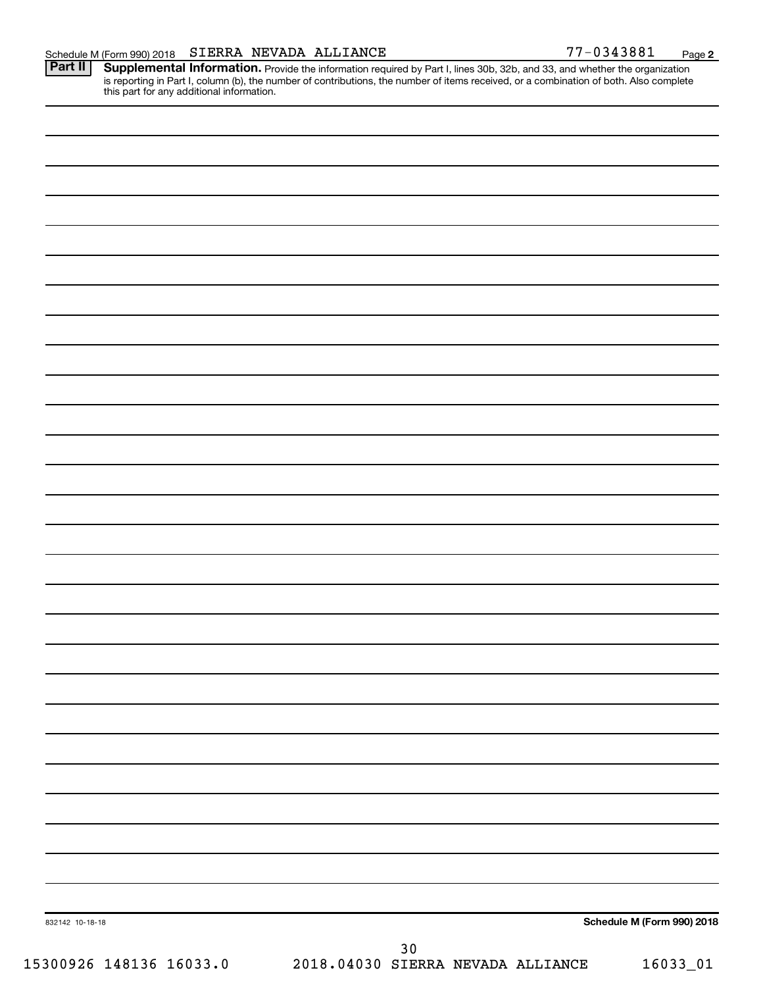Part II | Supplemental Information. Provide the information required by Part I, lines 30b, 32b, and 33, and whether the organization is reporting in Part I, column (b), the number of contributions, the number of items received, or a combination of both. Also complete this part for any additional information.

832142 10-18-18 **Schedule M (Form 990) 2018** 15300926 148136 16033.0 2018.04030 SIERRA NEVADA ALLIANCE 16033\_01 30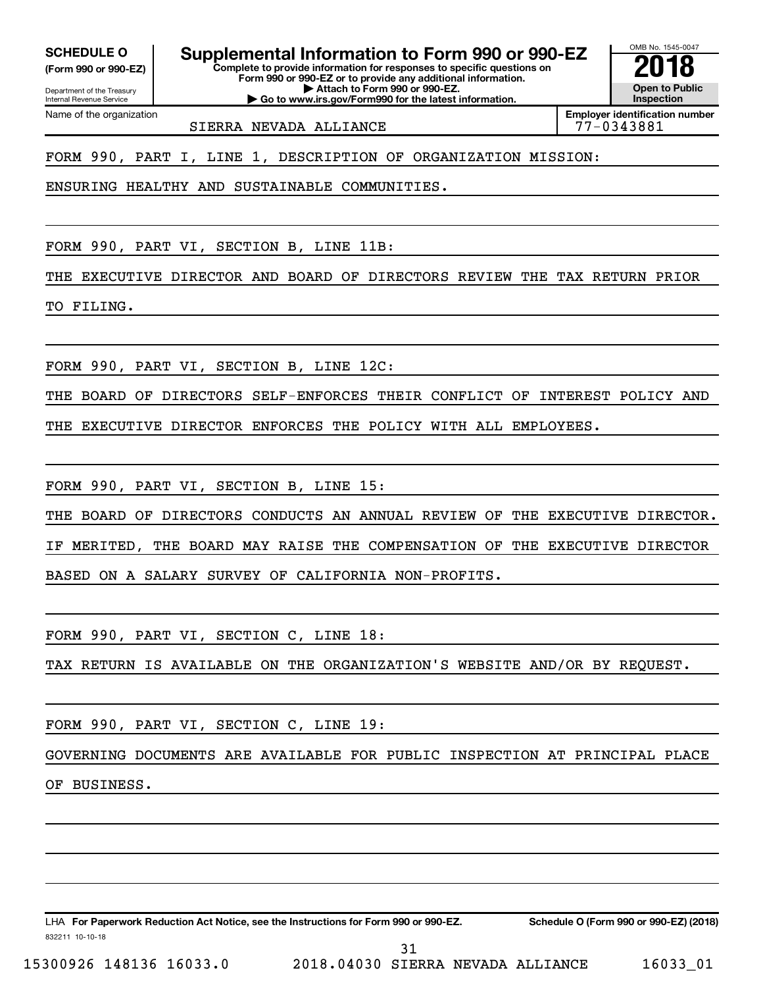Internal Revenue Service

Department of the Treasury **(Form 990 or 990-EZ)**

Name of the organization

**Complete to provide information for responses to specific questions on** SCHEDULE O **Supplemental Information to Form 990 or 990-EZ 2018**<br>(Form 990 or 990-EZ) **2018** 

**Form 990 or 990-EZ or to provide any additional information. | Attach to Form 990 or 990-EZ.**

**| Go to www.irs.gov/Form990 for the latest information.**

**Open to Public Inspection Employer identification number**

OMB No. 1545-0047

SIERRA NEVADA ALLIANCE 77-0343881

FORM 990, PART I, LINE 1, DESCRIPTION OF ORGANIZATION MISSION:

ENSURING HEALTHY AND SUSTAINABLE COMMUNITIES.

FORM 990, PART VI, SECTION B, LINE 11B:

THE EXECUTIVE DIRECTOR AND BOARD OF DIRECTORS REVIEW THE TAX RETURN PRIOR

TO FILING.

FORM 990, PART VI, SECTION B, LINE 12C:

THE BOARD OF DIRECTORS SELF-ENFORCES THEIR CONFLICT OF INTEREST POLICY AND

THE EXECUTIVE DIRECTOR ENFORCES THE POLICY WITH ALL EMPLOYEES.

FORM 990, PART VI, SECTION B, LINE 15:

THE BOARD OF DIRECTORS CONDUCTS AN ANNUAL REVIEW OF THE EXECUTIVE DIRECTOR. IF MERITED, THE BOARD MAY RAISE THE COMPENSATION OF THE EXECUTIVE DIRECTOR BASED ON A SALARY SURVEY OF CALIFORNIA NON-PROFITS.

FORM 990, PART VI, SECTION C, LINE 18:

TAX RETURN IS AVAILABLE ON THE ORGANIZATION'S WEBSITE AND/OR BY REQUEST.

FORM 990, PART VI, SECTION C, LINE 19:

GOVERNING DOCUMENTS ARE AVAILABLE FOR PUBLIC INSPECTION AT PRINCIPAL PLACE

OF BUSINESS.

832211 10-10-18 LHA For Paperwork Reduction Act Notice, see the Instructions for Form 990 or 990-EZ. Schedule O (Form 990 or 990-EZ) (2018)

15300926 148136 16033.0 2018.04030 SIERRA NEVADA ALLIANCE 16033\_01

31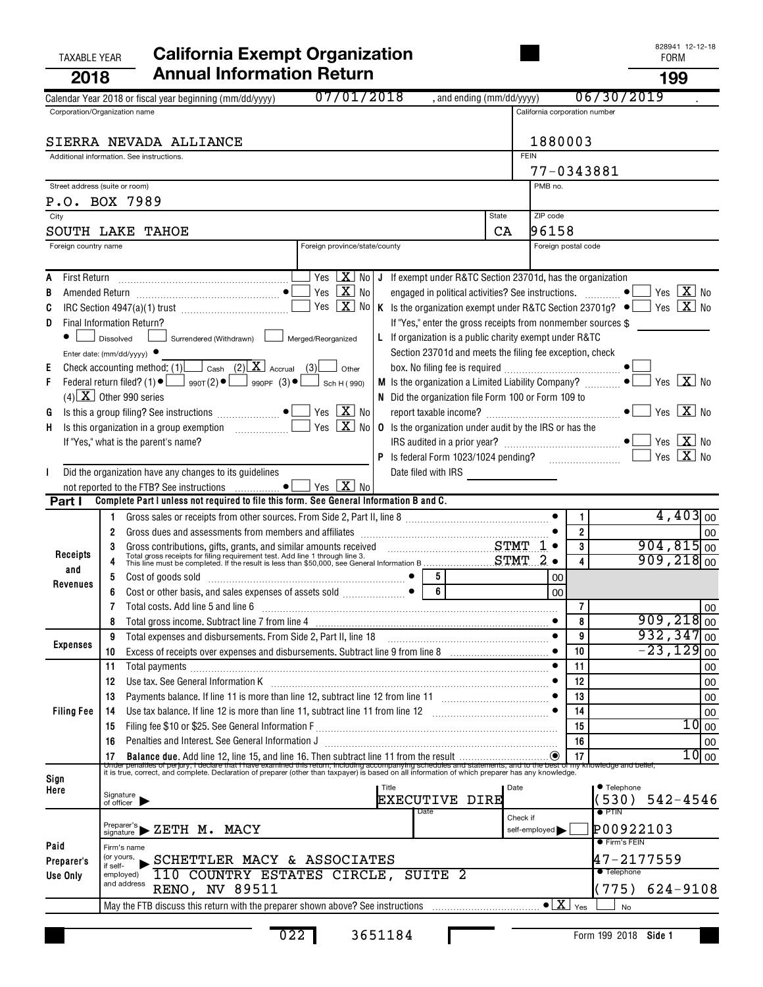| <b>TAXABLE YEAR</b>            | <b>California Exempt Organization</b>                                                                                                                                                                                                 |             |                               |                | 82894   2-12-18<br><b>FORM</b>              |
|--------------------------------|---------------------------------------------------------------------------------------------------------------------------------------------------------------------------------------------------------------------------------------|-------------|-------------------------------|----------------|---------------------------------------------|
| 2018                           | <b>Annual Information Return</b>                                                                                                                                                                                                      |             |                               |                | 199                                         |
|                                | 07/01/2018<br>, and ending (mm/dd/yyyy)<br>Calendar Year 2018 or fiscal year beginning (mm/dd/yyyy)                                                                                                                                   |             |                               |                | 06/30/2019                                  |
|                                | Corporation/Organization name                                                                                                                                                                                                         |             | California corporation number |                |                                             |
|                                |                                                                                                                                                                                                                                       |             | 1880003                       |                |                                             |
|                                | SIERRA NEVADA ALLIANCE<br>Additional information. See instructions.                                                                                                                                                                   | <b>FEIN</b> |                               |                |                                             |
|                                |                                                                                                                                                                                                                                       |             | 77-0343881                    |                |                                             |
| Street address (suite or room) |                                                                                                                                                                                                                                       |             | PMB no.                       |                |                                             |
|                                | P.O. BOX 7989                                                                                                                                                                                                                         |             |                               |                |                                             |
| City                           | State                                                                                                                                                                                                                                 | CA          | ZIP code<br>96158             |                |                                             |
| Foreign country name           | SOUTH LAKE TAHOE<br>Foreign province/state/county                                                                                                                                                                                     |             | Foreign postal code           |                |                                             |
|                                |                                                                                                                                                                                                                                       |             |                               |                |                                             |
|                                | $\sqrt{2}$ No J If exempt under R&TC Section 23701d, has the organization                                                                                                                                                             |             |                               |                |                                             |
|                                | Yes $\boxed{\mathbf{X}}$ No<br>engaged in political activities? See instructions.                                                                                                                                                     |             |                               |                | $Yes$ $\boxed{\mathbf{X}}$ No<br>$\bullet$  |
|                                | Yes $X$ No<br>K Is the organization exempt under R&TC Section 23701g? $\bullet$ Yes $\boxed{\mathbf{X}}$ No<br>IRC Section 4947(a)(1) trust $\Box$                                                                                    |             |                               |                |                                             |
| D                              | Final Information Return?<br>If "Yes," enter the gross receipts from nonmember sources \$<br>L If organization is a public charity exempt under R&TC<br>Dissolved<br>Surrendered (Withdrawn) [Surrendered/Reorganized                 |             |                               |                |                                             |
|                                | Section 23701d and meets the filing fee exception, check<br>Enter date: (mm/dd/yyyy) $\bullet$                                                                                                                                        |             |                               |                |                                             |
|                                | Check accounting method: (1) $\Box$ Cash (2) $X$ Accrual (3)<br>Other                                                                                                                                                                 |             |                               |                |                                             |
|                                | Federal return filed? (1) $\bullet$ $\Box$ 990T(2) $\bullet$ $\Box$ 990PF (3) $\bullet$ $\Box$<br>M Is the organization a Limited Liability Company?<br>Sch H (990)                                                                   |             |                               |                | Yes $\boxed{\mathbf{X}}$ No<br>$\bullet$    |
|                                | $(4)$ X Other 990 series<br>N Did the organization file Form 100 or Form 109 to                                                                                                                                                       |             |                               |                |                                             |
| G                              | Yes $\boxed{\mathbf{X}}$ No<br>Yes $X$ No<br>Is this organization in a group exemption $\Box$<br><b>0</b> Is the organization under audit by the IRS or has the                                                                       |             |                               |                | $\bullet$ $\blacksquare$ Yes $\boxed{X}$ No |
| Н,                             | If "Yes," what is the parent's name?                                                                                                                                                                                                  |             |                               |                |                                             |
|                                |                                                                                                                                                                                                                                       |             |                               |                | Yes $X$ No                                  |
|                                | Did the organization have any changes to its guidelines<br>Date filed with IRS <u>____________________</u>                                                                                                                            |             |                               |                |                                             |
|                                | not reported to the FTB? See instructions $\ldots$ • $\Box$ Yes $\boxed{\mathbf{X}}$ No                                                                                                                                               |             |                               |                |                                             |
| Part I                         | Complete Part I unless not required to file this form. See General Information B and C.<br>Gross sales or receipts from other sources. From Side 2, Part II, line 8 [11, 1111] (1201) [12] (1301) [12] (1                             |             |                               | 1              | $4,403$ <sub>00</sub>                       |
|                                | 2                                                                                                                                                                                                                                     |             |                               | $\overline{2}$ | 00                                          |
|                                |                                                                                                                                                                                                                                       | STMT        | $1 \bullet$                   | 3              | $904, 815$ <sub>00</sub>                    |
| Receipts<br>and                | Gross contributions, gifts, grants, and similar amounts received<br>Total gross receipts for filing requirement test. Add line 1 through line 3.<br>This line must be completed. If the result is less than \$50,000, see General Inf |             | $2 \bullet$                   | 4              | 909, 21800                                  |
| Revenues                       | - 51<br>Cost of goods sold with an account of the solution of the set of goods sold<br>6                                                                                                                                              |             | 00                            |                |                                             |
|                                | Total costs. Add line 5 and line 6                                                                                                                                                                                                    |             | 00                            | $\overline{7}$ | ${\bf 00}$                                  |
|                                |                                                                                                                                                                                                                                       |             |                               | 8              | $909, 218$ <sub>00</sub>                    |
|                                | Total expenses and disbursements. From Side 2, Part II, line 18<br>9                                                                                                                                                                  |             |                               | 9              | $932, 347$ <sub>00</sub>                    |
| <b>Expenses</b>                | Excess of receipts over expenses and disbursements. Subtract line 9 from line 8 [11, 11, 11, 11, 12, 12, 12, 1<br>10                                                                                                                  |             |                               | 10             | $-23,129$ <sub>00</sub>                     |
|                                | 11                                                                                                                                                                                                                                    |             |                               | 11             | 00                                          |
|                                | Use tax. See General Information K [111] Marshall Marshall Marshall Marshall Marshall Marshall Marshall Marshall Ma<br>12                                                                                                             |             |                               | 12<br>13       | 00                                          |
| <b>Filing Fee</b>              | 13<br>Use tax balance. If line 12 is more than line 11, subtract line 11 from line 12 [11] [12] [11] Use tax balance. If line 12 [13] Use tax balance. If line 12<br>14                                                               |             |                               | 14             | 00<br>00                                    |
|                                | 15                                                                                                                                                                                                                                    |             |                               | 15             | 10 <sub>00</sub>                            |
|                                | Penalties and Interest. See General Information J<br>16                                                                                                                                                                               |             |                               | 16             | ${\bf 00}$                                  |
|                                |                                                                                                                                                                                                                                       |             |                               |                | 10 <sub>00</sub>                            |
| Sign                           |                                                                                                                                                                                                                                       |             |                               |                |                                             |
| Here                           | Title<br>Signature<br>of officer<br><b>EXECUTIVE DIRE</b>                                                                                                                                                                             | Date        |                               |                | ● Telephone<br>(530)<br>$542 - 4546$        |
|                                | Date                                                                                                                                                                                                                                  | Check if    |                               |                | $\bullet$ PTIN                              |
|                                | $P_{\text{signature}}$ > ZETH $M$ . MACY                                                                                                                                                                                              |             | self-employed                 |                | P00922103                                   |
| Paid                           | Firm's name                                                                                                                                                                                                                           |             |                               |                | <b>•</b> Firm's FEIN                        |
| Preparer's                     | (or yours,<br>SCHETTLER MACY & ASSOCIATES<br>if self-                                                                                                                                                                                 |             |                               |                | 47-2177559<br><b>• Telephone</b>            |
| Use Only                       | 110 COUNTRY ESTATES CIRCLE, SUITE 2<br>employed)<br>and address<br>RENO, NV 89511                                                                                                                                                     |             |                               |                | (775)<br>$624 - 9108$                       |
|                                |                                                                                                                                                                                                                                       |             |                               |                | No                                          |
|                                |                                                                                                                                                                                                                                       |             |                               |                |                                             |

828941 12-12-18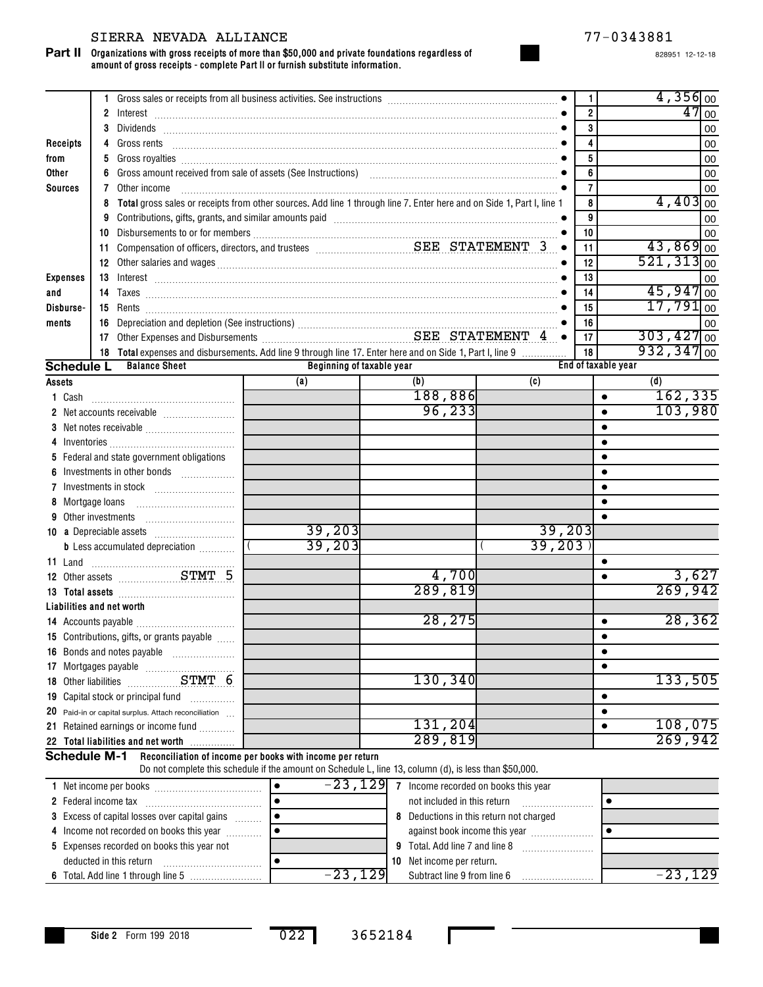# SIERRA NEVADA ALLIANCE 77-0343881

**Organizations with gross receipts of more than \$50,000 and private foundations regardless of Part II amount of gross receipts - complete Part II or furnish substitute information.**

828951 12-12-18

|                     |                                                                                                                            | 1.                                                                                            |                                                                                                                                                                                                                                                                                                                                                                                                                                                                                                         |           |                           |  |                             |  |                                         | $\mathbf{1}$   |                         | $4,356$ <sub>00</sub>    |         |
|---------------------|----------------------------------------------------------------------------------------------------------------------------|-----------------------------------------------------------------------------------------------|---------------------------------------------------------------------------------------------------------------------------------------------------------------------------------------------------------------------------------------------------------------------------------------------------------------------------------------------------------------------------------------------------------------------------------------------------------------------------------------------------------|-----------|---------------------------|--|-----------------------------|--|-----------------------------------------|----------------|-------------------------|--------------------------|---------|
|                     |                                                                                                                            |                                                                                               |                                                                                                                                                                                                                                                                                                                                                                                                                                                                                                         |           |                           |  |                             |  |                                         | $\overline{2}$ |                         |                          | $47$ 00 |
|                     |                                                                                                                            | 3                                                                                             |                                                                                                                                                                                                                                                                                                                                                                                                                                                                                                         |           |                           |  |                             |  |                                         | 3              |                         |                          | 00      |
| Receipts            |                                                                                                                            |                                                                                               | 4 Gross rents <b>contract and contract and contract and contract and contract and contract and contract and contract and contract of the City of City Contract and City Contract and City Contract and City Contract and City Co</b>                                                                                                                                                                                                                                                                    |           |                           |  |                             |  |                                         | 4              |                         |                          | 00      |
| from                |                                                                                                                            | 5                                                                                             | Gross royalties <b>construction and construction of the Carolina Construction of Carolina Construction •</b>                                                                                                                                                                                                                                                                                                                                                                                            |           |                           |  |                             |  |                                         | 5              |                         |                          | 00      |
| Other               |                                                                                                                            | 6                                                                                             |                                                                                                                                                                                                                                                                                                                                                                                                                                                                                                         |           |                           |  |                             |  |                                         | 6              |                         |                          | 00      |
| <b>Sources</b>      |                                                                                                                            | 7                                                                                             | Other income                                                                                                                                                                                                                                                                                                                                                                                                                                                                                            |           |                           |  |                             |  |                                         | $\overline{7}$ |                         |                          | 00      |
|                     | Total gross sales or receipts from other sources. Add line 1 through line 7. Enter here and on Side 1, Part I, line 1<br>8 |                                                                                               |                                                                                                                                                                                                                                                                                                                                                                                                                                                                                                         |           |                           |  |                             |  | 8                                       |                | $4,403$ <sub>00</sub>   |                          |         |
|                     |                                                                                                                            | 9                                                                                             | Contributions, gifts, grants, and similar amounts paid [11] contract and according to the set of the set of the set of the set of the set of the set of the set of the set of the set of the set of the set of the set of the                                                                                                                                                                                                                                                                           |           |                           |  |                             |  |                                         |                |                         |                          | 00      |
|                     |                                                                                                                            | 10                                                                                            |                                                                                                                                                                                                                                                                                                                                                                                                                                                                                                         |           |                           |  |                             |  |                                         | 10             |                         |                          | 00      |
|                     |                                                                                                                            | 11                                                                                            | $\bullet$                                                                                                                                                                                                                                                                                                                                                                                                                                                                                               |           |                           |  |                             |  |                                         | 11             |                         | $43,869$ <sub>00</sub>   |         |
|                     |                                                                                                                            | 12 Other salaries and wages <b>Constitution</b> Manual Construction of the salaries and wages |                                                                                                                                                                                                                                                                                                                                                                                                                                                                                                         |           |                           |  |                             |  | 12                                      |                | $521,313$ <sub>00</sub> |                          |         |
| <b>Expenses</b>     |                                                                                                                            | 13                                                                                            | $Interest \begin{tabular}{@{}c@{}} \hline \hline \hline \hline \end{tabular} \begin{tabular}{@{}c@{}} \hline \hline \end{tabular} \begin{tabular}{@{}c@{}} \hline \hline \end{tabular} \begin{tabular}{@{}c@{}} \hline \end{tabular} \begin{tabular}{@{}c@{}} \hline \end{tabular} \begin{tabular}{@{}c@{}} \hline \end{tabular} \begin{tabular}{@{}c@{}} \hline \end{tabular} \begin{tabular}{@{}c@{}} \hline \end{tabular} \begin{tabular}{@{}c@{}} \hline \end{tabular} \begin{tabular}{@{}c@{}} \h$ |           |                           |  |                             |  |                                         | 13             |                         |                          | 00      |
| and                 |                                                                                                                            |                                                                                               |                                                                                                                                                                                                                                                                                                                                                                                                                                                                                                         |           |                           |  |                             |  |                                         | 14             |                         | $45,947$ <sub>00</sub>   |         |
| Disburse-           |                                                                                                                            | 15                                                                                            |                                                                                                                                                                                                                                                                                                                                                                                                                                                                                                         |           |                           |  |                             |  |                                         | 15             |                         | $17,791$ <sub>00</sub>   |         |
| ments               |                                                                                                                            | 16                                                                                            |                                                                                                                                                                                                                                                                                                                                                                                                                                                                                                         |           |                           |  |                             |  |                                         | 16             |                         |                          | 00      |
|                     |                                                                                                                            | 17                                                                                            |                                                                                                                                                                                                                                                                                                                                                                                                                                                                                                         |           |                           |  |                             |  |                                         | 17             |                         | $303,427$ <sub>00</sub>  |         |
|                     |                                                                                                                            |                                                                                               | 18 Total expenses and disbursements. Add line 9 through line 17. Enter here and on Side 1, Part I, line 9                                                                                                                                                                                                                                                                                                                                                                                               |           |                           |  |                             |  |                                         | 18             |                         | $932, 347$ <sub>00</sub> |         |
| <b>Schedule L</b>   |                                                                                                                            |                                                                                               | <b>Balance Sheet</b>                                                                                                                                                                                                                                                                                                                                                                                                                                                                                    |           | Beginning of taxable year |  |                             |  |                                         |                | End of taxable year     |                          |         |
| Assets              |                                                                                                                            |                                                                                               |                                                                                                                                                                                                                                                                                                                                                                                                                                                                                                         |           | (a)                       |  | (b)                         |  | (c)                                     |                |                         | (d)                      |         |
|                     |                                                                                                                            |                                                                                               |                                                                                                                                                                                                                                                                                                                                                                                                                                                                                                         |           |                           |  | 188,886                     |  |                                         |                | $\bullet$               | 162,335                  |         |
|                     |                                                                                                                            |                                                                                               |                                                                                                                                                                                                                                                                                                                                                                                                                                                                                                         |           |                           |  | 96,233                      |  |                                         |                | $\bullet$               | 103,980                  |         |
|                     |                                                                                                                            |                                                                                               |                                                                                                                                                                                                                                                                                                                                                                                                                                                                                                         |           |                           |  |                             |  |                                         |                | $\bullet$               |                          |         |
|                     |                                                                                                                            |                                                                                               |                                                                                                                                                                                                                                                                                                                                                                                                                                                                                                         |           |                           |  |                             |  |                                         |                | $\bullet$               |                          |         |
|                     |                                                                                                                            |                                                                                               | 5 Federal and state government obligations                                                                                                                                                                                                                                                                                                                                                                                                                                                              |           |                           |  |                             |  |                                         |                |                         |                          |         |
| 6                   |                                                                                                                            |                                                                                               | Investments in other bonds                                                                                                                                                                                                                                                                                                                                                                                                                                                                              |           |                           |  |                             |  |                                         |                |                         |                          |         |
|                     |                                                                                                                            |                                                                                               |                                                                                                                                                                                                                                                                                                                                                                                                                                                                                                         |           |                           |  |                             |  |                                         |                |                         |                          |         |
| 8 Mortgage loans    |                                                                                                                            |                                                                                               |                                                                                                                                                                                                                                                                                                                                                                                                                                                                                                         |           |                           |  |                             |  |                                         |                |                         |                          |         |
|                     |                                                                                                                            |                                                                                               | 9 Other investments                                                                                                                                                                                                                                                                                                                                                                                                                                                                                     |           |                           |  |                             |  |                                         |                |                         |                          |         |
|                     |                                                                                                                            |                                                                                               |                                                                                                                                                                                                                                                                                                                                                                                                                                                                                                         |           | 39,203                    |  |                             |  | 39,203                                  |                |                         |                          |         |
|                     |                                                                                                                            |                                                                                               | <b>b</b> Less accumulated depreciation <i></i>                                                                                                                                                                                                                                                                                                                                                                                                                                                          |           | 39,203                    |  |                             |  | 39,203                                  |                |                         |                          |         |
|                     |                                                                                                                            |                                                                                               |                                                                                                                                                                                                                                                                                                                                                                                                                                                                                                         |           |                           |  |                             |  |                                         |                |                         |                          |         |
|                     |                                                                                                                            |                                                                                               |                                                                                                                                                                                                                                                                                                                                                                                                                                                                                                         |           |                           |  | 4,700                       |  |                                         |                | $\bullet$               |                          | 3,627   |
|                     |                                                                                                                            |                                                                                               |                                                                                                                                                                                                                                                                                                                                                                                                                                                                                                         |           |                           |  | 289,819                     |  |                                         |                |                         | 269,942                  |         |
|                     |                                                                                                                            |                                                                                               | Liabilities and net worth                                                                                                                                                                                                                                                                                                                                                                                                                                                                               |           |                           |  |                             |  |                                         |                |                         |                          |         |
|                     |                                                                                                                            |                                                                                               |                                                                                                                                                                                                                                                                                                                                                                                                                                                                                                         |           |                           |  | 28,275                      |  |                                         |                | $\bullet$               |                          | 28, 362 |
|                     |                                                                                                                            |                                                                                               | 15 Contributions, gifts, or grants payable                                                                                                                                                                                                                                                                                                                                                                                                                                                              |           |                           |  |                             |  |                                         |                | $\bullet$               |                          |         |
|                     |                                                                                                                            |                                                                                               | 16 Bonds and notes payable                                                                                                                                                                                                                                                                                                                                                                                                                                                                              |           |                           |  |                             |  |                                         |                |                         |                          |         |
|                     |                                                                                                                            |                                                                                               |                                                                                                                                                                                                                                                                                                                                                                                                                                                                                                         |           |                           |  |                             |  |                                         |                | $\bullet$               |                          |         |
|                     |                                                                                                                            |                                                                                               |                                                                                                                                                                                                                                                                                                                                                                                                                                                                                                         |           |                           |  | 130,340                     |  |                                         |                |                         | 133,505                  |         |
|                     |                                                                                                                            |                                                                                               | 19 Capital stock or principal fund                                                                                                                                                                                                                                                                                                                                                                                                                                                                      |           |                           |  |                             |  |                                         |                | $\bullet$               |                          |         |
|                     |                                                                                                                            |                                                                                               |                                                                                                                                                                                                                                                                                                                                                                                                                                                                                                         |           |                           |  |                             |  |                                         |                | $\bullet$               |                          |         |
|                     |                                                                                                                            |                                                                                               | 20 Paid-in or capital surplus. Attach reconciliation<br>21 Retained earnings or income fund                                                                                                                                                                                                                                                                                                                                                                                                             |           |                           |  | 131,204                     |  |                                         |                | $\bullet$               | 108,075                  |         |
|                     |                                                                                                                            |                                                                                               |                                                                                                                                                                                                                                                                                                                                                                                                                                                                                                         |           |                           |  | <u>289,819</u>              |  |                                         |                |                         | 269,942                  |         |
|                     |                                                                                                                            |                                                                                               | 22 Total liabilities and net worth                                                                                                                                                                                                                                                                                                                                                                                                                                                                      |           |                           |  |                             |  |                                         |                |                         |                          |         |
| <b>Schedule M-1</b> |                                                                                                                            |                                                                                               | Reconciliation of income per books with income per return<br>Do not complete this schedule if the amount on Schedule L, line 13, column (d), is less than \$50,000.                                                                                                                                                                                                                                                                                                                                     |           |                           |  |                             |  |                                         |                |                         |                          |         |
|                     |                                                                                                                            |                                                                                               |                                                                                                                                                                                                                                                                                                                                                                                                                                                                                                         | $\bullet$ | $-23,129$                 |  |                             |  | 7 Income recorded on books this year    |                |                         |                          |         |
|                     |                                                                                                                            |                                                                                               |                                                                                                                                                                                                                                                                                                                                                                                                                                                                                                         |           |                           |  | not included in this return |  |                                         |                | ٠                       |                          |         |
|                     |                                                                                                                            |                                                                                               | 3 Excess of capital losses over capital gains                                                                                                                                                                                                                                                                                                                                                                                                                                                           | $\bullet$ |                           |  |                             |  | 8 Deductions in this return not charged |                |                         |                          |         |
|                     |                                                                                                                            |                                                                                               | 4 Income not recorded on books this year<br>$\bullet$<br>against book income this year                                                                                                                                                                                                                                                                                                                                                                                                                  |           |                           |  |                             |  | $\bullet$                               |                |                         |                          |         |

**Side 2** Form 199 2018

•

022 3652184

**9** Total. Add line 7 and line 8 **10** Net income per return.

Subtract line 9 from line 6 -23,129 -23,129

……………………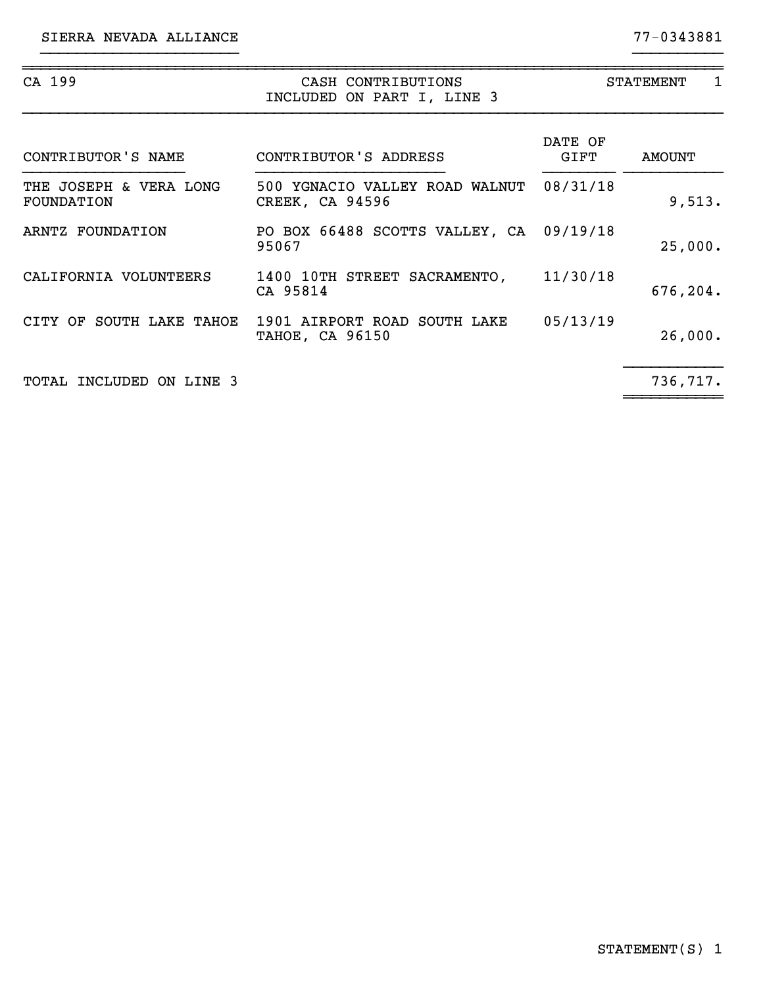| CA 199                               | CASH CONTRIBUTIONS<br>INCLUDED ON PART I, LINE 3         | <b>STATEMENT</b><br>1 |          |  |  |
|--------------------------------------|----------------------------------------------------------|-----------------------|----------|--|--|
| CONTRIBUTOR'S NAME                   | CONTRIBUTOR'S ADDRESS                                    | DATE OF<br>GIFT       | AMOUNT   |  |  |
| THE JOSEPH & VERA LONG<br>FOUNDATION | 500 YGNACIO VALLEY ROAD WALNUT<br><b>CREEK, CA 94596</b> | 08/31/18              | 9,513.   |  |  |
| ARNTZ FOUNDATION                     | PO BOX 66488 SCOTTS VALLEY, CA 09/19/18<br>95067         |                       | 25,000.  |  |  |
| CALIFORNIA VOLUNTEERS                | 1400 10TH STREET SACRAMENTO,<br>CA 95814                 | 11/30/18              | 676,204. |  |  |
| CITY OF SOUTH LAKE TAHOE             | 1901 AIRPORT ROAD SOUTH LAKE<br><b>TAHOE, CA 96150</b>   | 05/13/19              | 26,000.  |  |  |
| TOTAL INCLUDED ON LINE 3             |                                                          |                       | 736,717. |  |  |

}}}}}}}}}}}}}}}}}}}}}} }}}}}}}}}}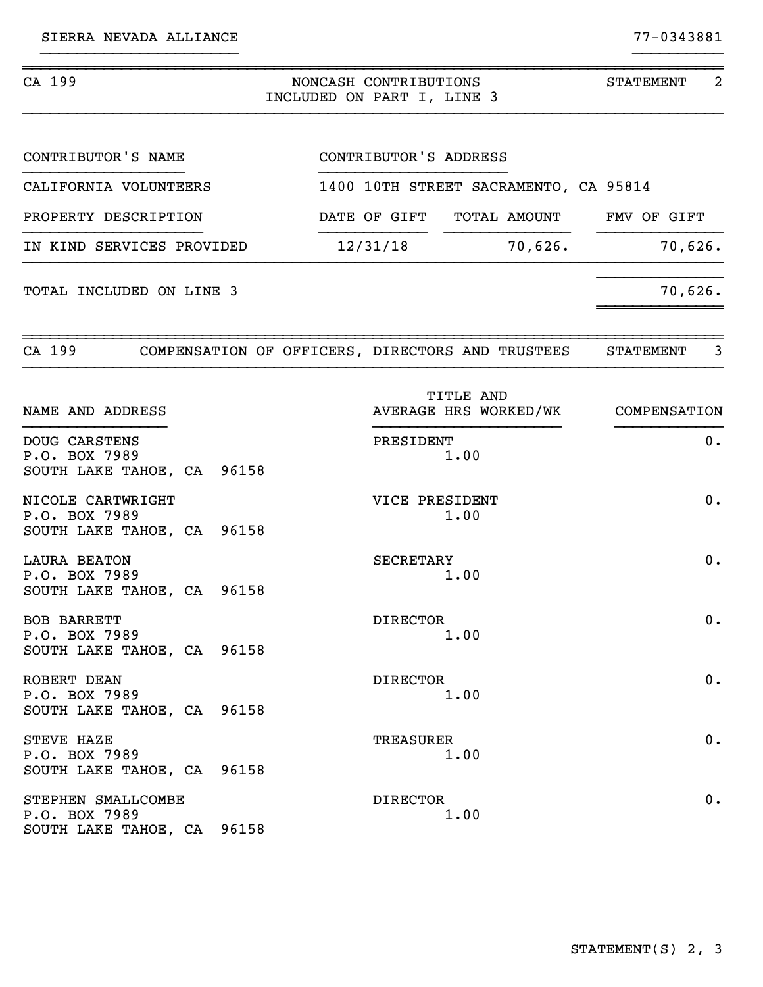| CA 199                                                             | NONCASH CONTRIBUTIONS<br>INCLUDED ON PART I, LINE 3 | 2<br>STATEMENT        |                 |                                       |  |                                    |  |  |
|--------------------------------------------------------------------|-----------------------------------------------------|-----------------------|-----------------|---------------------------------------|--|------------------------------------|--|--|
| CONTRIBUTOR'S NAME                                                 |                                                     | CONTRIBUTOR'S ADDRESS |                 |                                       |  |                                    |  |  |
| CALIFORNIA VOLUNTEERS                                              |                                                     |                       |                 | 1400 10TH STREET SACRAMENTO, CA 95814 |  |                                    |  |  |
| PROPERTY DESCRIPTION                                               |                                                     |                       |                 | DATE OF GIFT TOTAL AMOUNT FMV OF GIFT |  |                                    |  |  |
| IN KIND SERVICES PROVIDED                                          |                                                     |                       | 12/31/18        |                                       |  | 70,626.<br>70,626.                 |  |  |
| TOTAL INCLUDED ON LINE 3                                           |                                                     |                       |                 |                                       |  | 70,626.                            |  |  |
| CA 199 COMPENSATION OF OFFICERS, DIRECTORS AND TRUSTEES            |                                                     |                       |                 |                                       |  | 3<br><b>STATEMENT</b>              |  |  |
| NAME AND ADDRESS                                                   |                                                     |                       |                 | <b>TITLE AND</b>                      |  | AVERAGE HRS WORKED/WK COMPENSATION |  |  |
| DOUG CARSTENS<br>P.O. BOX 7989<br>SOUTH LAKE TAHOE, CA 96158       |                                                     |                       | PRESIDENT       | 1.00                                  |  | $0$ .                              |  |  |
| NICOLE CARTWRIGHT<br>P.O. BOX 7989<br>SOUTH LAKE TAHOE, CA 96158   |                                                     |                       | VICE PRESIDENT  | 1.00                                  |  | 0.                                 |  |  |
| <b>LAURA BEATON</b><br>P.O. BOX 7989<br>SOUTH LAKE TAHOE, CA 96158 |                                                     |                       | SECRETARY       | 1.00                                  |  | 0.                                 |  |  |
| BOB BARRETT<br>P.O. BOX 7989<br>SOUTH LAKE TAHOE, CA 96158         |                                                     |                       | <b>DIRECTOR</b> | 1.00                                  |  | $0$ .                              |  |  |
| ROBERT DEAN<br>P.O. BOX 7989<br>SOUTH LAKE TAHOE, CA 96158         |                                                     |                       | <b>DIRECTOR</b> | 1.00                                  |  | $0$ .                              |  |  |
| STEVE HAZE<br>P.O. BOX 7989<br>SOUTH LAKE TAHOE, CA 96158          |                                                     |                       | TREASURER       | 1.00                                  |  | 0.                                 |  |  |
| STEPHEN SMALLCOMBE<br>P.O. BOX 7989<br>SOUTH LAKE TAHOE, CA 96158  |                                                     |                       | <b>DIRECTOR</b> | 1.00                                  |  | 0.                                 |  |  |

}}}}}}}}}}}}}}}}}}}}}} }}}}}}}}}}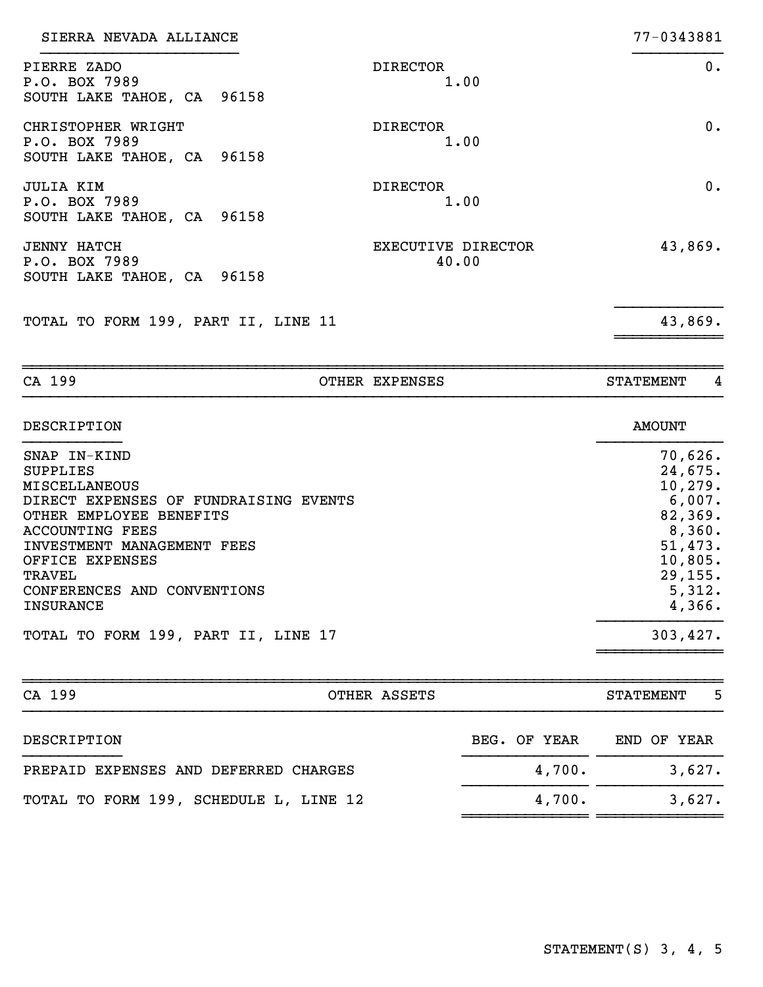| SIERRA NEVADA ALLIANCE                                            |                             | 77-0343881 |
|-------------------------------------------------------------------|-----------------------------|------------|
| PIERRE ZADO<br>P.O. BOX 7989<br>SOUTH LAKE TAHOE, CA 96158        | <b>DIRECTOR</b><br>1.00     | 0.         |
| CHRISTOPHER WRIGHT<br>P.O. BOX 7989<br>SOUTH LAKE TAHOE, CA 96158 | <b>DIRECTOR</b><br>1.00     | 0.         |
| JULIA KIM<br>P.O. BOX 7989<br>SOUTH LAKE TAHOE, CA 96158          | <b>DIRECTOR</b><br>1.00     | $0$ .      |
| <b>JENNY HATCH</b><br>P.O. BOX 7989<br>SOUTH LAKE TAHOE, CA 96158 | EXECUTIVE DIRECTOR<br>40.00 | 43,869.    |
| TOTAL TO FORM 199, PART II, LINE 11                               |                             | 43,869.    |
|                                                                   |                             |            |

| DESCRIPTION                           | <b>AMOUNT</b> |
|---------------------------------------|---------------|
| SNAP IN-KIND                          | 70,626.       |
| <b>SUPPLIES</b>                       | 24,675.       |
| <b>MISCELLANEOUS</b>                  | 10, 279.      |
| DIRECT EXPENSES OF FUNDRAISING EVENTS | 6,007.        |
| OTHER EMPLOYEE BENEFITS               | 82,369.       |
| ACCOUNTING FEES                       | 8,360.        |
| INVESTMENT MANAGEMENT FEES            | 51,473.       |
| OFFICE EXPENSES                       | 10,805.       |
| TRAVEL                                | 29, 155.      |
| CONFERENCES AND CONVENTIONS           | 5,312.        |
| <b>INSURANCE</b>                      | 4,366.        |
| TOTAL TO FORM 199, PART II, LINE 17   | 303,427.      |
|                                       |               |

CA 199 CA COTHER EXPENSES STATEMENT 4

| CA 199<br>OTHER ASSETS                 |              | -5<br><b>STATEMENT</b> |
|----------------------------------------|--------------|------------------------|
| DESCRIPTION                            | BEG. OF YEAR | END OF YEAR            |
| PREPAID EXPENSES AND DEFERRED CHARGES  | 4,700.       | 3,627.                 |
| TOTAL TO FORM 199, SCHEDULE L, LINE 12 | 4,700.       | 3,627.                 |
|                                        |              |                        |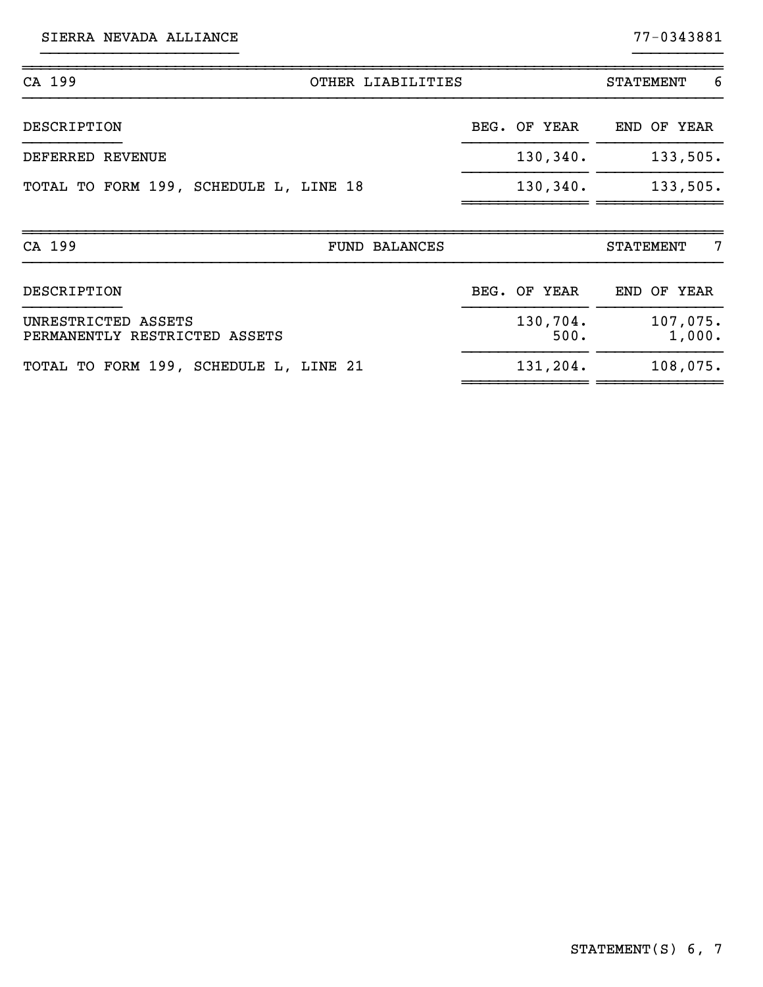SIERRA NEVADA ALLIANCE 77-0343881

~~~~~~~~~~~~~~ ~~~~~~~~~~~~~~

| CA 199                                               | OTHER LIABILITIES    |                  | 6<br><b>STATEMENT</b> |
|------------------------------------------------------|----------------------|------------------|-----------------------|
| DESCRIPTION                                          |                      | BEG. OF YEAR     | END OF YEAR           |
| DEFERRED REVENUE                                     |                      | 130, 340.        | 133,505.              |
| TOTAL TO FORM 199, SCHEDULE L, LINE 18               |                      | 130, 340.        | 133,505.              |
| CA 199                                               | <b>FUND BALANCES</b> |                  | 7<br><b>STATEMENT</b> |
| DESCRIPTION                                          |                      | BEG. OF YEAR     | END OF YEAR           |
| UNRESTRICTED ASSETS<br>PERMANENTLY RESTRICTED ASSETS |                      | 130,704.<br>500. | 107,075.<br>1,000.    |
| TOTAL TO FORM 199, SCHEDULE L, LINE 21               |                      | 131,204.         | 108,075.              |

}}}}}}}}}}}}}}}}}}}}}} }}}}}}}}}}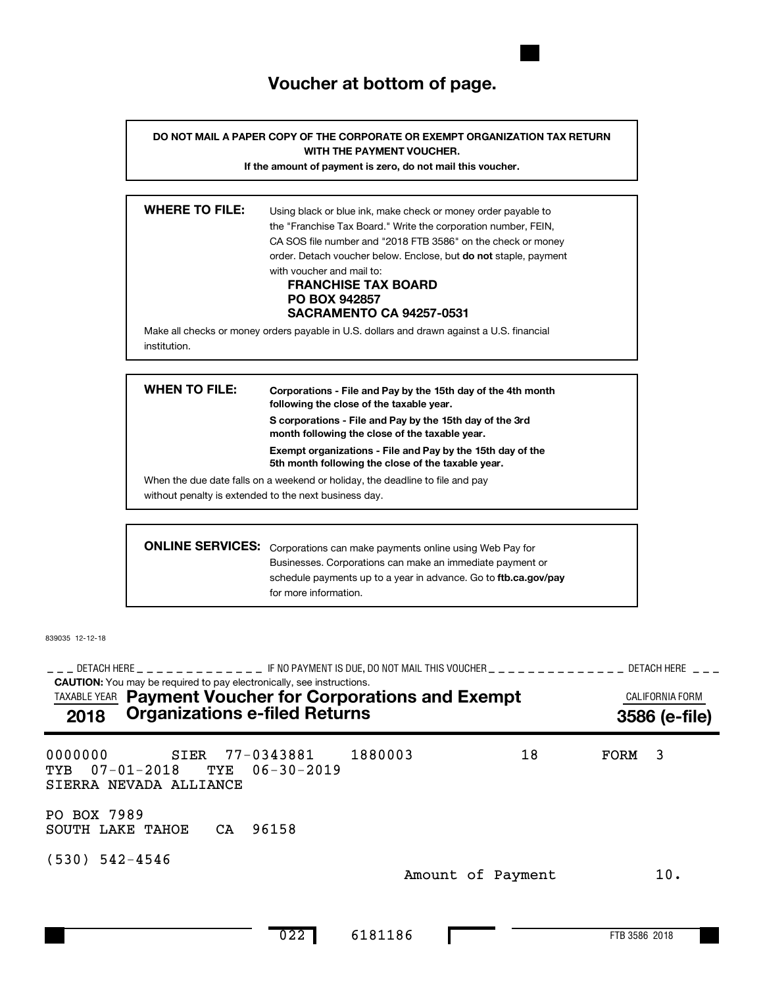# **Voucher at bottom of page.**

**DO NOT MAIL A PAPER COPY OF THE CORPORATE OR EXEMPT ORGANIZATION TAX RETURN WITH THE PAYMENT VOUCHER.**

**If the amount of payment is zero, do not mail this voucher.**

| <b>WHERE TO FILE:</b><br>Using black or blue ink, make check or money order payable to<br>the "Franchise Tax Board." Write the corporation number, FEIN,<br>CA SOS file number and "2018 FTB 3586" on the check or money<br>order. Detach voucher below. Enclose, but <b>do not</b> staple, payment<br>with voucher and mail to:<br><b>FRANCHISE TAX BOARD</b><br><b>PO BOX 942857</b><br><b>SACRAMENTO CA 94257-0531</b> |
|---------------------------------------------------------------------------------------------------------------------------------------------------------------------------------------------------------------------------------------------------------------------------------------------------------------------------------------------------------------------------------------------------------------------------|
| Make all checks or money orders payable in U.S. dollars and drawn against a U.S. financial<br>institution.                                                                                                                                                                                                                                                                                                                |

| WHEN TO FILE: | Corporations - File and Pay by the 15th day of the 4th month<br>following the close of the taxable year.<br>S corporations - File and Pay by the 15th day of the 3rd<br>month following the close of the taxable year. |  |  |  |  |  |
|---------------|------------------------------------------------------------------------------------------------------------------------------------------------------------------------------------------------------------------------|--|--|--|--|--|
|               |                                                                                                                                                                                                                        |  |  |  |  |  |
|               | Exempt organizations - File and Pay by the 15th day of the<br>5th month following the close of the taxable year.                                                                                                       |  |  |  |  |  |
|               | When the due date falls on a weekend or holiday, the deadline to file and pay<br>without penalty is extended to the next business day.                                                                                 |  |  |  |  |  |
|               |                                                                                                                                                                                                                        |  |  |  |  |  |
|               | <b>ONLINE SERVICES:</b> Corporations can make payments online using Web Pay for                                                                                                                                        |  |  |  |  |  |

schedule payments up to a year in advance. Go to ftb.ca.gov/pay Businesses. Corporations can make an immediate payment or for more information.

839035 12-12-18

**CAUTION:** You may be required to pay electronically, see instructions. \_\_\_ DETACH HERE \_ \_ \_ \_ \_ \_ \_ \_ \_ \_ \_ \_ F NO PAYMENT IS DUE, DO NOT MAIL THIS VOUCHER \_ \_ \_ \_ \_ \_ \_ \_ \_ \_ \_ \_ \_ \_ DETACH HERE \_ \_ \_ TAXABLE YEAR **Payment Voucher for Corporations and Exempt Exampt CALIFORNIA FORM 2018 Organizations e-filed Returns 3586 (e-file)** 0000000 SIER 77-0343881 1880003 18 FORM 3 TYB 07-01-2018 TYE 06-30-2019 SIERRA NEVADA ALLIANCE PO BOX 7989 SOUTH LAKE TAHOE CA 96158 (530) 542-4546 Amount of Payment 10.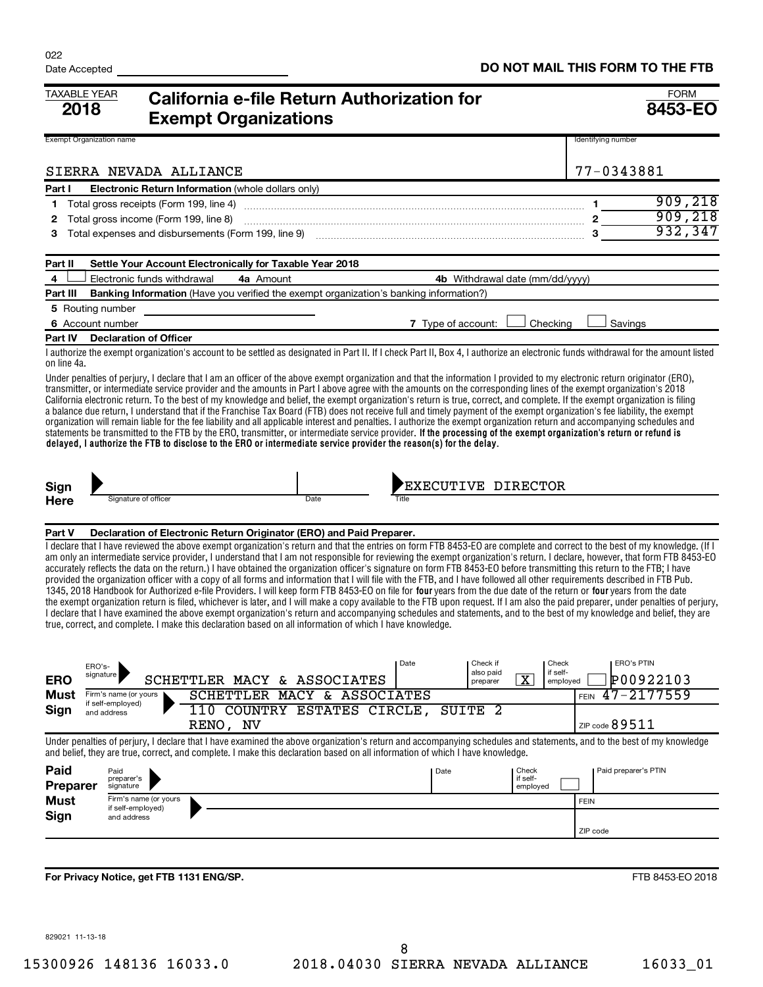| <b>TAXABLE YEAR</b><br>2018     |                                            | <b>California e-file Return Authorization for</b><br><b>Exempt Organizations</b>                                                                                                                                                                                                                                                                                                                                                                                                                                                                                                                                                                                                                                                                                                                                                                                                                                                                                                                                                                                                                                                                                                                                                                                                                                                                                      |                             |      |                                   |                                                          |             |                      | <b>FORM</b><br>8453-EO |
|---------------------------------|--------------------------------------------|-----------------------------------------------------------------------------------------------------------------------------------------------------------------------------------------------------------------------------------------------------------------------------------------------------------------------------------------------------------------------------------------------------------------------------------------------------------------------------------------------------------------------------------------------------------------------------------------------------------------------------------------------------------------------------------------------------------------------------------------------------------------------------------------------------------------------------------------------------------------------------------------------------------------------------------------------------------------------------------------------------------------------------------------------------------------------------------------------------------------------------------------------------------------------------------------------------------------------------------------------------------------------------------------------------------------------------------------------------------------------|-----------------------------|------|-----------------------------------|----------------------------------------------------------|-------------|----------------------|------------------------|
| <b>Exempt Organization name</b> |                                            |                                                                                                                                                                                                                                                                                                                                                                                                                                                                                                                                                                                                                                                                                                                                                                                                                                                                                                                                                                                                                                                                                                                                                                                                                                                                                                                                                                       |                             |      |                                   |                                                          |             | Identifying number   |                        |
|                                 | SIERRA NEVADA ALLIANCE                     |                                                                                                                                                                                                                                                                                                                                                                                                                                                                                                                                                                                                                                                                                                                                                                                                                                                                                                                                                                                                                                                                                                                                                                                                                                                                                                                                                                       |                             |      |                                   |                                                          |             | 77-0343881           |                        |
| Part I                          |                                            | <b>Electronic Return Information</b> (whole dollars only)                                                                                                                                                                                                                                                                                                                                                                                                                                                                                                                                                                                                                                                                                                                                                                                                                                                                                                                                                                                                                                                                                                                                                                                                                                                                                                             |                             |      |                                   |                                                          |             |                      |                        |
| 1                               |                                            |                                                                                                                                                                                                                                                                                                                                                                                                                                                                                                                                                                                                                                                                                                                                                                                                                                                                                                                                                                                                                                                                                                                                                                                                                                                                                                                                                                       |                             |      |                                   |                                                          | 1.          |                      | 909, 218               |
| 2                               | Total gross income (Form 199, line 8)      |                                                                                                                                                                                                                                                                                                                                                                                                                                                                                                                                                                                                                                                                                                                                                                                                                                                                                                                                                                                                                                                                                                                                                                                                                                                                                                                                                                       |                             |      |                                   |                                                          |             |                      | 909,218                |
| з                               |                                            |                                                                                                                                                                                                                                                                                                                                                                                                                                                                                                                                                                                                                                                                                                                                                                                                                                                                                                                                                                                                                                                                                                                                                                                                                                                                                                                                                                       |                             |      |                                   |                                                          |             |                      | 932,347                |
| Part II                         |                                            | Settle Your Account Electronically for Taxable Year 2018                                                                                                                                                                                                                                                                                                                                                                                                                                                                                                                                                                                                                                                                                                                                                                                                                                                                                                                                                                                                                                                                                                                                                                                                                                                                                                              |                             |      |                                   |                                                          |             |                      |                        |
| 4                               | Electronic funds withdrawal                | 4a Amount                                                                                                                                                                                                                                                                                                                                                                                                                                                                                                                                                                                                                                                                                                                                                                                                                                                                                                                                                                                                                                                                                                                                                                                                                                                                                                                                                             |                             |      | 4b Withdrawal date (mm/dd/yyyy)   |                                                          |             |                      |                        |
| Part III                        |                                            | Banking Information (Have you verified the exempt organization's banking information?)                                                                                                                                                                                                                                                                                                                                                                                                                                                                                                                                                                                                                                                                                                                                                                                                                                                                                                                                                                                                                                                                                                                                                                                                                                                                                |                             |      |                                   |                                                          |             |                      |                        |
|                                 | 5 Routing number                           |                                                                                                                                                                                                                                                                                                                                                                                                                                                                                                                                                                                                                                                                                                                                                                                                                                                                                                                                                                                                                                                                                                                                                                                                                                                                                                                                                                       |                             |      |                                   |                                                          |             |                      |                        |
|                                 | 6 Account number                           |                                                                                                                                                                                                                                                                                                                                                                                                                                                                                                                                                                                                                                                                                                                                                                                                                                                                                                                                                                                                                                                                                                                                                                                                                                                                                                                                                                       |                             |      | 7 Type of account:                | Checking                                                 |             | Savings              |                        |
| Part IV                         | <b>Declaration of Officer</b>              |                                                                                                                                                                                                                                                                                                                                                                                                                                                                                                                                                                                                                                                                                                                                                                                                                                                                                                                                                                                                                                                                                                                                                                                                                                                                                                                                                                       |                             |      |                                   |                                                          |             |                      |                        |
| on line 4a.                     |                                            | I authorize the exempt organization's account to be settled as designated in Part II. If I check Part II, Box 4, I authorize an electronic funds withdrawal for the amount listed                                                                                                                                                                                                                                                                                                                                                                                                                                                                                                                                                                                                                                                                                                                                                                                                                                                                                                                                                                                                                                                                                                                                                                                     |                             |      |                                   |                                                          |             |                      |                        |
|                                 |                                            | Under penalties of perjury, I declare that I am an officer of the above exempt organization and that the information I provided to my electronic return originator (ERO),<br>transmitter, or intermediate service provider and the amounts in Part I above agree with the amounts on the corresponding lines of the exempt organization's 2018<br>California electronic return. To the best of my knowledge and belief, the exempt organization's return is true, correct, and complete. If the exempt organization is filing<br>a balance due return, I understand that if the Franchise Tax Board (FTB) does not receive full and timely payment of the exempt organization's fee liability, the exempt<br>organization will remain liable for the fee liability and all applicable interest and penalties. I authorize the exempt organization return and accompanying schedules and<br>statements be transmitted to the FTB by the ERO, transmitter, or intermediate service provider. If the processing of the exempt organization's return or refund is<br>delayed, I authorize the FTB to disclose to the ERO or intermediate service provider the reason(s) for the delay.                                                                                                                                                                                    |                             |      |                                   |                                                          |             |                      |                        |
| Sign                            | Signature of officer                       |                                                                                                                                                                                                                                                                                                                                                                                                                                                                                                                                                                                                                                                                                                                                                                                                                                                                                                                                                                                                                                                                                                                                                                                                                                                                                                                                                                       | Date                        |      | EXECUTIVE DIRECTOR                |                                                          |             |                      |                        |
| <b>Here</b>                     |                                            |                                                                                                                                                                                                                                                                                                                                                                                                                                                                                                                                                                                                                                                                                                                                                                                                                                                                                                                                                                                                                                                                                                                                                                                                                                                                                                                                                                       |                             |      |                                   |                                                          |             |                      |                        |
| Part V                          |                                            | Declaration of Electronic Return Originator (ERO) and Paid Preparer.                                                                                                                                                                                                                                                                                                                                                                                                                                                                                                                                                                                                                                                                                                                                                                                                                                                                                                                                                                                                                                                                                                                                                                                                                                                                                                  |                             |      |                                   |                                                          |             |                      |                        |
|                                 |                                            | I declare that I have reviewed the above exempt organization's return and that the entries on form FTB 8453-EO are complete and correct to the best of my knowledge. (If I<br>am only an intermediate service provider, I understand that I am not responsible for reviewing the exempt organization's return. I declare, however, that form FTB 8453-EO<br>accurately reflects the data on the return.) I have obtained the organization officer's signature on form FTB 8453-EO before transmitting this return to the FTB; I have<br>provided the organization officer with a copy of all forms and information that I will file with the FTB, and I have followed all other requirements described in FTB Pub.<br>1345, 2018 Handbook for Authorized e-file Providers. I will keep form FTB 8453-EO on file for four years from the due date of the return or four years from the date<br>the exempt organization return is filed, whichever is later, and I will make a copy available to the FTB upon request. If I am also the paid preparer, under penalties of perjury,<br>I declare that I have examined the above exempt organization's return and accompanying schedules and statements, and to the best of my knowledge and belief, they are<br>true, correct, and complete. I make this declaration based on all information of which I have knowledge. |                             |      |                                   |                                                          |             |                      |                        |
| ERO                             | ERO's-<br>signature                        | SCHETTLER MACY & ASSOCIATES                                                                                                                                                                                                                                                                                                                                                                                                                                                                                                                                                                                                                                                                                                                                                                                                                                                                                                                                                                                                                                                                                                                                                                                                                                                                                                                                           |                             | Date | Check if<br>also paid<br>preparer | Check<br>if self-<br>$\overline{\textbf{X}}$<br>employed |             | <b>ERO's PTIN</b>    | P00922103              |
| Must                            | Firm's name (or yours                      |                                                                                                                                                                                                                                                                                                                                                                                                                                                                                                                                                                                                                                                                                                                                                                                                                                                                                                                                                                                                                                                                                                                                                                                                                                                                                                                                                                       | SCHETTLER MACY & ASSOCIATES |      |                                   |                                                          | <b>FEIN</b> | $47 - 2177559$       |                        |
| Sign                            | if self-employed)<br>and address           |                                                                                                                                                                                                                                                                                                                                                                                                                                                                                                                                                                                                                                                                                                                                                                                                                                                                                                                                                                                                                                                                                                                                                                                                                                                                                                                                                                       | 110 COUNTRY ESTATES CIRCLE, |      | SUITE <sub>2</sub>                |                                                          |             |                      |                        |
|                                 |                                            | RENO, NV                                                                                                                                                                                                                                                                                                                                                                                                                                                                                                                                                                                                                                                                                                                                                                                                                                                                                                                                                                                                                                                                                                                                                                                                                                                                                                                                                              |                             |      |                                   |                                                          |             | ZIP code $89511$     |                        |
|                                 |                                            | Under penalties of periury. I declare that I have examined the above organization's return and accompanying schedules and statements, and to the best of my knowledge<br>and belief, they are true, correct, and complete. I make this declaration based on all information of which I have knowledge.                                                                                                                                                                                                                                                                                                                                                                                                                                                                                                                                                                                                                                                                                                                                                                                                                                                                                                                                                                                                                                                                |                             |      |                                   |                                                          |             |                      |                        |
| Paid                            | Paid                                       |                                                                                                                                                                                                                                                                                                                                                                                                                                                                                                                                                                                                                                                                                                                                                                                                                                                                                                                                                                                                                                                                                                                                                                                                                                                                                                                                                                       |                             |      | Date                              | Check                                                    |             | Paid preparer's PTIN |                        |
| Preparer                        | preparer's<br>signature                    |                                                                                                                                                                                                                                                                                                                                                                                                                                                                                                                                                                                                                                                                                                                                                                                                                                                                                                                                                                                                                                                                                                                                                                                                                                                                                                                                                                       |                             |      |                                   | if self-<br>employed                                     |             |                      |                        |
| <b>Must</b>                     | Firm's name (or yours<br>if self-employed) |                                                                                                                                                                                                                                                                                                                                                                                                                                                                                                                                                                                                                                                                                                                                                                                                                                                                                                                                                                                                                                                                                                                                                                                                                                                                                                                                                                       |                             |      |                                   |                                                          | <b>FEIN</b> |                      |                        |
| Sign                            | and address                                |                                                                                                                                                                                                                                                                                                                                                                                                                                                                                                                                                                                                                                                                                                                                                                                                                                                                                                                                                                                                                                                                                                                                                                                                                                                                                                                                                                       |                             |      |                                   |                                                          |             |                      |                        |
|                                 |                                            |                                                                                                                                                                                                                                                                                                                                                                                                                                                                                                                                                                                                                                                                                                                                                                                                                                                                                                                                                                                                                                                                                                                                                                                                                                                                                                                                                                       |                             |      |                                   |                                                          | ZIP code    |                      |                        |
|                                 |                                            |                                                                                                                                                                                                                                                                                                                                                                                                                                                                                                                                                                                                                                                                                                                                                                                                                                                                                                                                                                                                                                                                                                                                                                                                                                                                                                                                                                       |                             |      |                                   |                                                          |             |                      |                        |
|                                 |                                            |                                                                                                                                                                                                                                                                                                                                                                                                                                                                                                                                                                                                                                                                                                                                                                                                                                                                                                                                                                                                                                                                                                                                                                                                                                                                                                                                                                       |                             |      |                                   |                                                          |             |                      |                        |
|                                 | For Privacy Notice, get FTB 1131 ENG/SP.   |                                                                                                                                                                                                                                                                                                                                                                                                                                                                                                                                                                                                                                                                                                                                                                                                                                                                                                                                                                                                                                                                                                                                                                                                                                                                                                                                                                       |                             |      |                                   |                                                          |             |                      | FTB 8453-EO 2018       |

829021 11-13-18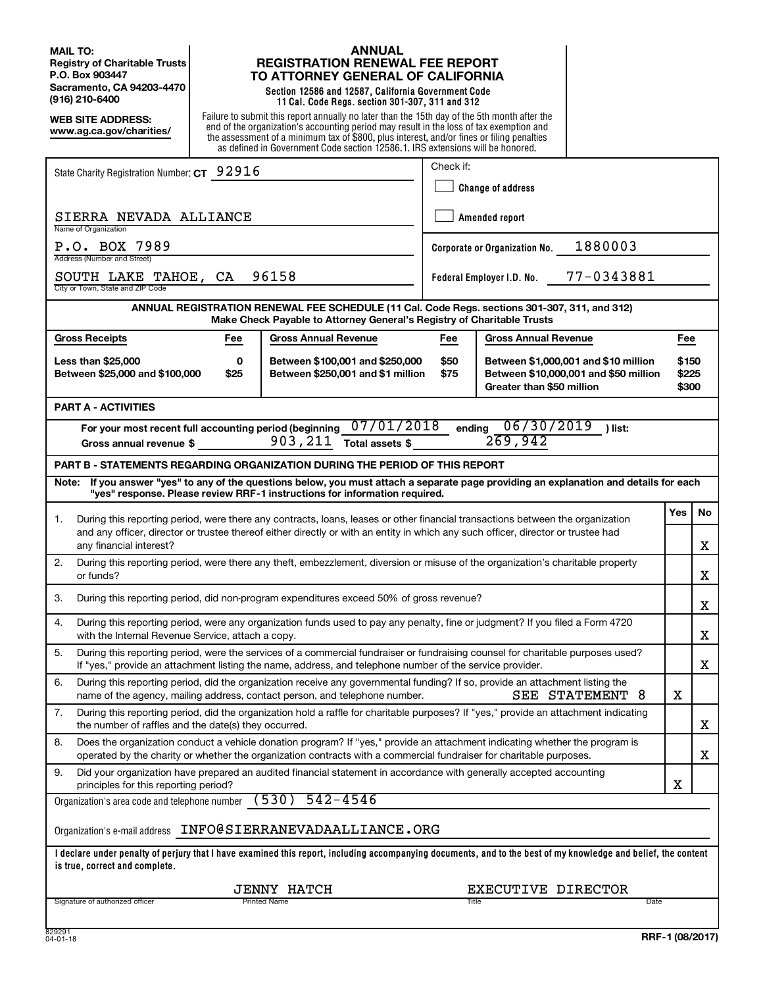**MAIL TO: Registry of Charitable Trusts P.O. Box 903447 Sacramento, CA 94203-4470 (916) 210-6400**

**WEB SITE ADDRESS: www.ag.ca.gov/charities/**

## **ANNUAL REGISTRATION RENEWAL FEE REPORT TO ATTORNEY GENERAL OF CALIFORNIA**

**Section 12586 and 12587, California Government Code 11 Cal. Code Regs. section 301-307, 311 and 312**

Failure to submit this report annually no later than the 15th day of the 5th month after the end of the organization's accounting period may result in the loss of tax exemption and the assessment of a minimum tax of \$800, plus interest, and/or fines or filing penalties as defined in Government Code section 12586.1. IRS extensions will be honored.

|                                                                                                                                                                                                                                                                                | Check if:                |                                          |                 |                         |   |  |  |  |
|--------------------------------------------------------------------------------------------------------------------------------------------------------------------------------------------------------------------------------------------------------------------------------|--------------------------|------------------------------------------|-----------------|-------------------------|---|--|--|--|
| State Charity Registration Number: CT 92916                                                                                                                                                                                                                                    |                          |                                          |                 |                         |   |  |  |  |
|                                                                                                                                                                                                                                                                                | <b>Change of address</b> |                                          |                 |                         |   |  |  |  |
| SIERRA NEVADA ALLIANCE<br>Name of Organization                                                                                                                                                                                                                                 | Amended report           |                                          |                 |                         |   |  |  |  |
| P.O. BOX 7989<br>Address (Number and Street)                                                                                                                                                                                                                                   |                          | 1880003<br>Corporate or Organization No. |                 |                         |   |  |  |  |
| 96158<br>SOUTH LAKE TAHOE, CA<br>City or Town, State and ZIP Code                                                                                                                                                                                                              |                          | Federal Employer I.D. No.                | 77-0343881      |                         |   |  |  |  |
| ANNUAL REGISTRATION RENEWAL FEE SCHEDULE (11 Cal. Code Regs. sections 301-307, 311, and 312)<br>Make Check Payable to Attorney General's Registry of Charitable Trusts                                                                                                         |                          |                                          |                 |                         |   |  |  |  |
| <b>Gross Receipts</b><br><b>Gross Annual Revenue</b><br>Fee                                                                                                                                                                                                                    | Fee                      | Gross Annual Revenue                     |                 | Fee                     |   |  |  |  |
| <b>Less than \$25,000</b><br>0<br>Between \$100,001 and \$250,000<br>\$50<br>Between \$1,000,001 and \$10 million<br>Between \$250,001 and \$1 million<br>Between \$10,000,001 and \$50 million<br>Between \$25,000 and \$100,000<br>\$25<br>\$75<br>Greater than \$50 million |                          |                                          |                 | \$150<br>\$225<br>\$300 |   |  |  |  |
| <b>PART A - ACTIVITIES</b>                                                                                                                                                                                                                                                     |                          |                                          |                 |                         |   |  |  |  |
| For your most recent full accounting period (beginning $07/01/2018$<br>06/30/2019<br>ending<br>) list:<br>269,942<br>903,211<br>Total assets \$<br>Gross annual revenue \$                                                                                                     |                          |                                          |                 |                         |   |  |  |  |
| <b>PART B - STATEMENTS REGARDING ORGANIZATION DURING THE PERIOD OF THIS REPORT</b>                                                                                                                                                                                             |                          |                                          |                 |                         |   |  |  |  |
| If you answer "yes" to any of the questions below, you must attach a separate page providing an explanation and details for each<br>Note:<br>"yes" response. Please review RRF-1 instructions for information required.                                                        |                          |                                          |                 |                         |   |  |  |  |
| Yes<br>During this reporting period, were there any contracts, loans, leases or other financial transactions between the organization<br>1.                                                                                                                                    |                          |                                          |                 |                         |   |  |  |  |
| and any officer, director or trustee thereof either directly or with an entity in which any such officer, director or trustee had<br>any financial interest?                                                                                                                   |                          |                                          |                 |                         |   |  |  |  |
| During this reporting period, were there any theft, embezzlement, diversion or misuse of the organization's charitable property<br>2.<br>or funds?                                                                                                                             |                          |                                          |                 |                         | х |  |  |  |
| During this reporting period, did non-program expenditures exceed 50% of gross revenue?<br>3.                                                                                                                                                                                  |                          |                                          |                 |                         | x |  |  |  |
| During this reporting period, were any organization funds used to pay any penalty, fine or judgment? If you filed a Form 4720<br>4.<br>with the Internal Revenue Service, attach a copy.                                                                                       |                          |                                          |                 |                         | х |  |  |  |
| During this reporting period, were the services of a commercial fundraiser or fundraising counsel for charitable purposes used?<br>5.<br>If "yes," provide an attachment listing the name, address, and telephone number of the service provider.                              |                          |                                          |                 |                         | х |  |  |  |
| 6.<br>During this reporting period, did the organization receive any governmental funding? If so, provide an attachment listing the<br>name of the agency, mailing address, contact person, and telephone number.                                                              |                          |                                          | SEE STATEMENT 8 | х                       |   |  |  |  |
| 7.<br>During this reporting period, did the organization hold a raffle for charitable purposes? If "yes," provide an attachment indicating<br>the number of raffles and the date(s) they occurred.                                                                             |                          |                                          |                 |                         | X |  |  |  |
| Does the organization conduct a vehicle donation program? If "yes," provide an attachment indicating whether the program is<br>8.<br>operated by the charity or whether the organization contracts with a commercial fundraiser for charitable purposes.                       |                          |                                          |                 |                         | х |  |  |  |
| 9.<br>Did your organization have prepared an audited financial statement in accordance with generally accepted accounting<br>principles for this reporting period?                                                                                                             |                          |                                          |                 | х                       |   |  |  |  |
| $542 - 4546$<br>(530)<br>Organization's area code and telephone number                                                                                                                                                                                                         |                          |                                          |                 |                         |   |  |  |  |
| Organization's e-mail address    INFO@SIERRANEVADAALLIANCE.ORG                                                                                                                                                                                                                 |                          |                                          |                 |                         |   |  |  |  |
| I declare under penalty of perjury that I have examined this report, including accompanying documents, and to the best of my knowledge and belief, the content<br>is true, correct and complete.                                                                               |                          |                                          |                 |                         |   |  |  |  |
| <b>JENNY HATCH</b>                                                                                                                                                                                                                                                             |                          | EXECUTIVE DIRECTOR                       |                 |                         |   |  |  |  |
| Signature of authorized officer<br>Printed Name                                                                                                                                                                                                                                |                          | Title                                    | Date            |                         |   |  |  |  |
| 829291                                                                                                                                                                                                                                                                         |                          |                                          |                 |                         |   |  |  |  |